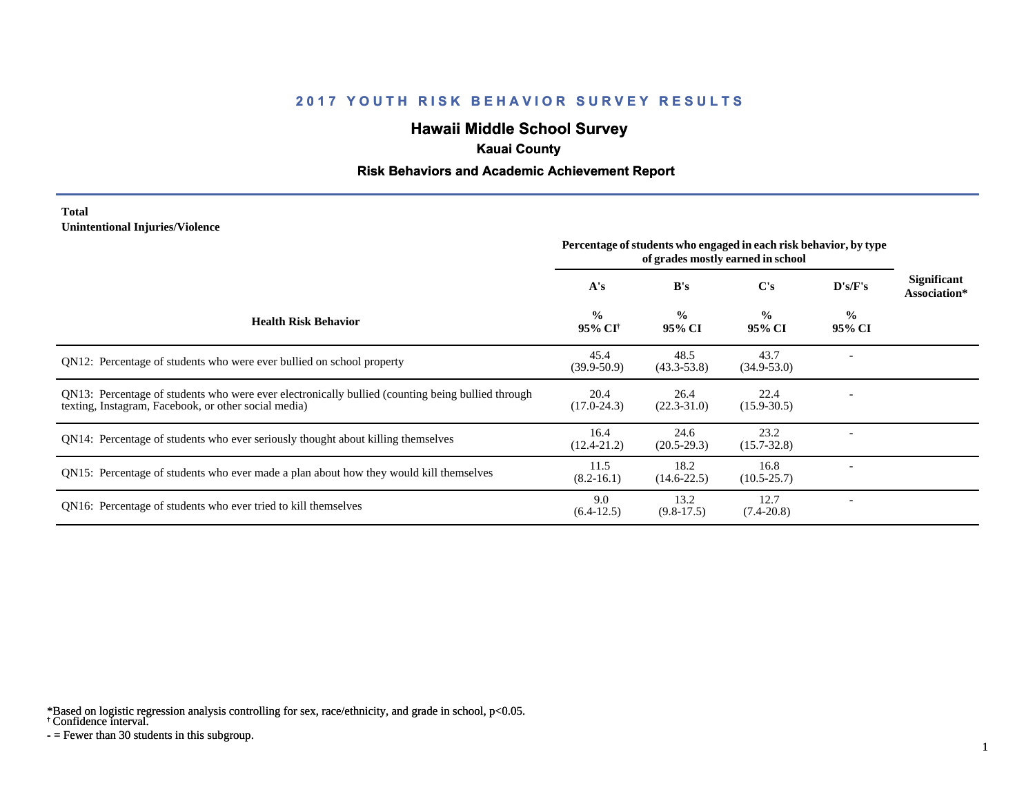# **Hawaii Middle School Survey**

### **Kauai County**

### **Risk Behaviors and Academic Achievement Report**

#### **Total Unintentional Injuries/Violence**

|                                                                                                                                                           | Percentage of students who engaged in each risk behavior, by type<br>of grades mostly earned in school |                         |                         |                         |                             |
|-----------------------------------------------------------------------------------------------------------------------------------------------------------|--------------------------------------------------------------------------------------------------------|-------------------------|-------------------------|-------------------------|-----------------------------|
|                                                                                                                                                           | A's                                                                                                    | B's                     | C's                     | D's/F's                 | Significant<br>Association* |
| <b>Health Risk Behavior</b>                                                                                                                               | $\frac{0}{0}$<br>95% CI <sup>†</sup>                                                                   | $\frac{0}{0}$<br>95% CI | $\frac{0}{0}$<br>95% CI | $\frac{0}{0}$<br>95% CI |                             |
| QN12: Percentage of students who were ever bullied on school property                                                                                     | 45.4<br>$(39.9 - 50.9)$                                                                                | 48.5<br>$(43.3 - 53.8)$ | 43.7<br>$(34.9 - 53.0)$ |                         |                             |
| QN13: Percentage of students who were ever electronically bullied (counting being bullied through<br>texting, Instagram, Facebook, or other social media) | 20.4<br>$(17.0 - 24.3)$                                                                                | 26.4<br>$(22.3 - 31.0)$ | 22.4<br>$(15.9 - 30.5)$ |                         |                             |
| QN14: Percentage of students who ever seriously thought about killing themselves                                                                          | 16.4<br>$(12.4 - 21.2)$                                                                                | 24.6<br>$(20.5-29.3)$   | 23.2<br>$(15.7 - 32.8)$ |                         |                             |
| QN15: Percentage of students who ever made a plan about how they would kill themselves                                                                    | 11.5<br>$(8.2 - 16.1)$                                                                                 | 18.2<br>$(14.6 - 22.5)$ | 16.8<br>$(10.5 - 25.7)$ |                         |                             |
| QN16: Percentage of students who ever tried to kill themselves                                                                                            | 9.0<br>$(6.4-12.5)$                                                                                    | 13.2<br>$(9.8-17.5)$    | 12.7<br>$(7.4 - 20.8)$  |                         |                             |

\*Based on logistic regression analysis controlling for sex, race/ethnicity, and grade in school, p<0.05.

† Confidence interval.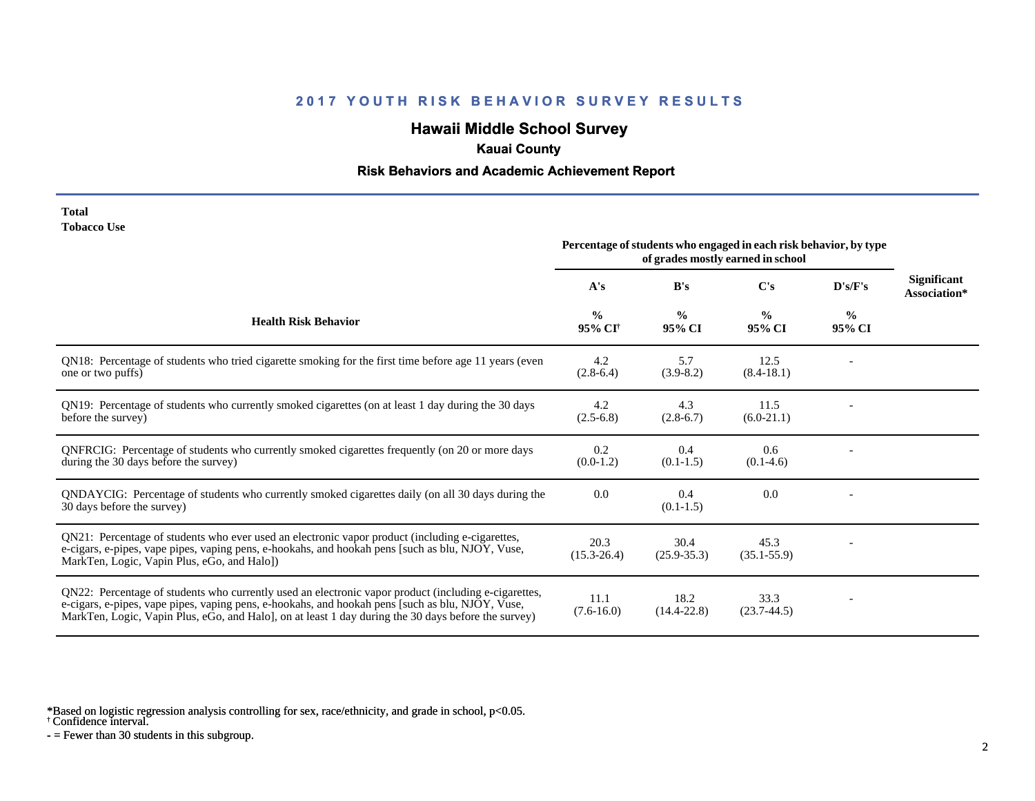# **Hawaii Middle School Survey**

## **Kauai County**

#### **Risk Behaviors and Academic Achievement Report**

| Total       |  |
|-------------|--|
| Tobacco Use |  |

|                                                                                                                                                                                                                                                                                                                 | Percentage of students who engaged in each risk behavior, by type<br>of grades mostly earned in school |                         |                         |                         |                                    |
|-----------------------------------------------------------------------------------------------------------------------------------------------------------------------------------------------------------------------------------------------------------------------------------------------------------------|--------------------------------------------------------------------------------------------------------|-------------------------|-------------------------|-------------------------|------------------------------------|
|                                                                                                                                                                                                                                                                                                                 | A's                                                                                                    | B's                     | $\bf C's$               | D's/F's                 | <b>Significant</b><br>Association* |
| <b>Health Risk Behavior</b>                                                                                                                                                                                                                                                                                     | $\frac{0}{0}$<br>95% CI <sup>†</sup>                                                                   | $\frac{0}{0}$<br>95% CI | $\frac{0}{0}$<br>95% CI | $\frac{6}{6}$<br>95% CI |                                    |
| QN18: Percentage of students who tried cigarette smoking for the first time before age 11 years (even<br>one or two puffs)                                                                                                                                                                                      | 4.2<br>$(2.8-6.4)$                                                                                     | 5.7<br>$(3.9 - 8.2)$    | 12.5<br>$(8.4-18.1)$    |                         |                                    |
| QN19: Percentage of students who currently smoked cigarettes (on at least 1 day during the 30 days<br>before the survey)                                                                                                                                                                                        | 4.2<br>$(2.5-6.8)$                                                                                     | 4.3<br>$(2.8-6.7)$      | 11.5<br>$(6.0-21.1)$    |                         |                                    |
| QNFRCIG: Percentage of students who currently smoked cigarettes frequently (on 20 or more days<br>during the 30 days before the survey)                                                                                                                                                                         | 0.2<br>$(0.0-1.2)$                                                                                     | 0.4<br>$(0.1-1.5)$      | 0.6<br>$(0.1-4.6)$      |                         |                                    |
| QNDAYCIG: Percentage of students who currently smoked cigarettes daily (on all 30 days during the<br>30 days before the survey)                                                                                                                                                                                 | 0.0                                                                                                    | 0.4<br>$(0.1-1.5)$      | 0.0                     |                         |                                    |
| QN21: Percentage of students who ever used an electronic vapor product (including e-cigarettes,<br>e-cigars, e-pipes, vape pipes, vaping pens, e-hookahs, and hookah pens [such as blu, NJOY, Vuse,<br>MarkTen, Logic, Vapin Plus, eGo, and Halo])                                                              | 20.3<br>$(15.3 - 26.4)$                                                                                | 30.4<br>$(25.9 - 35.3)$ | 45.3<br>$(35.1 - 55.9)$ |                         |                                    |
| QN22: Percentage of students who currently used an electronic vapor product (including e-cigarettes,<br>e-cigars, e-pipes, vape pipes, vaping pens, e-hookahs, and hookah pens [such as blu, NJOY, Vuse,<br>MarkTen, Logic, Vapin Plus, eGo, and Halo], on at least 1 day during the 30 days before the survey) | 11.1<br>$(7.6 - 16.0)$                                                                                 | 18.2<br>$(14.4 - 22.8)$ | 33.3<br>$(23.7 - 44.5)$ |                         |                                    |

\*Based on logistic regression analysis controlling for sex, race/ethnicity, and grade in school, p<0.05.

† Confidence interval.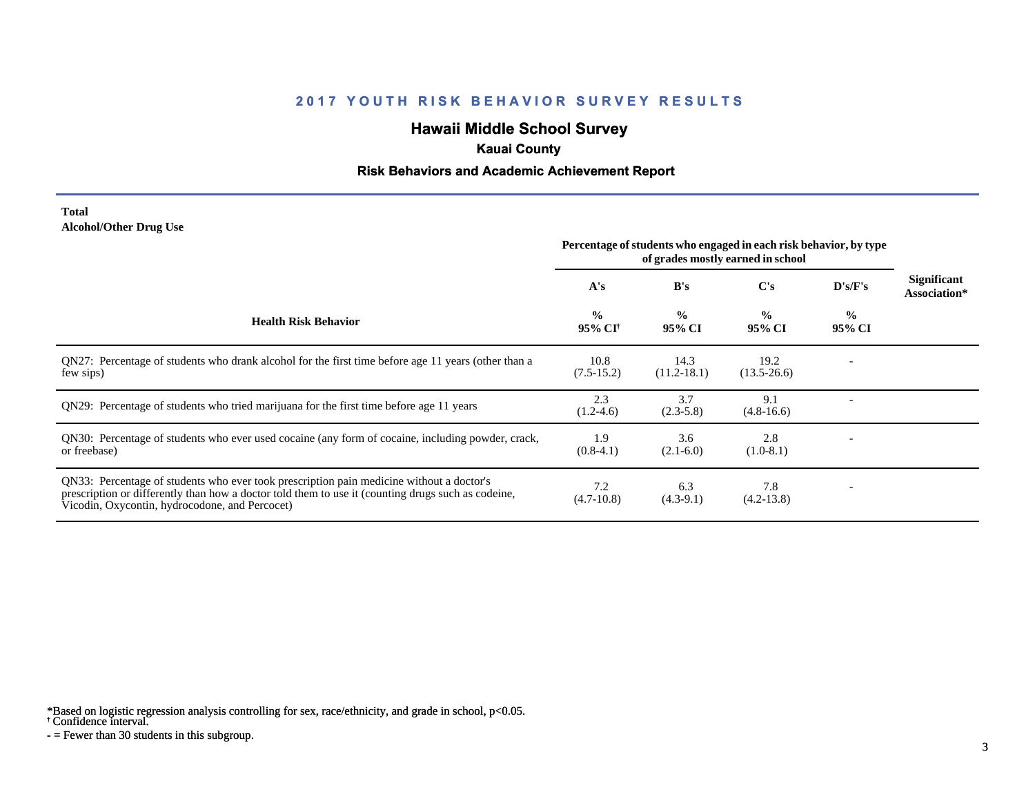# **Hawaii Middle School Survey**

## **Kauai County**

#### **Risk Behaviors and Academic Achievement Report**

#### **Total Alcohol/Other Drug Use**

|                                                                                                                                                                                                                                                  | Percentage of students who engaged in each risk behavior, by type<br>of grades mostly earned in school |                         |                         |                         |                             |
|--------------------------------------------------------------------------------------------------------------------------------------------------------------------------------------------------------------------------------------------------|--------------------------------------------------------------------------------------------------------|-------------------------|-------------------------|-------------------------|-----------------------------|
|                                                                                                                                                                                                                                                  | A's                                                                                                    | B's                     | $\bf C's$               | D's/F's                 | Significant<br>Association* |
| <b>Health Risk Behavior</b>                                                                                                                                                                                                                      | $\frac{0}{0}$<br>95% CI <sup>†</sup>                                                                   | $\frac{0}{0}$<br>95% CI | $\frac{0}{0}$<br>95% CI | $\frac{0}{0}$<br>95% CI |                             |
| QN27: Percentage of students who drank alcohol for the first time before age 11 years (other than a<br>few sips)                                                                                                                                 | 10.8<br>$(7.5-15.2)$                                                                                   | 14.3<br>$(11.2 - 18.1)$ | 19.2<br>$(13.5 - 26.6)$ |                         |                             |
| QN29: Percentage of students who tried marijuana for the first time before age 11 years                                                                                                                                                          | 2.3<br>$(1.2-4.6)$                                                                                     | 3.7<br>$(2.3-5.8)$      | 9.1<br>$(4.8-16.6)$     |                         |                             |
| QN30: Percentage of students who ever used cocaine (any form of cocaine, including powder, crack,<br>or freebase)                                                                                                                                | 1.9<br>$(0.8-4.1)$                                                                                     | 3.6<br>$(2.1-6.0)$      | 2.8<br>$(1.0-8.1)$      |                         |                             |
| QN33: Percentage of students who ever took prescription pain medicine without a doctor's<br>prescription or differently than how a doctor told them to use it (counting drugs such as codeine,<br>Vicodin, Oxycontin, hydrocodone, and Percocet) | 7.2<br>$(4.7-10.8)$                                                                                    | 6.3<br>$(4.3-9.1)$      | 7.8<br>$(4.2 - 13.8)$   |                         |                             |

\*Based on logistic regression analysis controlling for sex, race/ethnicity, and grade in school, p<0.05.

† Confidence interval.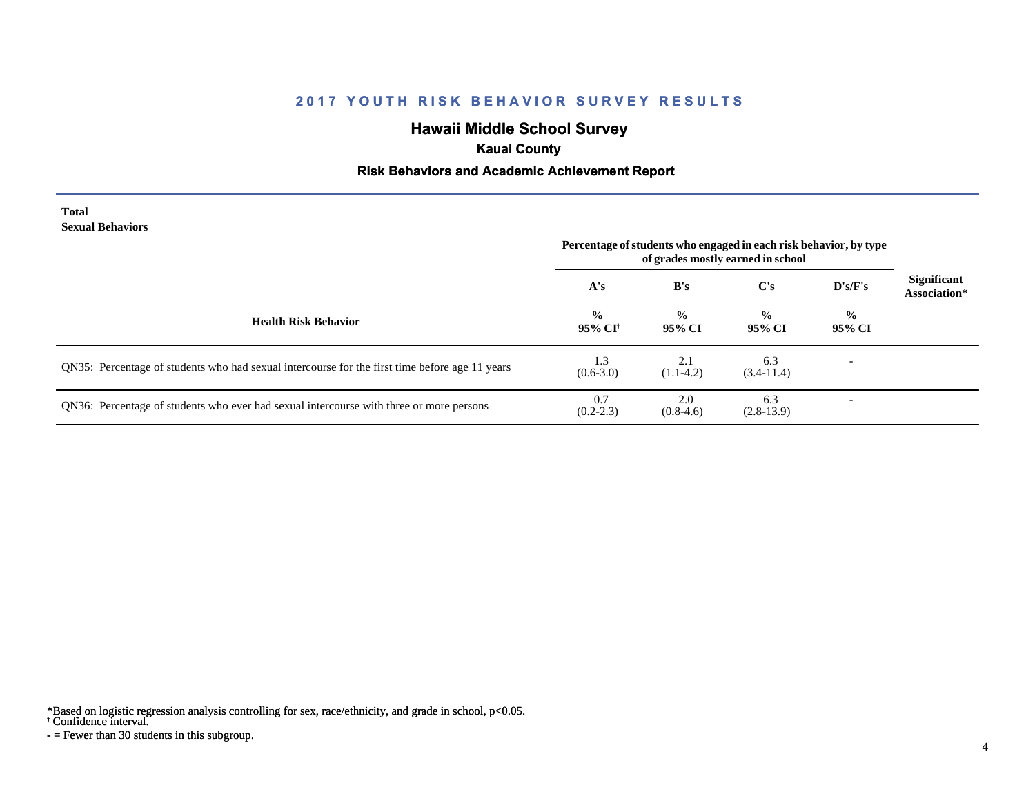# **Hawaii Middle School Survey**

### **Kauai County**

### **Risk Behaviors and Academic Achievement Report**

#### **Total Sexual Behaviors**

|                                                                                                | Percentage of students who engaged in each risk behavior, by type<br>of grades mostly earned in school |                         |                         |                          |                                    |
|------------------------------------------------------------------------------------------------|--------------------------------------------------------------------------------------------------------|-------------------------|-------------------------|--------------------------|------------------------------------|
|                                                                                                | A's                                                                                                    | B's                     | $\bf C's$               | D's/F's                  | <b>Significant</b><br>Association* |
| <b>Health Risk Behavior</b>                                                                    | $\frac{0}{0}$<br>95% CI†                                                                               | $\frac{0}{0}$<br>95% CI | $\frac{0}{0}$<br>95% CI | $\frac{0}{0}$<br>95% CI  |                                    |
| QN35: Percentage of students who had sexual intercourse for the first time before age 11 years | 1.3<br>$(0.6 - 3.0)$                                                                                   | 2.1<br>$(1.1-4.2)$      | 6.3<br>$(3.4-11.4)$     | $\overline{\phantom{0}}$ |                                    |
| QN36: Percentage of students who ever had sexual intercourse with three or more persons        | 0.7<br>$(0.2 - 2.3)$                                                                                   | 2.0<br>$(0.8-4.6)$      | 6.3<br>$(2.8-13.9)$     | $\overline{\phantom{a}}$ |                                    |

\*Based on logistic regression analysis controlling for sex, race/ethnicity, and grade in school, p<0.05.

† Confidence interval.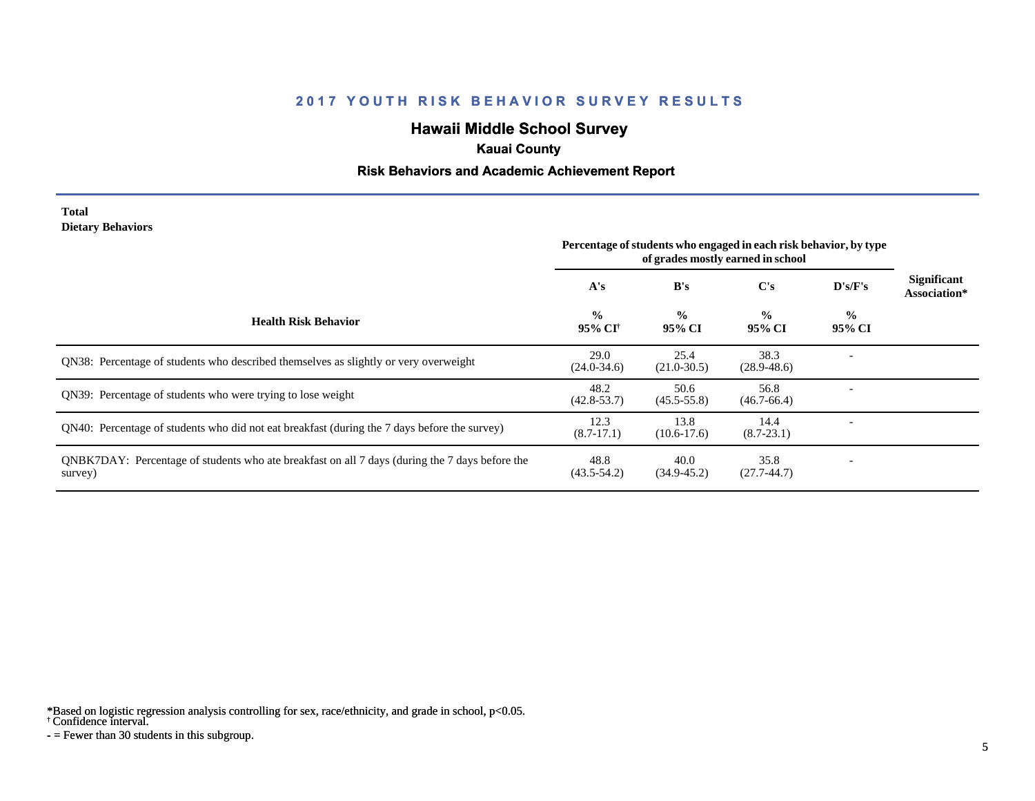# **Hawaii Middle School Survey**

## **Kauai County**

### **Risk Behaviors and Academic Achievement Report**

#### **Total Dietary Behaviors**

|                                                                                                           | Percentage of students who engaged in each risk behavior, by type<br>of grades mostly earned in school |                         |                         |                         |                             |
|-----------------------------------------------------------------------------------------------------------|--------------------------------------------------------------------------------------------------------|-------------------------|-------------------------|-------------------------|-----------------------------|
|                                                                                                           | A's                                                                                                    | B's                     | C's                     | D's/F's                 | Significant<br>Association* |
| <b>Health Risk Behavior</b>                                                                               | $\frac{0}{0}$<br>95% CI†                                                                               | $\frac{0}{0}$<br>95% CI | $\frac{0}{0}$<br>95% CI | $\frac{0}{0}$<br>95% CI |                             |
| <b>ON38:</b> Percentage of students who described themselves as slightly or very overweight               | 29.0<br>$(24.0 - 34.6)$                                                                                | 25.4<br>$(21.0 - 30.5)$ | 38.3<br>$(28.9 - 48.6)$ |                         |                             |
| QN39: Percentage of students who were trying to lose weight                                               | 48.2<br>$(42.8 - 53.7)$                                                                                | 50.6<br>$(45.5 - 55.8)$ | 56.8<br>$(46.7 - 66.4)$ |                         |                             |
| QN40: Percentage of students who did not eat breakfast (during the 7 days before the survey)              | 12.3<br>$(8.7-17.1)$                                                                                   | 13.8<br>$(10.6-17.6)$   | 14.4<br>$(8.7 - 23.1)$  |                         |                             |
| QNBK7DAY: Percentage of students who ate breakfast on all 7 days (during the 7 days before the<br>survey) | 48.8<br>$(43.5 - 54.2)$                                                                                | 40.0<br>$(34.9 - 45.2)$ | 35.8<br>$(27.7-44.7)$   |                         |                             |

\*Based on logistic regression analysis controlling for sex, race/ethnicity, and grade in school, p<0.05.

† Confidence interval.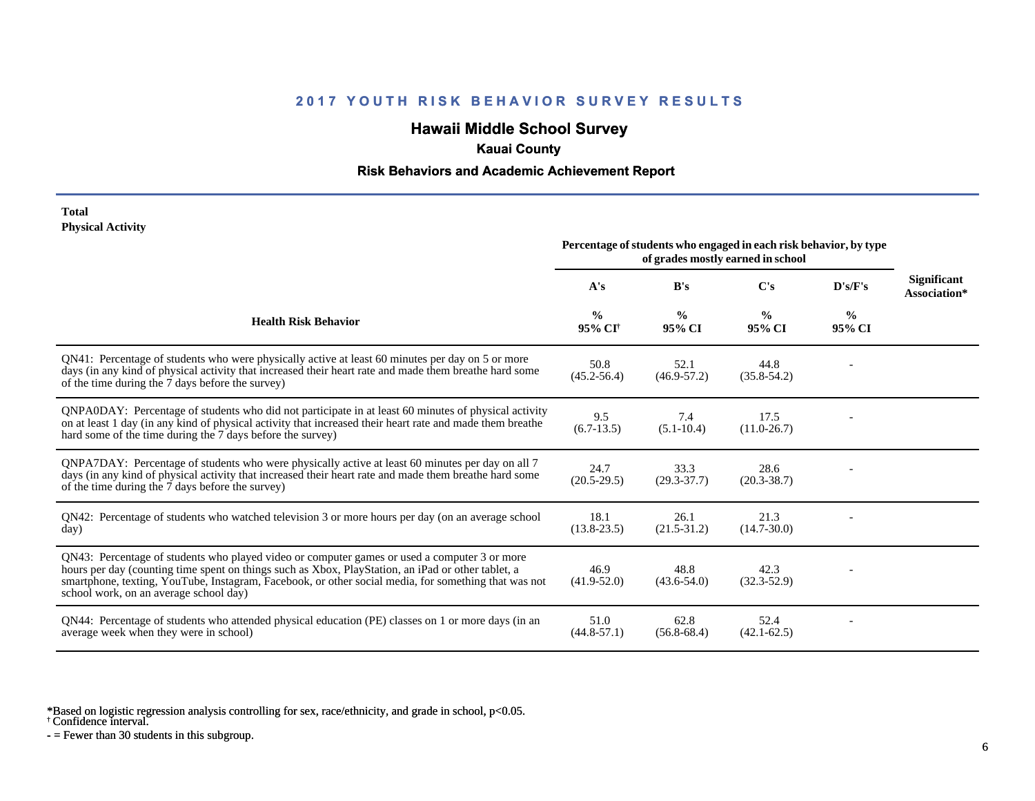# **Hawaii Middle School Survey**

### **Kauai County**

### **Risk Behaviors and Academic Achievement Report**

#### **Total Physical Activity**

|                                                                                                                                                                                                                                                                                                                                                      | Percentage of students who engaged in each risk behavior, by type<br>of grades mostly earned in school |                         |                         |                         |                                    |
|------------------------------------------------------------------------------------------------------------------------------------------------------------------------------------------------------------------------------------------------------------------------------------------------------------------------------------------------------|--------------------------------------------------------------------------------------------------------|-------------------------|-------------------------|-------------------------|------------------------------------|
|                                                                                                                                                                                                                                                                                                                                                      | A's                                                                                                    | B's                     | C's                     | $\bf{D's/F's}$          | <b>Significant</b><br>Association* |
| <b>Health Risk Behavior</b>                                                                                                                                                                                                                                                                                                                          | $\frac{0}{0}$<br>95% CI <sup>+</sup>                                                                   | $\frac{0}{0}$<br>95% CI | $\frac{0}{0}$<br>95% CI | $\frac{0}{0}$<br>95% CI |                                    |
| QN41: Percentage of students who were physically active at least 60 minutes per day on 5 or more<br>days (in any kind of physical activity that increased their heart rate and made them breathe hard some<br>of the time during the 7 days before the survey)                                                                                       | 50.8<br>$(45.2 - 56.4)$                                                                                | 52.1<br>$(46.9 - 57.2)$ | 44.8<br>$(35.8 - 54.2)$ |                         |                                    |
| QNPA0DAY: Percentage of students who did not participate in at least 60 minutes of physical activity<br>on at least 1 day (in any kind of physical activity that increased their heart rate and made them breathe<br>hard some of the time during the 7 days before the survey)                                                                      | 9.5<br>$(6.7-13.5)$                                                                                    | 7.4<br>$(5.1 - 10.4)$   | 17.5<br>$(11.0 - 26.7)$ |                         |                                    |
| QNPA7DAY: Percentage of students who were physically active at least 60 minutes per day on all 7<br>days (in any kind of physical activity that increased their heart rate and made them breathe hard some<br>of the time during the 7 days before the survey)                                                                                       | 24.7<br>$(20.5-29.5)$                                                                                  | 33.3<br>$(29.3 - 37.7)$ | 28.6<br>$(20.3 - 38.7)$ |                         |                                    |
| QN42: Percentage of students who watched television 3 or more hours per day (on an average school<br>day)                                                                                                                                                                                                                                            | 18.1<br>$(13.8 - 23.5)$                                                                                | 26.1<br>$(21.5 - 31.2)$ | 21.3<br>$(14.7 - 30.0)$ |                         |                                    |
| QN43: Percentage of students who played video or computer games or used a computer 3 or more<br>hours per day (counting time spent on things such as Xbox, PlayStation, an iPad or other tablet, a<br>smartphone, texting, YouTube, Instagram, Facebook, or other social media, for something that was not<br>school work, on an average school day) | 46.9<br>$(41.9 - 52.0)$                                                                                | 48.8<br>$(43.6 - 54.0)$ | 42.3<br>$(32.3 - 52.9)$ |                         |                                    |
| QN44: Percentage of students who attended physical education (PE) classes on 1 or more days (in an<br>average week when they were in school)                                                                                                                                                                                                         | 51.0<br>$(44.8 - 57.1)$                                                                                | 62.8<br>$(56.8-68.4)$   | 52.4<br>$(42.1 - 62.5)$ |                         |                                    |

\*Based on logistic regression analysis controlling for sex, race/ethnicity, and grade in school, p<0.05.

† Confidence interval.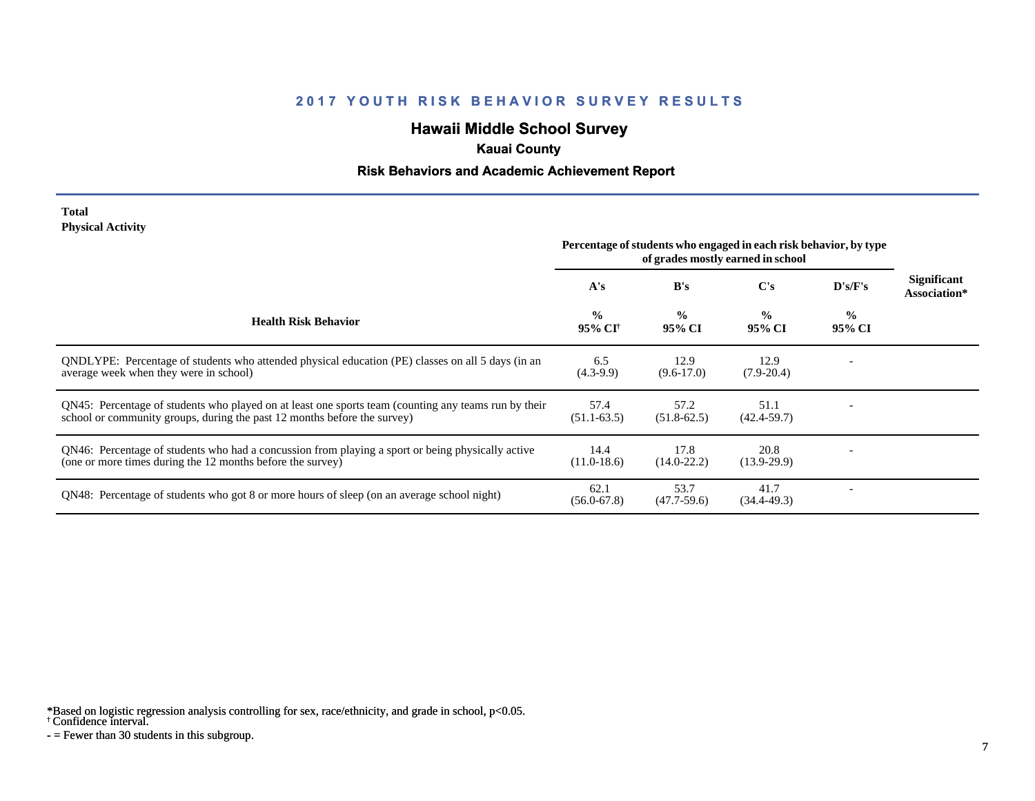# **Hawaii Middle School Survey**

## **Kauai County**

### **Risk Behaviors and Academic Achievement Report**

#### **Total Physical Activity**

|                                                                                                                                                                                  | Percentage of students who engaged in each risk behavior, by type<br>of grades mostly earned in school |                         |                         |                         |                                    |
|----------------------------------------------------------------------------------------------------------------------------------------------------------------------------------|--------------------------------------------------------------------------------------------------------|-------------------------|-------------------------|-------------------------|------------------------------------|
|                                                                                                                                                                                  | A's                                                                                                    | B's                     | C's                     | D's/F's                 | <b>Significant</b><br>Association* |
| <b>Health Risk Behavior</b>                                                                                                                                                      | $\frac{0}{0}$<br>95% CI <sup>†</sup>                                                                   | $\frac{0}{0}$<br>95% CI | $\frac{0}{0}$<br>95% CI | $\frac{0}{0}$<br>95% CI |                                    |
| ONDLYPE: Percentage of students who attended physical education (PE) classes on all 5 days (in an<br>average week when they were in school)                                      | 6.5<br>$(4.3-9.9)$                                                                                     | 12.9<br>$(9.6-17.0)$    | 12.9<br>$(7.9-20.4)$    |                         |                                    |
| QN45: Percentage of students who played on at least one sports team (counting any teams run by their<br>school or community groups, during the past 12 months before the survey) | 57.4<br>$(51.1 - 63.5)$                                                                                | 57.2<br>$(51.8-62.5)$   | 51.1<br>$(42.4 - 59.7)$ |                         |                                    |
| QN46: Percentage of students who had a concussion from playing a sport or being physically active<br>(one or more times during the 12 months before the survey)                  | 14.4<br>$(11.0-18.6)$                                                                                  | 17.8<br>$(14.0 - 22.2)$ | 20.8<br>$(13.9-29.9)$   |                         |                                    |
| QN48: Percentage of students who got 8 or more hours of sleep (on an average school night)                                                                                       | 62.1<br>$(56.0 - 67.8)$                                                                                | 53.7<br>$(47.7-59.6)$   | 41.7<br>$(34.4 - 49.3)$ |                         |                                    |

\*Based on logistic regression analysis controlling for sex, race/ethnicity, and grade in school, p<0.05.

† Confidence interval.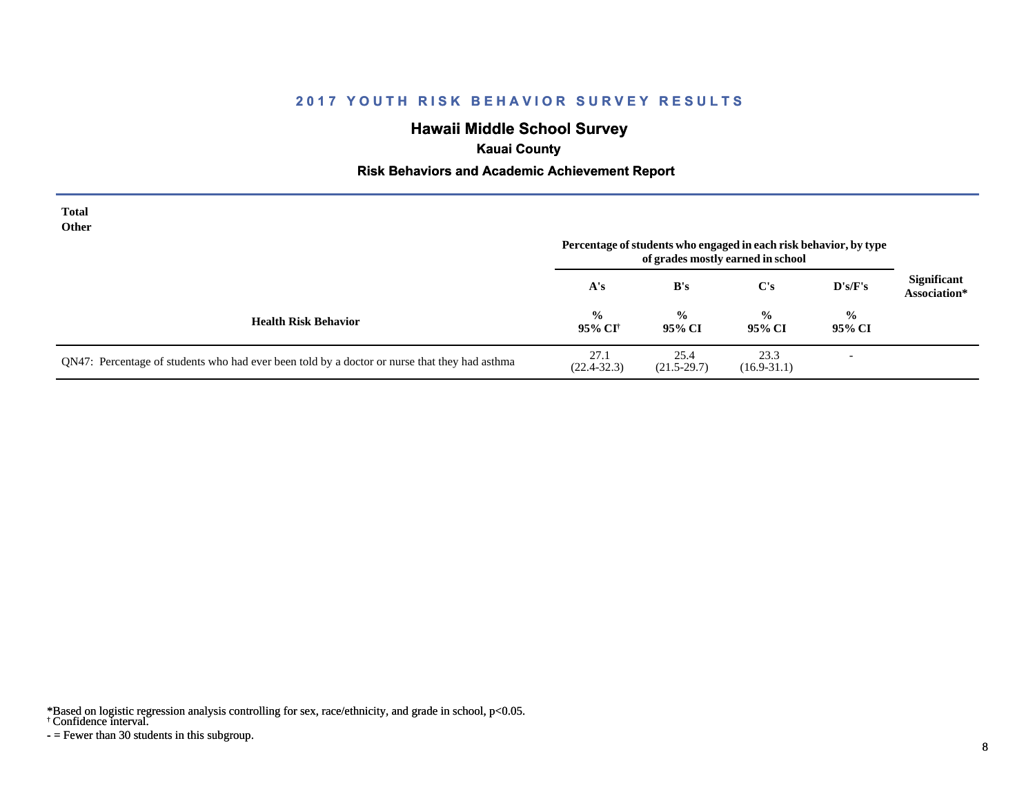# **Hawaii Middle School Survey**

## **Kauai County**

#### **Risk Behaviors and Academic Achievement Report**

| <b>Total</b><br>Other                                                                         |                           |                         | Percentage of students who engaged in each risk behavior, by type<br>of grades mostly earned in school |                          |                                    |
|-----------------------------------------------------------------------------------------------|---------------------------|-------------------------|--------------------------------------------------------------------------------------------------------|--------------------------|------------------------------------|
|                                                                                               | A's                       | B's                     | $\bf C's$                                                                                              | $\bf{D's/F's}$           | <b>Significant</b><br>Association* |
| <b>Health Risk Behavior</b>                                                                   | $\frac{6}{10}$<br>95% CI† | $\frac{0}{0}$<br>95% CI | $\frac{0}{0}$<br>95% CI                                                                                | $\frac{0}{0}$<br>95% CI  |                                    |
| QN47: Percentage of students who had ever been told by a doctor or nurse that they had asthma | 27.1<br>$(22.4 - 32.3)$   | 25.4<br>$(21.5-29.7)$   | 23.3<br>$(16.9 - 31.1)$                                                                                | $\overline{\phantom{a}}$ |                                    |

\*Based on logistic regression analysis controlling for sex, race/ethnicity, and grade in school, p<0.05.

† Confidence interval.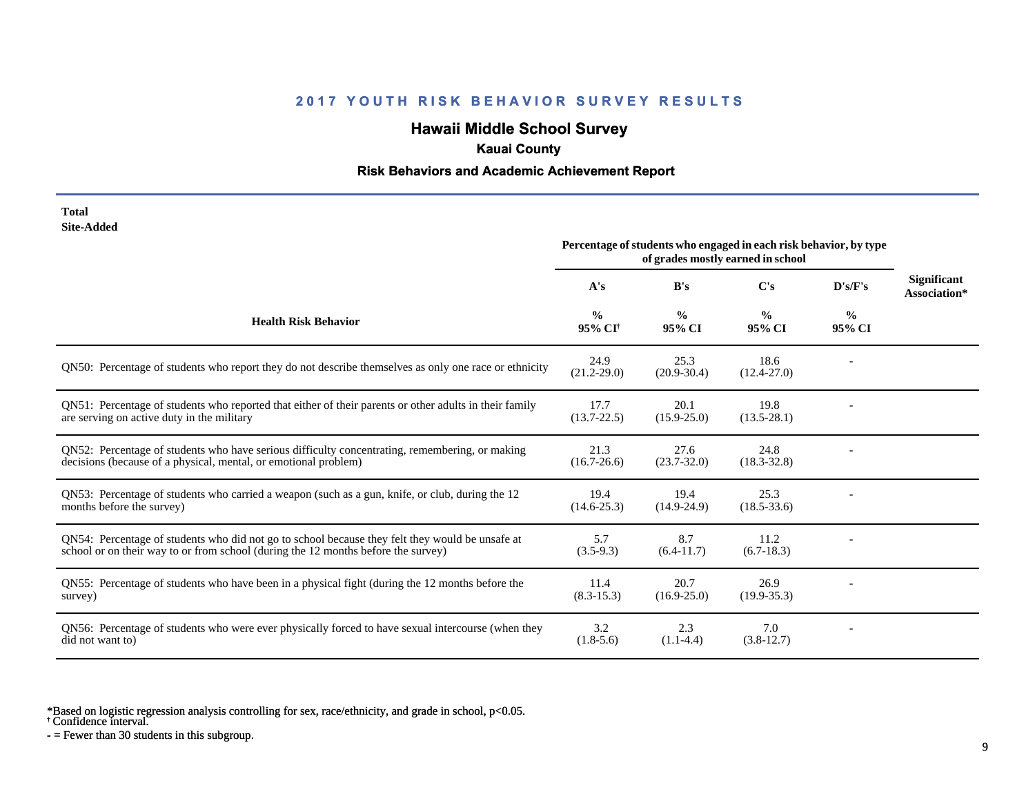# **Hawaii Middle School Survey**

## **Kauai County**

### **Risk Behaviors and Academic Achievement Report**

| Total      |
|------------|
| Site-Added |

| one Augu                                                                                                                                                                             | Percentage of students who engaged in each risk behavior, by type<br>of grades mostly earned in school |                         |                         |                         |                                    |
|--------------------------------------------------------------------------------------------------------------------------------------------------------------------------------------|--------------------------------------------------------------------------------------------------------|-------------------------|-------------------------|-------------------------|------------------------------------|
|                                                                                                                                                                                      | A's                                                                                                    | B's                     | $\bf C's$               | D's/F's                 | <b>Significant</b><br>Association* |
| <b>Health Risk Behavior</b>                                                                                                                                                          | $\%$<br>95% CI <sup>+</sup>                                                                            | $\frac{0}{0}$<br>95% CI | $\frac{6}{9}$<br>95% CI | $\frac{6}{6}$<br>95% CI |                                    |
| QN50: Percentage of students who report they do not describe themselves as only one race or ethnicity                                                                                | 24.9<br>$(21.2 - 29.0)$                                                                                | 25.3<br>$(20.9 - 30.4)$ | 18.6<br>$(12.4 - 27.0)$ |                         |                                    |
| QN51: Percentage of students who reported that either of their parents or other adults in their family<br>are serving on active duty in the military                                 | 17.7<br>$(13.7 - 22.5)$                                                                                | 20.1<br>$(15.9 - 25.0)$ | 19.8<br>$(13.5 - 28.1)$ |                         |                                    |
| QN52: Percentage of students who have serious difficulty concentrating, remembering, or making<br>decisions (because of a physical, mental, or emotional problem)                    | 21.3<br>$(16.7 - 26.6)$                                                                                | 27.6<br>$(23.7 - 32.0)$ | 24.8<br>$(18.3 - 32.8)$ |                         |                                    |
| QN53: Percentage of students who carried a weapon (such as a gun, knife, or club, during the 12<br>months before the survey)                                                         | 19.4<br>$(14.6 - 25.3)$                                                                                | 19.4<br>$(14.9-24.9)$   | 25.3<br>$(18.5 - 33.6)$ |                         |                                    |
| QN54: Percentage of students who did not go to school because they felt they would be unsafe at<br>school or on their way to or from school (during the 12 months before the survey) | 5.7<br>$(3.5-9.3)$                                                                                     | 8.7<br>$(6.4-11.7)$     | 11.2<br>$(6.7-18.3)$    |                         |                                    |
| QN55: Percentage of students who have been in a physical fight (during the 12 months before the<br>survey)                                                                           | 11.4<br>$(8.3 - 15.3)$                                                                                 | 20.7<br>$(16.9 - 25.0)$ | 26.9<br>$(19.9 - 35.3)$ |                         |                                    |
| QN56: Percentage of students who were ever physically forced to have sexual intercourse (when they<br>did not want to)                                                               | 3.2<br>$(1.8-5.6)$                                                                                     | 2.3<br>$(1.1-4.4)$      | 7.0<br>$(3.8-12.7)$     |                         |                                    |

\*Based on logistic regression analysis controlling for sex, race/ethnicity, and grade in school, p<0.05.

† Confidence interval.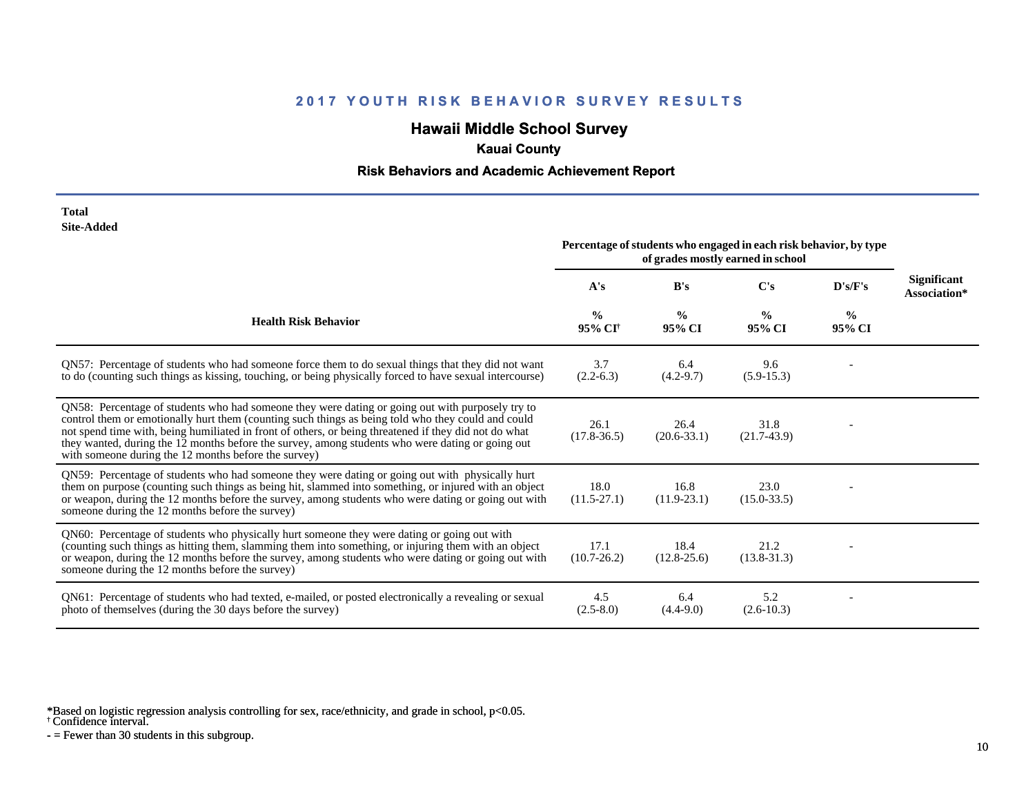# **Hawaii Middle School Survey**

## **Kauai County**

#### **Risk Behaviors and Academic Achievement Report**

| Total      |
|------------|
| Site-Added |

| one-nuuvu                                                                                                                                                                                                                                                                                                                                                                                                                                                                   | Percentage of students who engaged in each risk behavior, by type<br>of grades mostly earned in school |                         |                         |                |                             |
|-----------------------------------------------------------------------------------------------------------------------------------------------------------------------------------------------------------------------------------------------------------------------------------------------------------------------------------------------------------------------------------------------------------------------------------------------------------------------------|--------------------------------------------------------------------------------------------------------|-------------------------|-------------------------|----------------|-----------------------------|
|                                                                                                                                                                                                                                                                                                                                                                                                                                                                             | A's                                                                                                    | B's                     | C's                     | D's/F's        | Significant<br>Association* |
| <b>Health Risk Behavior</b>                                                                                                                                                                                                                                                                                                                                                                                                                                                 | $\frac{0}{0}$<br>95% CI <sup>†</sup>                                                                   | $\frac{0}{0}$<br>95% CI | $\frac{0}{0}$<br>95% CI | $\%$<br>95% CI |                             |
| QN57: Percentage of students who had someone force them to do sexual things that they did not want<br>to do (counting such things as kissing, touching, or being physically forced to have sexual intercourse)                                                                                                                                                                                                                                                              | 3.7<br>$(2.2-6.3)$                                                                                     | 6.4<br>$(4.2 - 9.7)$    | 9.6<br>$(5.9-15.3)$     |                |                             |
| QN58: Percentage of students who had someone they were dating or going out with purposely try to<br>control them or emotionally hurt them (counting such things as being told who they could and could<br>not spend time with, being humiliated in front of others, or being threatened if they did not do what<br>they wanted, during the 12 months before the survey, among students who were dating or going out<br>with someone during the 12 months before the survey) | 26.1<br>$(17.8 - 36.5)$                                                                                | 26.4<br>$(20.6 - 33.1)$ | 31.8<br>$(21.7-43.9)$   |                |                             |
| QN59: Percentage of students who had someone they were dating or going out with physically hurt<br>them on purpose (counting such things as being hit, slammed into something, or injured with an object<br>or weapon, during the 12 months before the survey, among students who were dating or going out with<br>someone during the 12 months before the survey)                                                                                                          | 18.0<br>$(11.5 - 27.1)$                                                                                | 16.8<br>$(11.9-23.1)$   | 23.0<br>$(15.0 - 33.5)$ |                |                             |
| QN60: Percentage of students who physically hurt someone they were dating or going out with<br>(counting such things as hitting them, slamming them into something, or injuring them with an object<br>or weapon, during the 12 months before the survey, among students who were dating or going out with<br>someone during the 12 months before the survey)                                                                                                               | 17.1<br>$(10.7 - 26.2)$                                                                                | 18.4<br>$(12.8-25.6)$   | 21.2<br>$(13.8-31.3)$   |                |                             |
| QN61: Percentage of students who had texted, e-mailed, or posted electronically a revealing or sexual<br>photo of themselves (during the 30 days before the survey)                                                                                                                                                                                                                                                                                                         | 4.5<br>$(2.5-8.0)$                                                                                     | 6.4<br>$(4.4-9.0)$      | 5.2<br>$(2.6-10.3)$     |                |                             |

\*Based on logistic regression analysis controlling for sex, race/ethnicity, and grade in school, p<0.05.

† Confidence interval.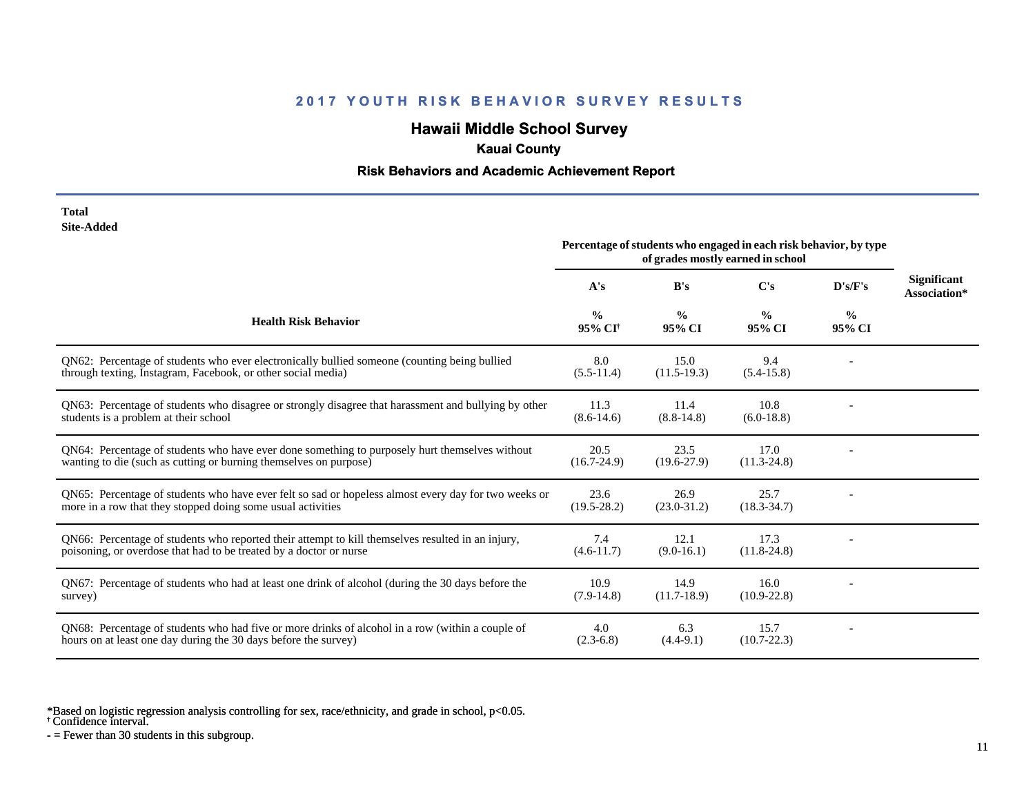## **Hawaii Middle School Survey**

### **Kauai County**

### **Risk Behaviors and Academic Achievement Report**

#### **Total Site-Added**

|                                                                                                                                                                         | Percentage of students who engaged in each risk behavior, by type<br>of grades mostly earned in school |                         |                         |                         |                                    |
|-------------------------------------------------------------------------------------------------------------------------------------------------------------------------|--------------------------------------------------------------------------------------------------------|-------------------------|-------------------------|-------------------------|------------------------------------|
|                                                                                                                                                                         | A's                                                                                                    | B's                     | C's                     | D's/F's                 | <b>Significant</b><br>Association* |
| <b>Health Risk Behavior</b>                                                                                                                                             | $\frac{6}{6}$<br>95% CI†                                                                               | $\frac{0}{0}$<br>95% CI | $\frac{0}{0}$<br>95% CI | $\frac{0}{0}$<br>95% CI |                                    |
| QN62: Percentage of students who ever electronically bullied someone (counting being bullied<br>through texting, Instagram, Facebook, or other social media)            | 8.0<br>$(5.5-11.4)$                                                                                    | 15.0<br>$(11.5-19.3)$   | 9.4<br>$(5.4-15.8)$     |                         |                                    |
| QN63: Percentage of students who disagree or strongly disagree that harassment and bullying by other<br>students is a problem at their school                           | 11.3<br>$(8.6-14.6)$                                                                                   | 11.4<br>$(8.8-14.8)$    | 10.8<br>$(6.0-18.8)$    |                         |                                    |
| QN64: Percentage of students who have ever done something to purposely hurt themselves without<br>wanting to die (such as cutting or burning themselves on purpose)     | 20.5<br>$(16.7 - 24.9)$                                                                                | 23.5<br>$(19.6 - 27.9)$ | 17.0<br>$(11.3 - 24.8)$ |                         |                                    |
| QN65: Percentage of students who have ever felt so sad or hopeless almost every day for two weeks or<br>more in a row that they stopped doing some usual activities     | 23.6<br>$(19.5 - 28.2)$                                                                                | 26.9<br>$(23.0 - 31.2)$ | 25.7<br>$(18.3 - 34.7)$ |                         |                                    |
| QN66: Percentage of students who reported their attempt to kill themselves resulted in an injury,<br>poisoning, or overdose that had to be treated by a doctor or nurse | 7.4<br>$(4.6-11.7)$                                                                                    | 12.1<br>$(9.0-16.1)$    | 17.3<br>$(11.8-24.8)$   |                         |                                    |
| QN67: Percentage of students who had at least one drink of alcohol (during the 30 days before the<br>survey)                                                            | 10.9<br>$(7.9-14.8)$                                                                                   | 14.9<br>$(11.7-18.9)$   | 16.0<br>$(10.9 - 22.8)$ |                         |                                    |
| ON68: Percentage of students who had five or more drinks of alcohol in a row (within a couple of<br>hours on at least one day during the 30 days before the survey)     | 4.0<br>$(2.3-6.8)$                                                                                     | 6.3<br>$(4.4-9.1)$      | 15.7<br>$(10.7 - 22.3)$ |                         |                                    |

\*Based on logistic regression analysis controlling for sex, race/ethnicity, and grade in school, p<0.05.

† Confidence interval.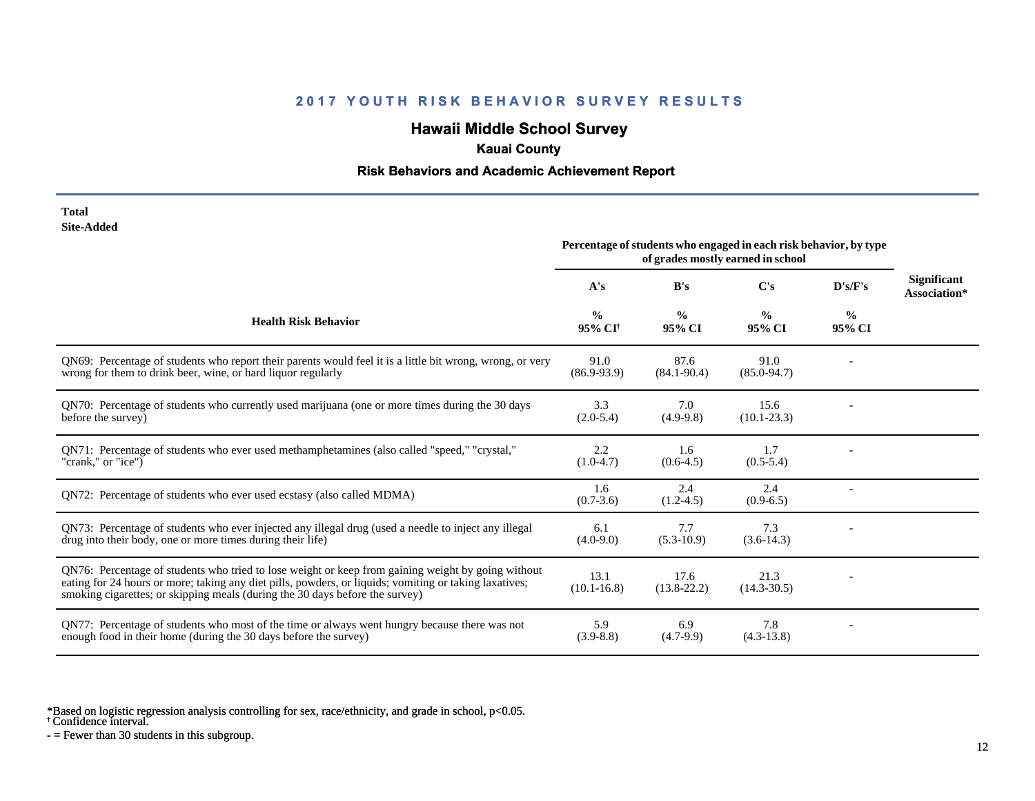# **Hawaii Middle School Survey**

## **Kauai County**

### **Risk Behaviors and Academic Achievement Report**

| Total      |
|------------|
| Site-Added |

| one maaeg                                                                                                                                                                                                                                                                                    | Percentage of students who engaged in each risk behavior, by type<br>of grades mostly earned in school |                         |                         |                         |                                    |
|----------------------------------------------------------------------------------------------------------------------------------------------------------------------------------------------------------------------------------------------------------------------------------------------|--------------------------------------------------------------------------------------------------------|-------------------------|-------------------------|-------------------------|------------------------------------|
|                                                                                                                                                                                                                                                                                              | A's                                                                                                    | B's                     | C's                     | D's/F's                 | <b>Significant</b><br>Association* |
| <b>Health Risk Behavior</b>                                                                                                                                                                                                                                                                  | $\%$<br>95% CI <sup>+</sup>                                                                            | $\frac{0}{0}$<br>95% CI | $\frac{0}{0}$<br>95% CI | $\frac{0}{0}$<br>95% CI |                                    |
| QN69: Percentage of students who report their parents would feel it is a little bit wrong, wrong, or very<br>wrong for them to drink beer, wine, or hard liquor regularly                                                                                                                    | 91.0<br>$(86.9 - 93.9)$                                                                                | 87.6<br>$(84.1 - 90.4)$ | 91.0<br>$(85.0 - 94.7)$ |                         |                                    |
| QN70: Percentage of students who currently used marijuana (one or more times during the 30 days<br>before the survey)                                                                                                                                                                        | 3.3<br>$(2.0-5.4)$                                                                                     | 7.0<br>$(4.9-9.8)$      | 15.6<br>$(10.1 - 23.3)$ |                         |                                    |
| QN71: Percentage of students who ever used methamphetamines (also called "speed," "crystal,"<br>"crank," or "ice")                                                                                                                                                                           | 2.2<br>$(1.0-4.7)$                                                                                     | 1.6<br>$(0.6-4.5)$      | 1.7<br>$(0.5-5.4)$      |                         |                                    |
| QN72: Percentage of students who ever used ecstasy (also called MDMA)                                                                                                                                                                                                                        | 1.6<br>$(0.7-3.6)$                                                                                     | 2.4<br>$(1.2-4.5)$      | 2.4<br>$(0.9-6.5)$      |                         |                                    |
| QN73: Percentage of students who ever injected any illegal drug (used a needle to inject any illegal<br>drug into their body, one or more times during their life)                                                                                                                           | 6.1<br>$(4.0-9.0)$                                                                                     | 7.7<br>$(5.3-10.9)$     | 7.3<br>$(3.6-14.3)$     |                         |                                    |
| QN76: Percentage of students who tried to lose weight or keep from gaining weight by going without<br>eating for 24 hours or more; taking any diet pills, powders, or liquids; vomiting or taking laxatives;<br>smoking cigarettes; or skipping meals (during the 30 days before the survey) | 13.1<br>$(10.1 - 16.8)$                                                                                | 17.6<br>$(13.8-22.2)$   | 21.3<br>$(14.3 - 30.5)$ |                         |                                    |
| QN77: Percentage of students who most of the time or always went hungry because there was not<br>enough food in their home (during the 30 days before the survey)                                                                                                                            | 5.9<br>$(3.9 - 8.8)$                                                                                   | 6.9<br>$(4.7-9.9)$      | 7.8<br>$(4.3-13.8)$     |                         |                                    |

\*Based on logistic regression analysis controlling for sex, race/ethnicity, and grade in school, p<0.05.

† Confidence interval.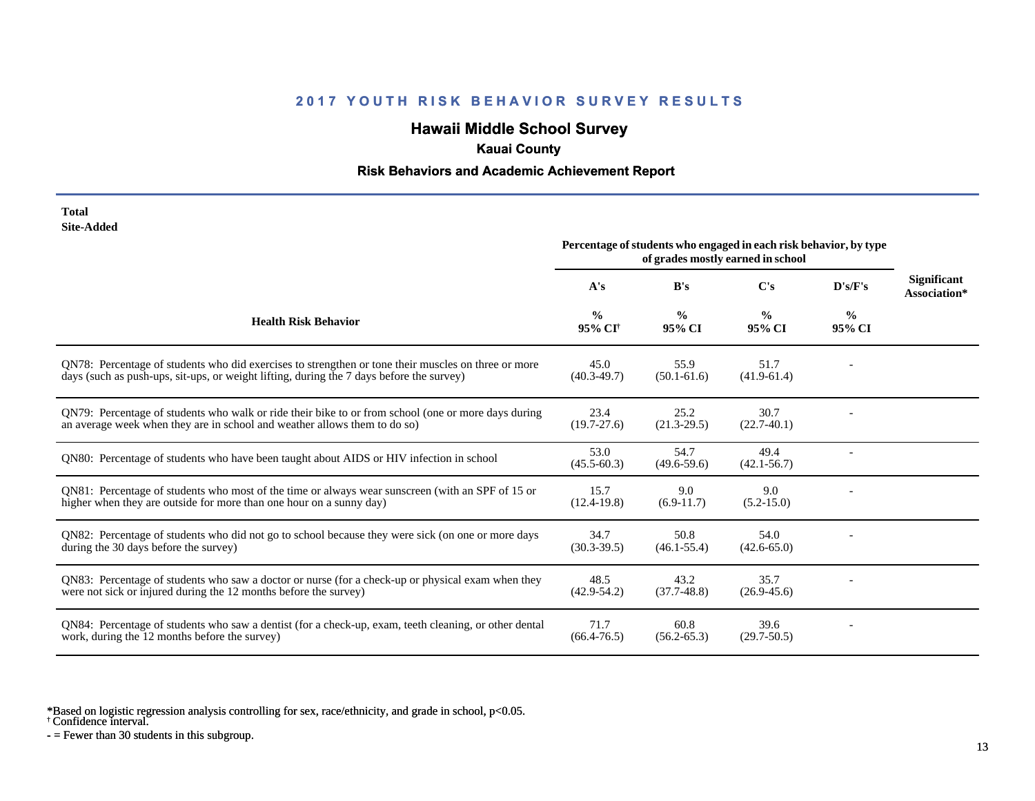# **Hawaii Middle School Survey**

## **Kauai County**

### **Risk Behaviors and Academic Achievement Report**

| Total      |
|------------|
| Site-Added |

|                                                                                                                                                                                                 | Percentage of students who engaged in each risk behavior, by type<br>of grades mostly earned in school |                         |                         |                         |                                    |
|-------------------------------------------------------------------------------------------------------------------------------------------------------------------------------------------------|--------------------------------------------------------------------------------------------------------|-------------------------|-------------------------|-------------------------|------------------------------------|
|                                                                                                                                                                                                 | A's                                                                                                    | B's                     | C's                     | D's/F's                 | <b>Significant</b><br>Association* |
| <b>Health Risk Behavior</b>                                                                                                                                                                     | $\frac{0}{0}$<br>95% CI <sup>†</sup>                                                                   | $\frac{0}{0}$<br>95% CI | $\frac{0}{0}$<br>95% CI | $\frac{0}{0}$<br>95% CI |                                    |
| QN78: Percentage of students who did exercises to strengthen or tone their muscles on three or more<br>days (such as push-ups, sit-ups, or weight lifting, during the 7 days before the survey) | 45.0<br>$(40.3 - 49.7)$                                                                                | 55.9<br>$(50.1 - 61.6)$ | 51.7<br>$(41.9 - 61.4)$ |                         |                                    |
| QN79: Percentage of students who walk or ride their bike to or from school (one or more days during<br>an average week when they are in school and weather allows them to do so)                | 23.4<br>$(19.7 - 27.6)$                                                                                | 25.2<br>$(21.3 - 29.5)$ | 30.7<br>$(22.7-40.1)$   |                         |                                    |
| QN80: Percentage of students who have been taught about AIDS or HIV infection in school                                                                                                         | 53.0<br>$(45.5 - 60.3)$                                                                                | 54.7<br>$(49.6 - 59.6)$ | 49.4<br>$(42.1 - 56.7)$ |                         |                                    |
| QN81: Percentage of students who most of the time or always wear sunscreen (with an SPF of 15 or<br>higher when they are outside for more than one hour on a sunny day)                         | 15.7<br>$(12.4-19.8)$                                                                                  | 9.0<br>$(6.9-11.7)$     | 9.0<br>$(5.2 - 15.0)$   |                         |                                    |
| QN82: Percentage of students who did not go to school because they were sick (on one or more days<br>during the 30 days before the survey)                                                      | 34.7<br>$(30.3 - 39.5)$                                                                                | 50.8<br>$(46.1 - 55.4)$ | 54.0<br>$(42.6 - 65.0)$ |                         |                                    |
| QN83: Percentage of students who saw a doctor or nurse (for a check-up or physical exam when they<br>were not sick or injured during the 12 months before the survey)                           | 48.5<br>$(42.9 - 54.2)$                                                                                | 43.2<br>$(37.7-48.8)$   | 35.7<br>$(26.9 - 45.6)$ |                         |                                    |
| QN84: Percentage of students who saw a dentist (for a check-up, exam, teeth cleaning, or other dental<br>work, during the 12 months before the survey)                                          | 71.7<br>$(66.4 - 76.5)$                                                                                | 60.8<br>$(56.2 - 65.3)$ | 39.6<br>$(29.7 - 50.5)$ |                         |                                    |

\*Based on logistic regression analysis controlling for sex, race/ethnicity, and grade in school, p<0.05.

† Confidence interval.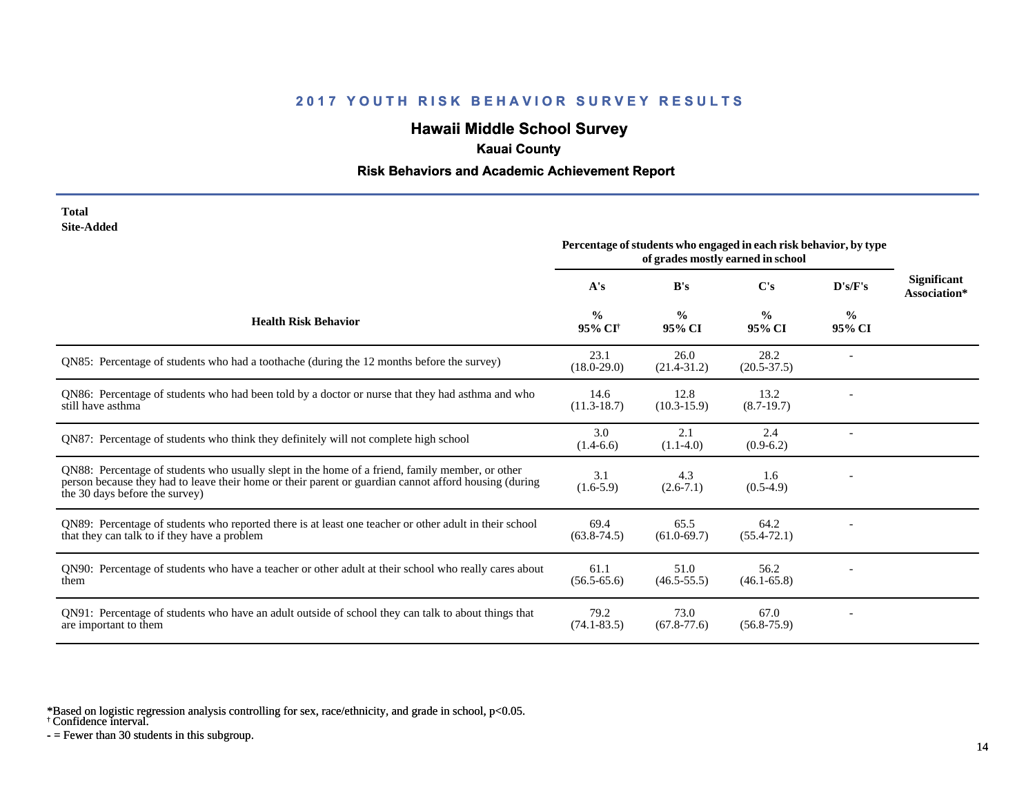## **Hawaii Middle School Survey**

### **Kauai County**

### **Risk Behaviors and Academic Achievement Report**

#### **Total Site-Added**

|                                                                                                                                                                                                                                            | Percentage of students who engaged in each risk behavior, by type<br>of grades mostly earned in school |                         |                         |                         |                                    |
|--------------------------------------------------------------------------------------------------------------------------------------------------------------------------------------------------------------------------------------------|--------------------------------------------------------------------------------------------------------|-------------------------|-------------------------|-------------------------|------------------------------------|
|                                                                                                                                                                                                                                            | A's                                                                                                    | B's                     | C's                     | D's/F's                 | <b>Significant</b><br>Association* |
| <b>Health Risk Behavior</b>                                                                                                                                                                                                                | $\frac{0}{0}$<br>95% CI <sup>+</sup>                                                                   | $\frac{0}{0}$<br>95% CI | $\frac{0}{0}$<br>95% CI | $\frac{0}{0}$<br>95% CI |                                    |
| QN85: Percentage of students who had a toothache (during the 12 months before the survey)                                                                                                                                                  | 23.1<br>$(18.0 - 29.0)$                                                                                | 26.0<br>$(21.4 - 31.2)$ | 28.2<br>$(20.5 - 37.5)$ |                         |                                    |
| QN86: Percentage of students who had been told by a doctor or nurse that they had asthma and who<br>still have asthma                                                                                                                      | 14.6<br>$(11.3-18.7)$                                                                                  | 12.8<br>$(10.3 - 15.9)$ | 13.2<br>$(8.7-19.7)$    |                         |                                    |
| QN87: Percentage of students who think they definitely will not complete high school                                                                                                                                                       | 3.0<br>$(1.4-6.6)$                                                                                     | 2.1<br>$(1.1-4.0)$      | 2.4<br>$(0.9-6.2)$      |                         |                                    |
| QN88: Percentage of students who usually slept in the home of a friend, family member, or other<br>person because they had to leave their home or their parent or guardian cannot afford housing (during<br>the 30 days before the survey) | 3.1<br>$(1.6-5.9)$                                                                                     | 4.3<br>$(2.6-7.1)$      | 1.6<br>$(0.5-4.9)$      |                         |                                    |
| QN89: Percentage of students who reported there is at least one teacher or other adult in their school<br>that they can talk to if they have a problem                                                                                     | 69.4<br>$(63.8 - 74.5)$                                                                                | 65.5<br>$(61.0 - 69.7)$ | 64.2<br>$(55.4 - 72.1)$ |                         |                                    |
| QN90: Percentage of students who have a teacher or other adult at their school who really cares about<br>them                                                                                                                              | 61.1<br>$(56.5 - 65.6)$                                                                                | 51.0<br>$(46.5 - 55.5)$ | 56.2<br>$(46.1 - 65.8)$ |                         |                                    |
| QN91: Percentage of students who have an adult outside of school they can talk to about things that<br>are important to them                                                                                                               | 79.2<br>$(74.1 - 83.5)$                                                                                | 73.0<br>$(67.8 - 77.6)$ | 67.0<br>$(56.8 - 75.9)$ |                         |                                    |

\*Based on logistic regression analysis controlling for sex, race/ethnicity, and grade in school, p<0.05.

† Confidence interval.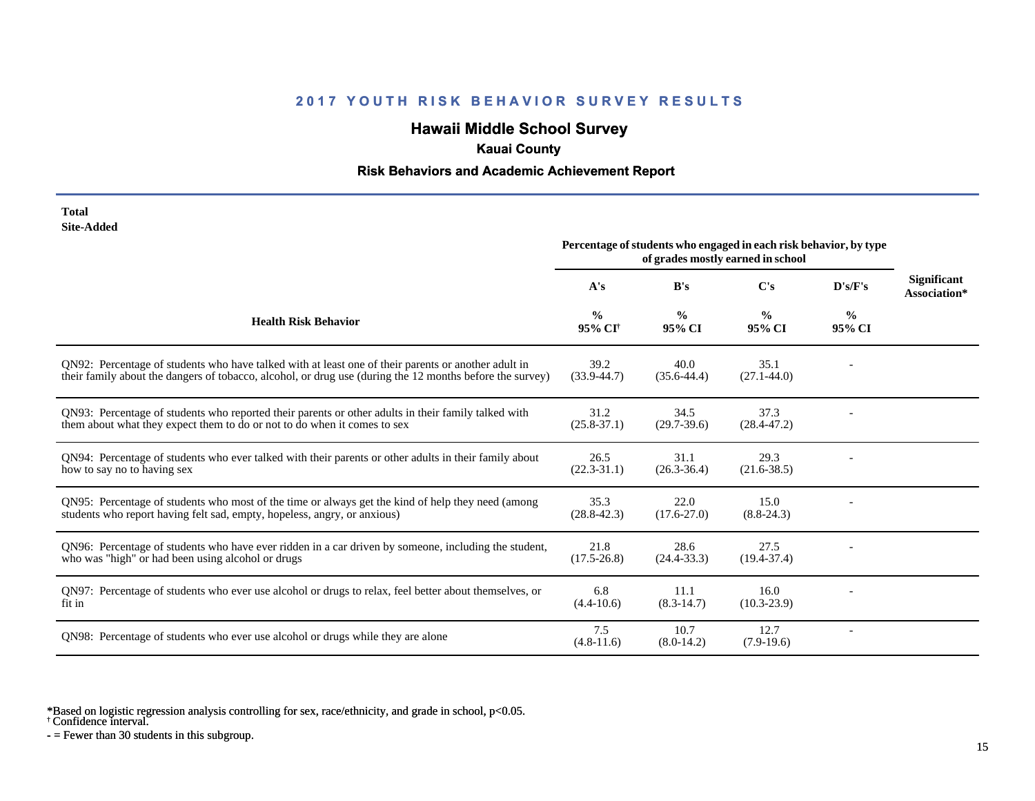# **Hawaii Middle School Survey**

## **Kauai County**

### **Risk Behaviors and Academic Achievement Report**

| Total      |
|------------|
| Site-Added |

| one-Augu                                                                                                                                                                                                        | Percentage of students who engaged in each risk behavior, by type<br>of grades mostly earned in school |                         |                         |                         |                                    |
|-----------------------------------------------------------------------------------------------------------------------------------------------------------------------------------------------------------------|--------------------------------------------------------------------------------------------------------|-------------------------|-------------------------|-------------------------|------------------------------------|
|                                                                                                                                                                                                                 | A's                                                                                                    | B's                     | C's                     | D's/F's                 | <b>Significant</b><br>Association* |
| <b>Health Risk Behavior</b>                                                                                                                                                                                     | $\frac{0}{0}$<br>95% CI <sup>+</sup>                                                                   | $\frac{0}{0}$<br>95% CI | $\frac{0}{0}$<br>95% CI | $\frac{0}{0}$<br>95% CI |                                    |
| ON92: Percentage of students who have talked with at least one of their parents or another adult in<br>their family about the dangers of tobacco, alcohol, or drug use (during the 12 months before the survey) | 39.2<br>$(33.9 - 44.7)$                                                                                | 40.0<br>$(35.6 - 44.4)$ | 35.1<br>$(27.1 - 44.0)$ |                         |                                    |
| QN93: Percentage of students who reported their parents or other adults in their family talked with<br>them about what they expect them to do or not to do when it comes to sex                                 | 31.2<br>$(25.8 - 37.1)$                                                                                | 34.5<br>$(29.7-39.6)$   | 37.3<br>$(28.4 - 47.2)$ |                         |                                    |
| QN94: Percentage of students who ever talked with their parents or other adults in their family about<br>how to say no to having sex                                                                            | 26.5<br>$(22.3-31.1)$                                                                                  | 31.1<br>$(26.3 - 36.4)$ | 29.3<br>$(21.6 - 38.5)$ |                         |                                    |
| QN95: Percentage of students who most of the time or always get the kind of help they need (among<br>students who report having felt sad, empty, hopeless, angry, or anxious)                                   | 35.3<br>$(28.8 - 42.3)$                                                                                | 22.0<br>$(17.6 - 27.0)$ | 15.0<br>$(8.8-24.3)$    |                         |                                    |
| QN96: Percentage of students who have ever ridden in a car driven by someone, including the student,<br>who was "high" or had been using alcohol or drugs                                                       | 21.8<br>$(17.5 - 26.8)$                                                                                | 28.6<br>$(24.4 - 33.3)$ | 27.5<br>$(19.4 - 37.4)$ |                         |                                    |
| QN97: Percentage of students who ever use alcohol or drugs to relax, feel better about themselves, or<br>fit in                                                                                                 | 6.8<br>$(4.4 - 10.6)$                                                                                  | 11.1<br>$(8.3-14.7)$    | 16.0<br>$(10.3 - 23.9)$ |                         |                                    |
| QN98: Percentage of students who ever use alcohol or drugs while they are alone                                                                                                                                 | 7.5<br>$(4.8-11.6)$                                                                                    | 10.7<br>$(8.0-14.2)$    | 12.7<br>$(7.9-19.6)$    |                         |                                    |

\*Based on logistic regression analysis controlling for sex, race/ethnicity, and grade in school, p<0.05.

† Confidence interval.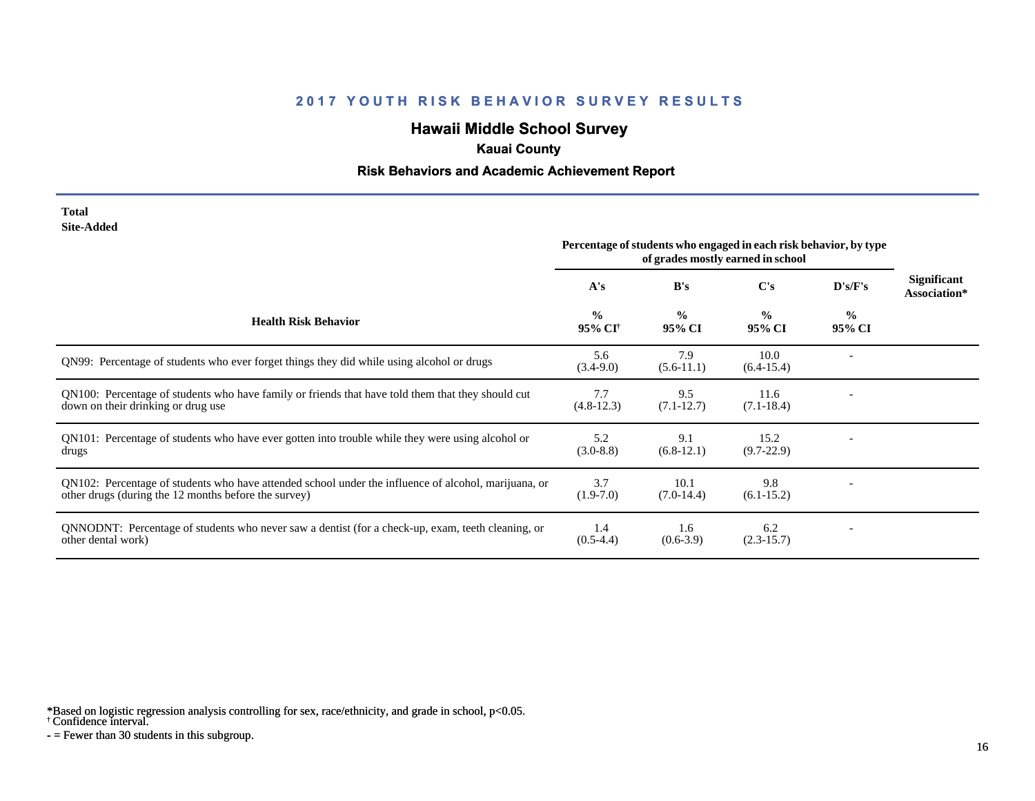# **Hawaii Middle School Survey**

### **Kauai County**

#### **Risk Behaviors and Academic Achievement Report**

#### **Total Site-Added**

|                                                                                                                                                              | Percentage of students who engaged in each risk behavior, by type<br>of grades mostly earned in school |                         |                         |                         |                                    |
|--------------------------------------------------------------------------------------------------------------------------------------------------------------|--------------------------------------------------------------------------------------------------------|-------------------------|-------------------------|-------------------------|------------------------------------|
|                                                                                                                                                              | A's                                                                                                    | B's                     | C's                     | D's/F's                 | <b>Significant</b><br>Association* |
| <b>Health Risk Behavior</b>                                                                                                                                  | $\frac{0}{0}$<br>95% CI <sup>+</sup>                                                                   | $\frac{0}{0}$<br>95% CI | $\frac{0}{0}$<br>95% CI | $\frac{0}{0}$<br>95% CI |                                    |
| QN99: Percentage of students who ever forget things they did while using alcohol or drugs                                                                    | 5.6<br>$(3.4-9.0)$                                                                                     | 7.9<br>$(5.6-11.1)$     | 10.0<br>$(6.4-15.4)$    |                         |                                    |
| QN100: Percentage of students who have family or friends that have told them that they should cut<br>down on their drinking or drug use                      | 7.7<br>$(4.8-12.3)$                                                                                    | 9.5<br>$(7.1 - 12.7)$   | 11.6<br>$(7.1 - 18.4)$  |                         |                                    |
| QN101: Percentage of students who have ever gotten into trouble while they were using alcohol or<br>drugs                                                    | 5.2<br>$(3.0-8.8)$                                                                                     | 9.1<br>$(6.8-12.1)$     | 15.2<br>$(9.7-22.9)$    |                         |                                    |
| QN102: Percentage of students who have attended school under the influence of alcohol, marijuana, or<br>other drugs (during the 12 months before the survey) | 3.7<br>$(1.9-7.0)$                                                                                     | 10.1<br>$(7.0-14.4)$    | 9.8<br>$(6.1 - 15.2)$   |                         |                                    |
| QNNODNT: Percentage of students who never saw a dentist (for a check-up, exam, teeth cleaning, or<br>other dental work)                                      | 1.4<br>$(0.5-4.4)$                                                                                     | 1.6<br>$(0.6-3.9)$      | 6.2<br>$(2.3-15.7)$     |                         |                                    |

\*Based on logistic regression analysis controlling for sex, race/ethnicity, and grade in school, p<0.05.

† Confidence interval.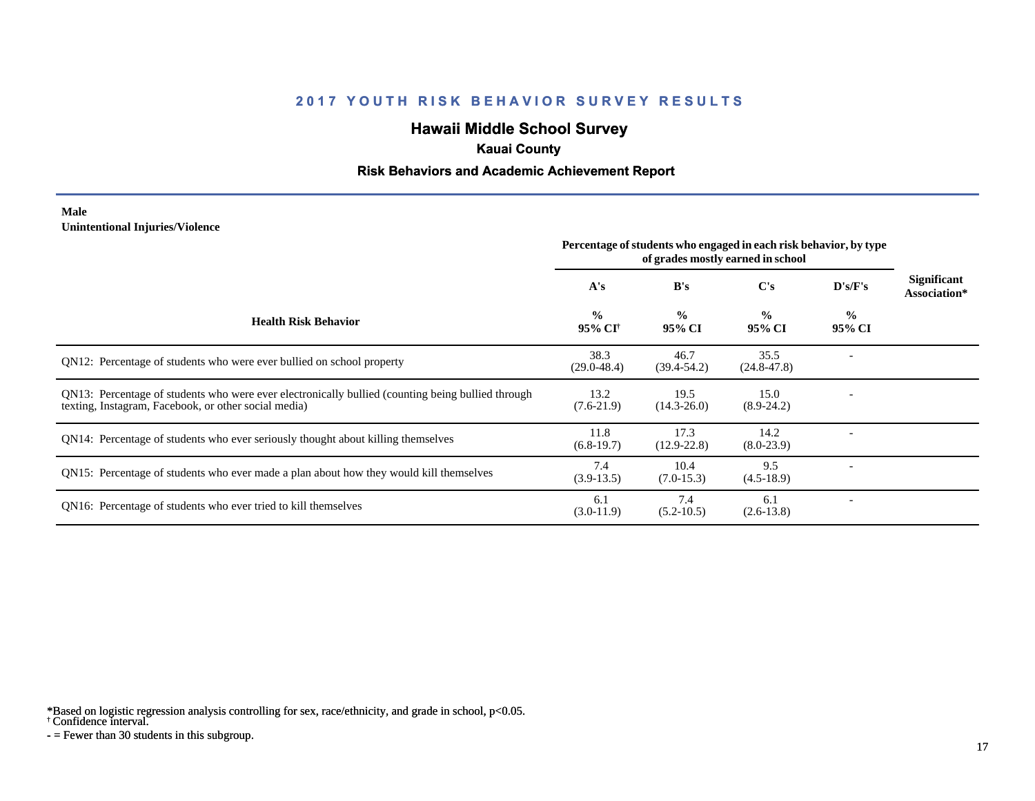# **Hawaii Middle School Survey**

### **Kauai County**

#### **Risk Behaviors and Academic Achievement Report**

#### **Male Unintentional Injuries/Violence**

|                                                                                                                                                           | Percentage of students who engaged in each risk behavior, by type<br>of grades mostly earned in school |                         |                         |                         |                                    |
|-----------------------------------------------------------------------------------------------------------------------------------------------------------|--------------------------------------------------------------------------------------------------------|-------------------------|-------------------------|-------------------------|------------------------------------|
|                                                                                                                                                           | A's                                                                                                    | B's                     | C's                     | D's/F's                 | <b>Significant</b><br>Association* |
| <b>Health Risk Behavior</b>                                                                                                                               | $\frac{0}{0}$<br>95% CI†                                                                               | $\frac{0}{0}$<br>95% CI | $\frac{0}{0}$<br>95% CI | $\frac{0}{0}$<br>95% CI |                                    |
| QN12: Percentage of students who were ever bullied on school property                                                                                     | 38.3<br>$(29.0 - 48.4)$                                                                                | 46.7<br>$(39.4 - 54.2)$ | 35.5<br>$(24.8 - 47.8)$ |                         |                                    |
| QN13: Percentage of students who were ever electronically bullied (counting being bullied through<br>texting, Instagram, Facebook, or other social media) | 13.2<br>$(7.6-21.9)$                                                                                   | 19.5<br>$(14.3 - 26.0)$ | 15.0<br>$(8.9-24.2)$    |                         |                                    |
| QN14: Percentage of students who ever seriously thought about killing themselves                                                                          | 11.8<br>$(6.8-19.7)$                                                                                   | 17.3<br>$(12.9 - 22.8)$ | 14.2<br>$(8.0-23.9)$    |                         |                                    |
| QN15: Percentage of students who ever made a plan about how they would kill themselves                                                                    | 7.4<br>$(3.9-13.5)$                                                                                    | 10.4<br>$(7.0-15.3)$    | 9.5<br>$(4.5-18.9)$     |                         |                                    |
| QN16: Percentage of students who ever tried to kill themselves                                                                                            | 6.1<br>$(3.0-11.9)$                                                                                    | 7.4<br>$(5.2 - 10.5)$   | 6.1<br>$(2.6-13.8)$     |                         |                                    |

\*Based on logistic regression analysis controlling for sex, race/ethnicity, and grade in school, p<0.05.

† Confidence interval.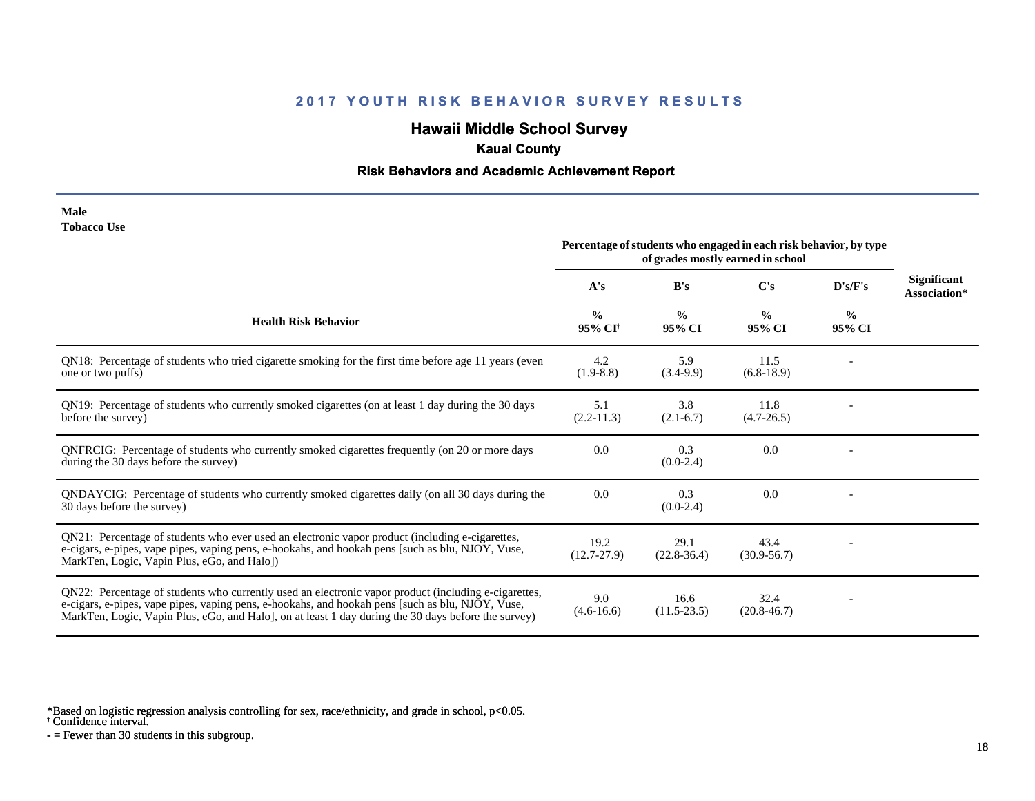# **Hawaii Middle School Survey**

## **Kauai County**

### **Risk Behaviors and Academic Achievement Report**

| Male        |  |
|-------------|--|
| Tobacco Use |  |

|                                                                                                                                                                                                                                                                                                                 | Percentage of students who engaged in each risk behavior, by type<br>of grades mostly earned in school |                         |                         |                         |                                    |
|-----------------------------------------------------------------------------------------------------------------------------------------------------------------------------------------------------------------------------------------------------------------------------------------------------------------|--------------------------------------------------------------------------------------------------------|-------------------------|-------------------------|-------------------------|------------------------------------|
|                                                                                                                                                                                                                                                                                                                 | A's                                                                                                    | B's                     | C's                     | D's/F's                 | <b>Significant</b><br>Association* |
| <b>Health Risk Behavior</b>                                                                                                                                                                                                                                                                                     | $\frac{0}{0}$<br>95% CI <sup>†</sup>                                                                   | $\frac{0}{0}$<br>95% CI | $\frac{0}{0}$<br>95% CI | $\frac{0}{0}$<br>95% CI |                                    |
| QN18: Percentage of students who tried cigarette smoking for the first time before age 11 years (even<br>one or two puffs)                                                                                                                                                                                      | 4.2<br>$(1.9 - 8.8)$                                                                                   | 5.9<br>$(3.4-9.9)$      | 11.5<br>$(6.8-18.9)$    |                         |                                    |
| QN19: Percentage of students who currently smoked cigarettes (on at least 1 day during the 30 days<br>before the survey)                                                                                                                                                                                        | 5.1<br>$(2.2-11.3)$                                                                                    | 3.8<br>$(2.1-6.7)$      | 11.8<br>$(4.7 - 26.5)$  |                         |                                    |
| QNFRCIG: Percentage of students who currently smoked cigarettes frequently (on 20 or more days<br>during the 30 days before the survey)                                                                                                                                                                         | 0.0                                                                                                    | 0.3<br>$(0.0-2.4)$      | 0.0                     |                         |                                    |
| QNDAYCIG: Percentage of students who currently smoked cigarettes daily (on all 30 days during the<br>30 days before the survey)                                                                                                                                                                                 | 0.0                                                                                                    | 0.3<br>$(0.0-2.4)$      | 0.0                     |                         |                                    |
| QN21: Percentage of students who ever used an electronic vapor product (including e-cigarettes,<br>e-cigars, e-pipes, vape pipes, vaping pens, e-hookahs, and hookah pens [such as blu, NJOY, Vuse,<br>MarkTen, Logic, Vapin Plus, eGo, and Halo])                                                              | 19.2<br>$(12.7 - 27.9)$                                                                                | 29.1<br>$(22.8-36.4)$   | 43.4<br>$(30.9 - 56.7)$ |                         |                                    |
| QN22: Percentage of students who currently used an electronic vapor product (including e-cigarettes,<br>e-cigars, e-pipes, vape pipes, vaping pens, e-hookahs, and hookah pens [such as blu, NJOY, Vuse,<br>MarkTen, Logic, Vapin Plus, eGo, and Halo], on at least 1 day during the 30 days before the survey) | 9.0<br>$(4.6 - 16.6)$                                                                                  | 16.6<br>$(11.5-23.5)$   | 32.4<br>$(20.8 - 46.7)$ |                         |                                    |

\*Based on logistic regression analysis controlling for sex, race/ethnicity, and grade in school, p<0.05.

† Confidence interval.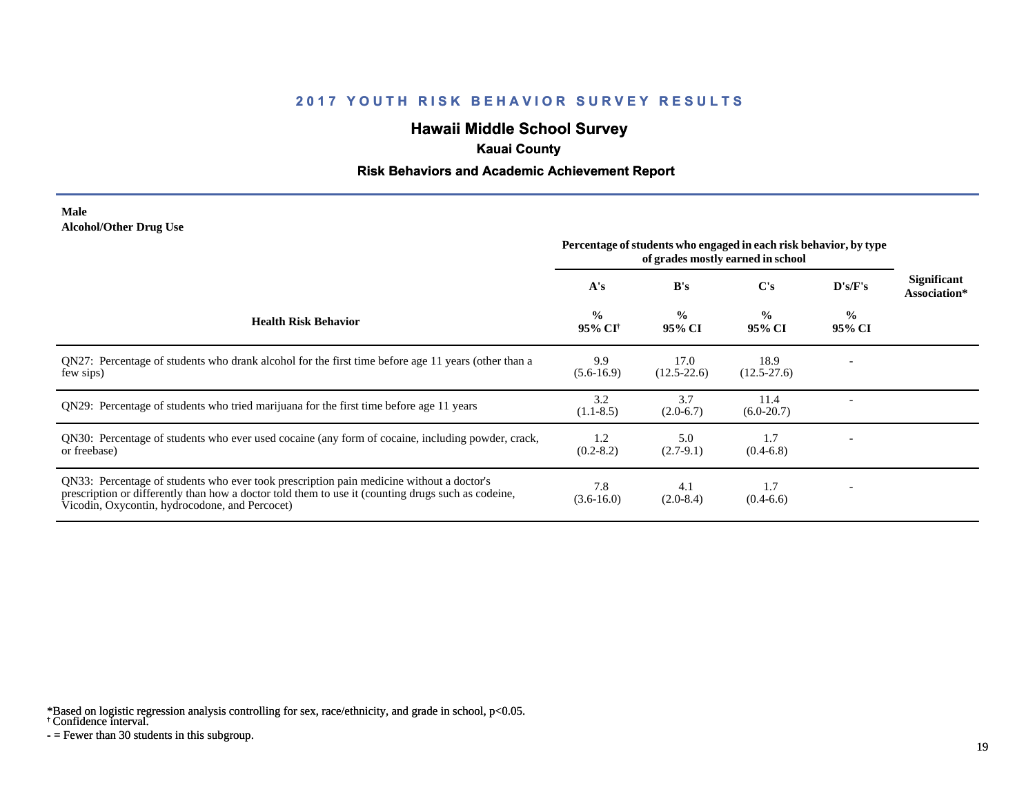# **Hawaii Middle School Survey**

### **Kauai County**

#### **Risk Behaviors and Academic Achievement Report**

#### **Male Alcohol/Other Drug Use**

|                                                                                                                                                                                                                                                  | Percentage of students who engaged in each risk behavior, by type<br>of grades mostly earned in school |                         |                         |                         |                             |
|--------------------------------------------------------------------------------------------------------------------------------------------------------------------------------------------------------------------------------------------------|--------------------------------------------------------------------------------------------------------|-------------------------|-------------------------|-------------------------|-----------------------------|
|                                                                                                                                                                                                                                                  | A's                                                                                                    | B's                     | $\bf C's$               | D's/F's                 | Significant<br>Association* |
| <b>Health Risk Behavior</b>                                                                                                                                                                                                                      | $\frac{0}{0}$<br>95% CI <sup>†</sup>                                                                   | $\frac{0}{0}$<br>95% CI | $\frac{0}{0}$<br>95% CI | $\frac{0}{0}$<br>95% CI |                             |
| QN27: Percentage of students who drank alcohol for the first time before age 11 years (other than a<br>few sips)                                                                                                                                 | 9.9<br>$(5.6-16.9)$                                                                                    | 17.0<br>$(12.5 - 22.6)$ | 18.9<br>$(12.5 - 27.6)$ |                         |                             |
| QN29: Percentage of students who tried marijuana for the first time before age 11 years                                                                                                                                                          | 3.2<br>$(1.1-8.5)$                                                                                     | 3.7<br>$(2.0-6.7)$      | 11.4<br>$(6.0-20.7)$    |                         |                             |
| QN30: Percentage of students who ever used cocaine (any form of cocaine, including powder, crack,<br>or freebase)                                                                                                                                | 1.2<br>$(0.2 - 8.2)$                                                                                   | 5.0<br>$(2.7-9.1)$      | 1.7<br>$(0.4-6.8)$      |                         |                             |
| QN33: Percentage of students who ever took prescription pain medicine without a doctor's<br>prescription or differently than how a doctor told them to use it (counting drugs such as codeine,<br>Vicodin, Oxycontin, hydrocodone, and Percocet) | 7.8<br>$(3.6-16.0)$                                                                                    | 4.1<br>$(2.0-8.4)$      | 1.7<br>$(0.4-6.6)$      |                         |                             |

\*Based on logistic regression analysis controlling for sex, race/ethnicity, and grade in school, p<0.05.

† Confidence interval.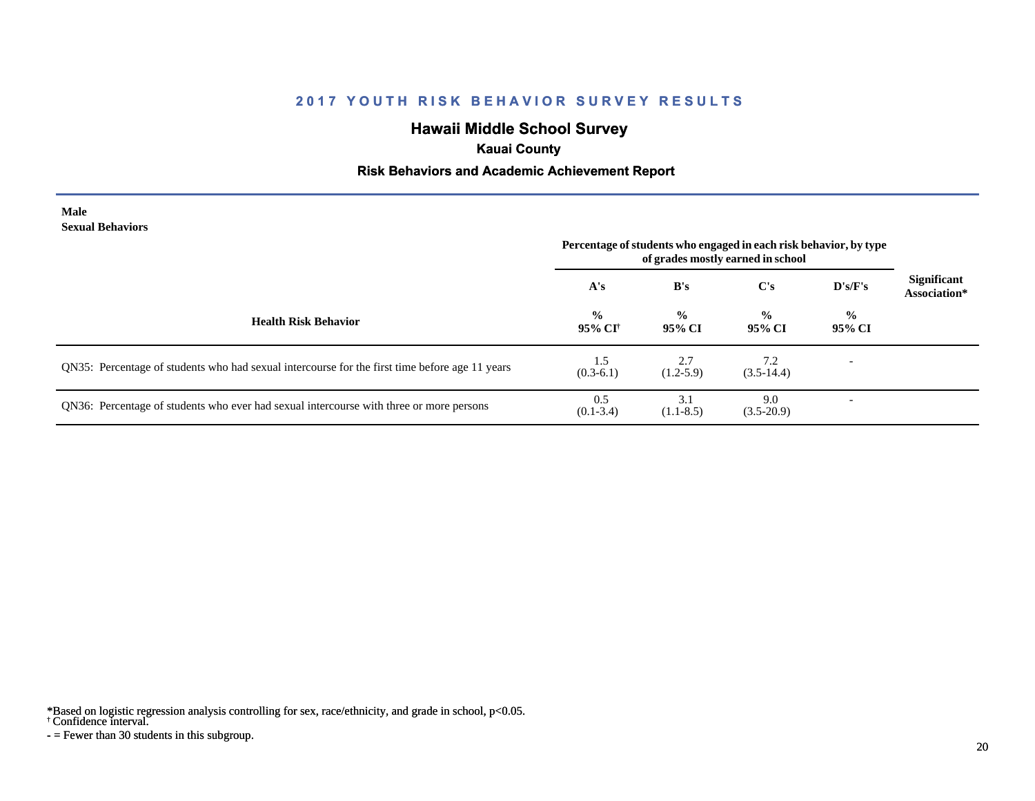# **Hawaii Middle School Survey**

### **Kauai County**

### **Risk Behaviors and Academic Achievement Report**

#### **Male Sexual Behaviors**

|                                                                                                | Percentage of students who engaged in each risk behavior, by type<br>of grades mostly earned in school |                         |                         |                          |                                    |
|------------------------------------------------------------------------------------------------|--------------------------------------------------------------------------------------------------------|-------------------------|-------------------------|--------------------------|------------------------------------|
|                                                                                                | A's                                                                                                    | B's                     | $\bf C's$               | D's/F's                  | <b>Significant</b><br>Association* |
| <b>Health Risk Behavior</b>                                                                    | $\frac{0}{0}$<br>95% CI†                                                                               | $\frac{0}{0}$<br>95% CI | $\frac{0}{0}$<br>95% CI | $\frac{0}{0}$<br>95% CI  |                                    |
| QN35: Percentage of students who had sexual intercourse for the first time before age 11 years | 1.5<br>$(0.3-6.1)$                                                                                     | 2.7<br>$(1.2-5.9)$      | 7.2<br>$(3.5-14.4)$     | $\overline{\phantom{0}}$ |                                    |
| QN36: Percentage of students who ever had sexual intercourse with three or more persons        | 0.5<br>$(0.1 - 3.4)$                                                                                   | 3.1<br>$(1.1-8.5)$      | 9.0<br>$(3.5-20.9)$     |                          |                                    |

\*Based on logistic regression analysis controlling for sex, race/ethnicity, and grade in school, p<0.05.

† Confidence interval.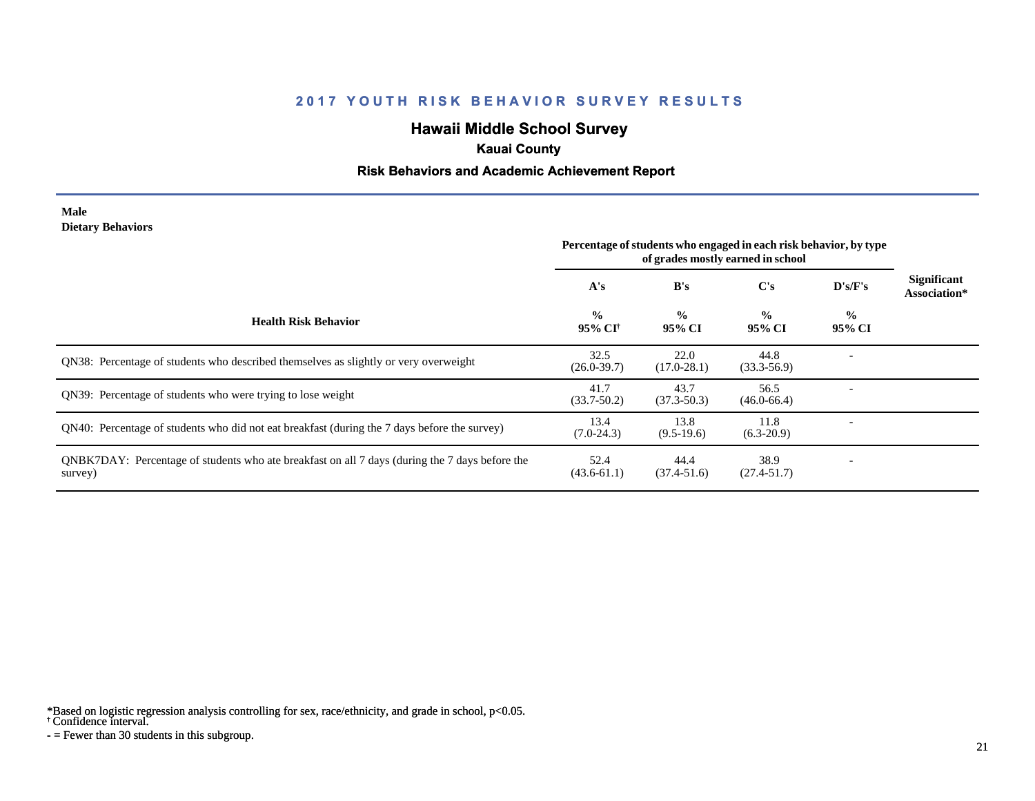# **Hawaii Middle School Survey**

### **Kauai County**

#### **Risk Behaviors and Academic Achievement Report**

#### **Male Dietary Behaviors**

|                                                                                                           | Percentage of students who engaged in each risk behavior, by type<br>of grades mostly earned in school |                         |                         |                         |                                    |
|-----------------------------------------------------------------------------------------------------------|--------------------------------------------------------------------------------------------------------|-------------------------|-------------------------|-------------------------|------------------------------------|
|                                                                                                           | A's                                                                                                    | B's                     | C's                     | D's/F's                 | <b>Significant</b><br>Association* |
| <b>Health Risk Behavior</b>                                                                               | $\frac{0}{0}$<br>95% CI <sup>†</sup>                                                                   | $\frac{0}{0}$<br>95% CI | $\frac{0}{0}$<br>95% CI | $\frac{6}{9}$<br>95% CI |                                    |
| <b>ON38:</b> Percentage of students who described themselves as slightly or very overweight               | 32.5<br>$(26.0 - 39.7)$                                                                                | 22.0<br>$(17.0 - 28.1)$ | 44.8<br>$(33.3 - 56.9)$ |                         |                                    |
| QN39: Percentage of students who were trying to lose weight                                               | 41.7<br>$(33.7 - 50.2)$                                                                                | 43.7<br>$(37.3 - 50.3)$ | 56.5<br>$(46.0 - 66.4)$ |                         |                                    |
| QN40: Percentage of students who did not eat breakfast (during the 7 days before the survey)              | 13.4<br>$(7.0-24.3)$                                                                                   | 13.8<br>$(9.5-19.6)$    | 11.8<br>$(6.3-20.9)$    |                         |                                    |
| QNBK7DAY: Percentage of students who ate breakfast on all 7 days (during the 7 days before the<br>survey) | 52.4<br>$(43.6 - 61.1)$                                                                                | 44.4<br>$(37.4 - 51.6)$ | 38.9<br>$(27.4 - 51.7)$ |                         |                                    |

\*Based on logistic regression analysis controlling for sex, race/ethnicity, and grade in school, p<0.05.

† Confidence interval.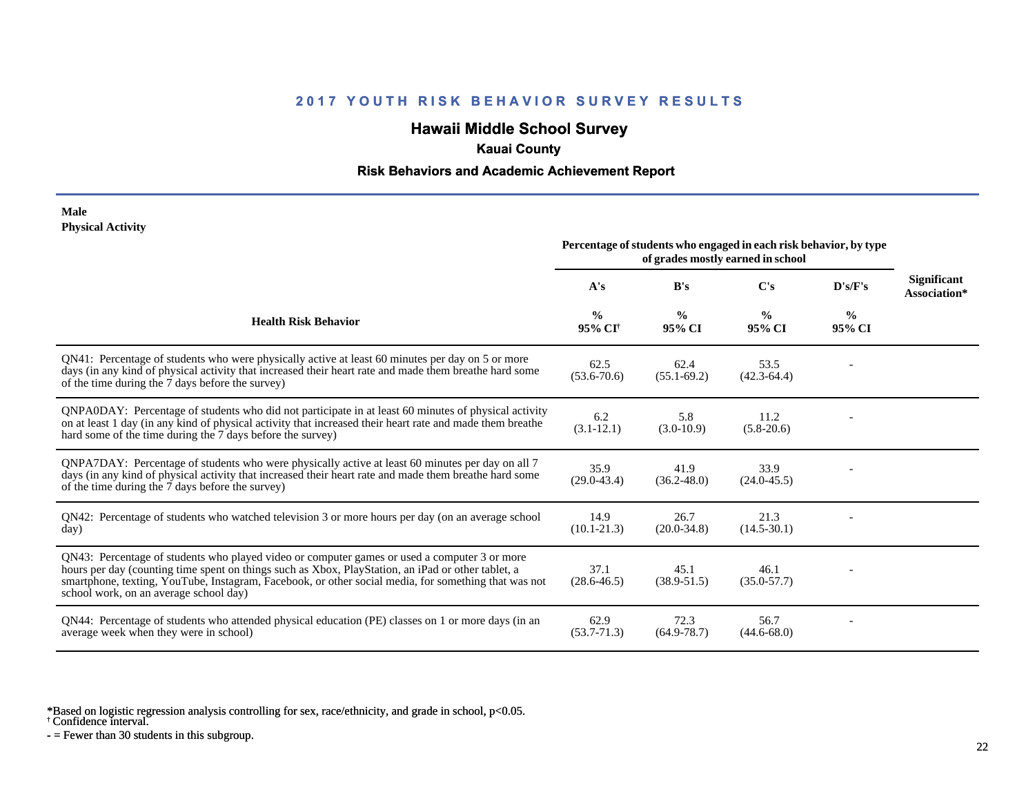# **Hawaii Middle School Survey**

### **Kauai County**

#### **Risk Behaviors and Academic Achievement Report**

#### **Male Physical Activity**

|                                                                                                                                                                                                                                                                                                                                                      | Percentage of students who engaged in each risk behavior, by type<br>of grades mostly earned in school |                         |                         |                         |                                    |
|------------------------------------------------------------------------------------------------------------------------------------------------------------------------------------------------------------------------------------------------------------------------------------------------------------------------------------------------------|--------------------------------------------------------------------------------------------------------|-------------------------|-------------------------|-------------------------|------------------------------------|
|                                                                                                                                                                                                                                                                                                                                                      | A's                                                                                                    | B's                     | C's                     | $\bf{D's/F's}$          | <b>Significant</b><br>Association* |
| <b>Health Risk Behavior</b>                                                                                                                                                                                                                                                                                                                          | $\frac{0}{0}$<br>95% CI <sup>+</sup>                                                                   | $\frac{0}{0}$<br>95% CI | $\frac{0}{0}$<br>95% CI | $\frac{0}{0}$<br>95% CI |                                    |
| QN41: Percentage of students who were physically active at least 60 minutes per day on 5 or more<br>days (in any kind of physical activity that increased their heart rate and made them breathe hard some<br>of the time during the 7 days before the survey)                                                                                       | 62.5<br>$(53.6 - 70.6)$                                                                                | 62.4<br>$(55.1 - 69.2)$ | 53.5<br>$(42.3 - 64.4)$ |                         |                                    |
| QNPA0DAY: Percentage of students who did not participate in at least 60 minutes of physical activity<br>on at least 1 day (in any kind of physical activity that increased their heart rate and made them breathe<br>hard some of the time during the 7 days before the survey)                                                                      | 6.2<br>$(3.1 - 12.1)$                                                                                  | 5.8<br>$(3.0-10.9)$     | 11.2<br>$(5.8-20.6)$    |                         |                                    |
| QNPA7DAY: Percentage of students who were physically active at least 60 minutes per day on all 7<br>days (in any kind of physical activity that increased their heart rate and made them breathe hard some<br>of the time during the 7 days before the survey)                                                                                       | 35.9<br>$(29.0 - 43.4)$                                                                                | 41.9<br>$(36.2 - 48.0)$ | 33.9<br>$(24.0 - 45.5)$ |                         |                                    |
| QN42: Percentage of students who watched television 3 or more hours per day (on an average school<br>day)                                                                                                                                                                                                                                            | 14.9<br>$(10.1 - 21.3)$                                                                                | 26.7<br>$(20.0 - 34.8)$ | 21.3<br>$(14.5 - 30.1)$ |                         |                                    |
| QN43: Percentage of students who played video or computer games or used a computer 3 or more<br>hours per day (counting time spent on things such as Xbox, PlayStation, an iPad or other tablet, a<br>smartphone, texting, YouTube, Instagram, Facebook, or other social media, for something that was not<br>school work, on an average school day) | 37.1<br>$(28.6 - 46.5)$                                                                                | 45.1<br>$(38.9 - 51.5)$ | 46.1<br>$(35.0 - 57.7)$ |                         |                                    |
| QN44: Percentage of students who attended physical education (PE) classes on 1 or more days (in an<br>average week when they were in school)                                                                                                                                                                                                         | 62.9<br>$(53.7 - 71.3)$                                                                                | 72.3<br>$(64.9 - 78.7)$ | 56.7<br>$(44.6 - 68.0)$ |                         |                                    |

\*Based on logistic regression analysis controlling for sex, race/ethnicity, and grade in school, p<0.05.

† Confidence interval.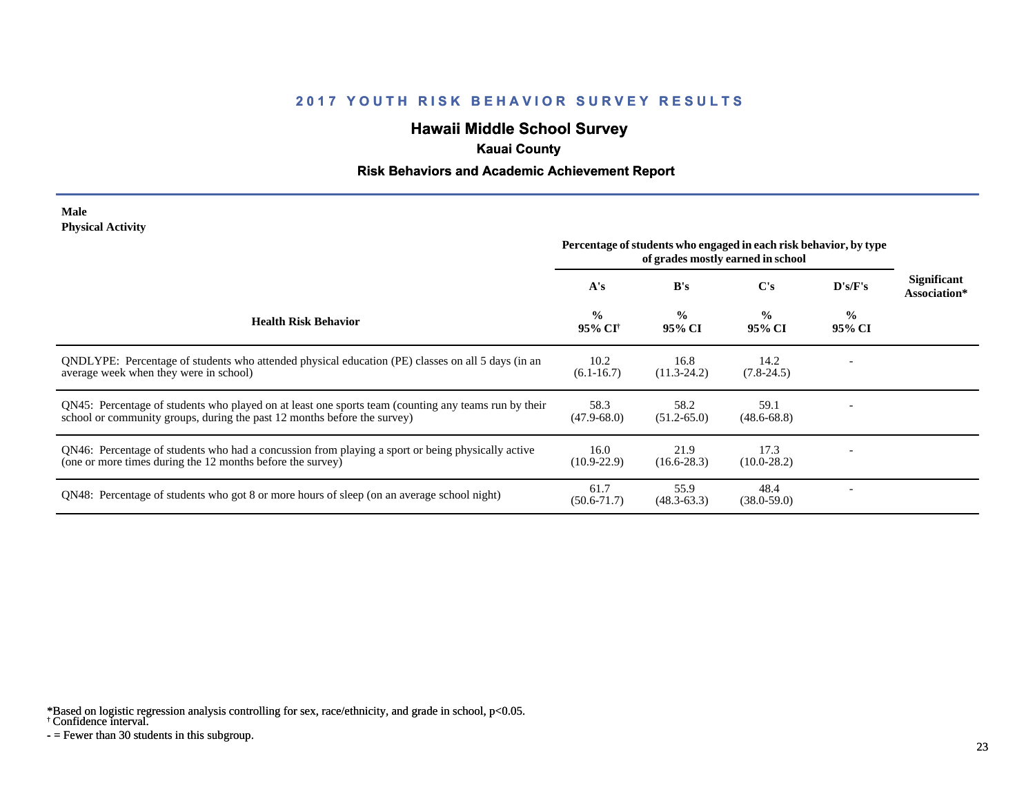# **Hawaii Middle School Survey**

### **Kauai County**

#### **Risk Behaviors and Academic Achievement Report**

#### **Male Physical Activity**

|                                                                                                                                                                                  | Percentage of students who engaged in each risk behavior, by type<br>of grades mostly earned in school |                         |                         |                         |                                    |
|----------------------------------------------------------------------------------------------------------------------------------------------------------------------------------|--------------------------------------------------------------------------------------------------------|-------------------------|-------------------------|-------------------------|------------------------------------|
|                                                                                                                                                                                  | A's                                                                                                    | B's                     | C's                     | D's/F's                 | <b>Significant</b><br>Association* |
| <b>Health Risk Behavior</b>                                                                                                                                                      | $\frac{0}{0}$<br>95% CI <sup>†</sup>                                                                   | $\frac{0}{0}$<br>95% CI | $\frac{0}{0}$<br>95% CI | $\frac{0}{0}$<br>95% CI |                                    |
| ONDLYPE: Percentage of students who attended physical education (PE) classes on all 5 days (in an<br>average week when they were in school)                                      | 10.2<br>$(6.1 - 16.7)$                                                                                 | 16.8<br>$(11.3 - 24.2)$ | 14.2<br>$(7.8-24.5)$    |                         |                                    |
| QN45: Percentage of students who played on at least one sports team (counting any teams run by their<br>school or community groups, during the past 12 months before the survey) | 58.3<br>$(47.9 - 68.0)$                                                                                | 58.2<br>$(51.2 - 65.0)$ | 59.1<br>$(48.6 - 68.8)$ |                         |                                    |
| QN46: Percentage of students who had a concussion from playing a sport or being physically active<br>(one or more times during the 12 months before the survey)                  | 16.0<br>$(10.9 - 22.9)$                                                                                | 21.9<br>$(16.6-28.3)$   | 17.3<br>$(10.0 - 28.2)$ |                         |                                    |
| QN48: Percentage of students who got 8 or more hours of sleep (on an average school night)                                                                                       | 61.7<br>$(50.6 - 71.7)$                                                                                | 55.9<br>$(48.3 - 63.3)$ | 48.4<br>$(38.0 - 59.0)$ |                         |                                    |

\*Based on logistic regression analysis controlling for sex, race/ethnicity, and grade in school, p<0.05.

† Confidence interval.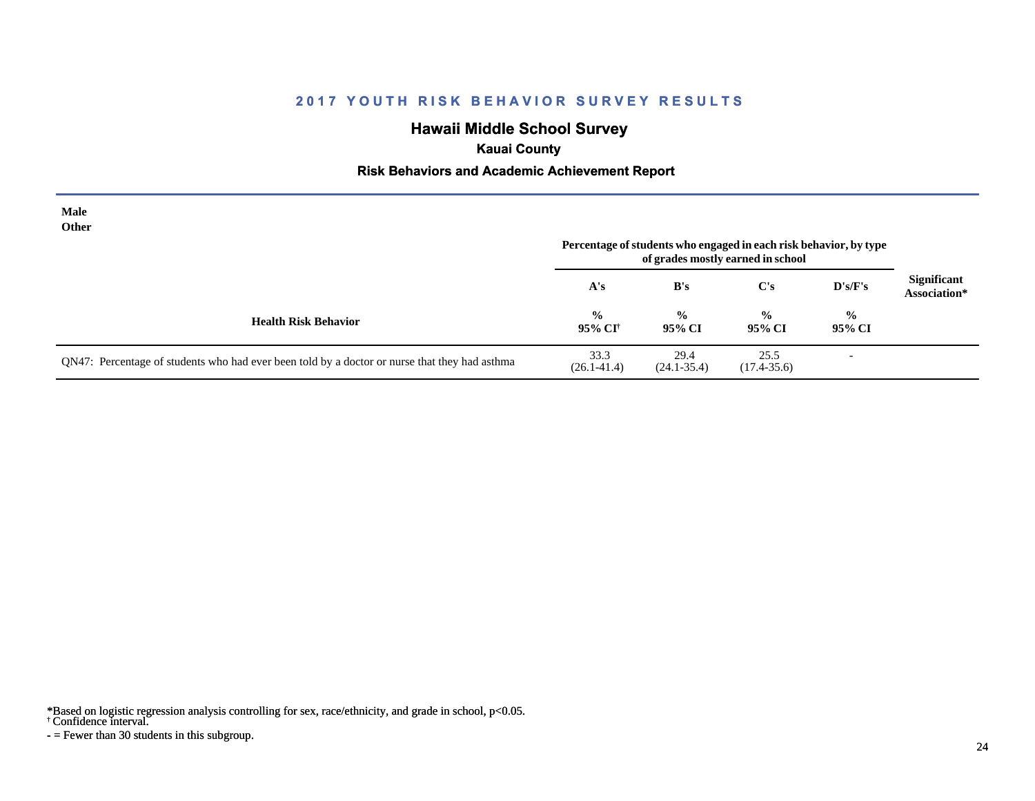# **Hawaii Middle School Survey**

## **Kauai County**

#### **Risk Behaviors and Academic Achievement Report**

| Male<br>Other                                                                                 |                           |                         | Percentage of students who engaged in each risk behavior, by type<br>of grades mostly earned in school |                          |                                    |
|-----------------------------------------------------------------------------------------------|---------------------------|-------------------------|--------------------------------------------------------------------------------------------------------|--------------------------|------------------------------------|
|                                                                                               | A's                       | B's                     | $\bf C's$                                                                                              | $\bf{D's/F's}$           | <b>Significant</b><br>Association* |
| <b>Health Risk Behavior</b>                                                                   | $\frac{6}{10}$<br>95% CI† | $\frac{0}{0}$<br>95% CI | $\frac{0}{0}$<br>95% CI                                                                                | $\frac{0}{0}$<br>95% CI  |                                    |
| QN47: Percentage of students who had ever been told by a doctor or nurse that they had asthma | 33.3<br>$(26.1 - 41.4)$   | 29.4<br>$(24.1 - 35.4)$ | 25.5<br>$(17.4 - 35.6)$                                                                                | $\overline{\phantom{a}}$ |                                    |

\*Based on logistic regression analysis controlling for sex, race/ethnicity, and grade in school, p<0.05.

† Confidence interval.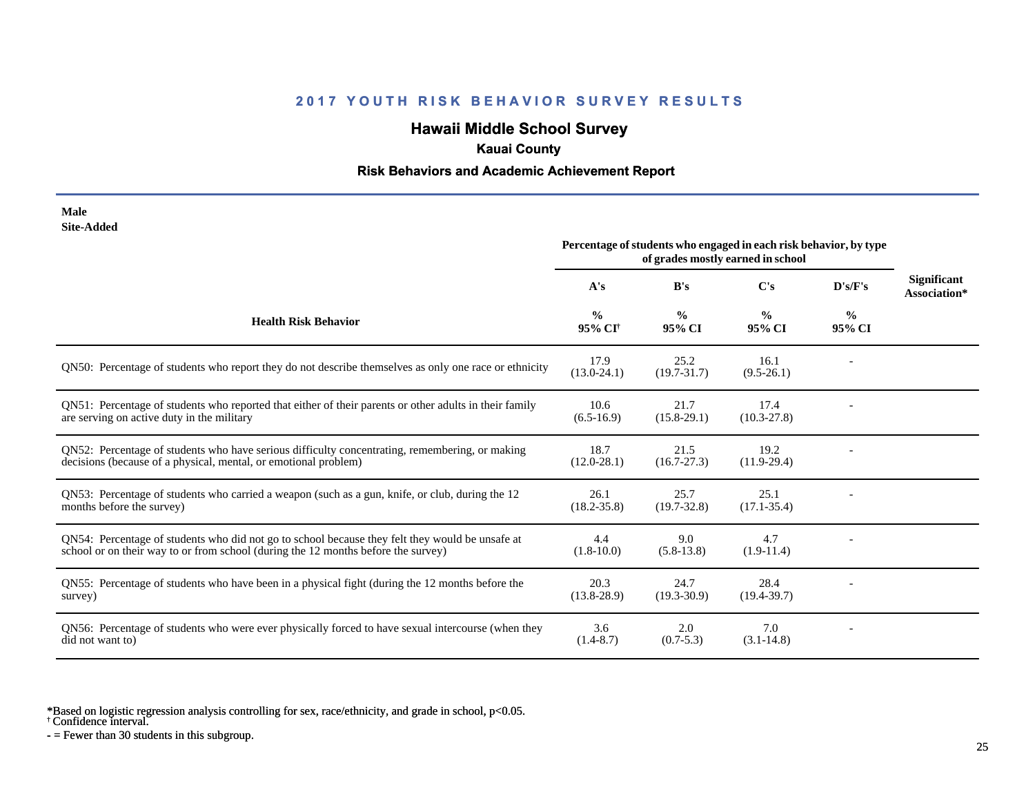# **Hawaii Middle School Survey**

## **Kauai County**

### **Risk Behaviors and Academic Achievement Report**

| Male       |
|------------|
| Site-Added |

|                                                                                                                                                                                      | Percentage of students who engaged in each risk behavior, by type<br>of grades mostly earned in school |                         |                         |                         |                                    |
|--------------------------------------------------------------------------------------------------------------------------------------------------------------------------------------|--------------------------------------------------------------------------------------------------------|-------------------------|-------------------------|-------------------------|------------------------------------|
|                                                                                                                                                                                      | A's                                                                                                    | B's                     | C's                     | D's/F's                 | <b>Significant</b><br>Association* |
| <b>Health Risk Behavior</b>                                                                                                                                                          | $\frac{0}{0}$<br>95% CI <sup>†</sup>                                                                   | $\frac{6}{9}$<br>95% CI | $\frac{0}{0}$<br>95% CI | $\frac{0}{0}$<br>95% CI |                                    |
| QN50: Percentage of students who report they do not describe themselves as only one race or ethnicity                                                                                | 17.9<br>$(13.0 - 24.1)$                                                                                | 25.2<br>$(19.7 - 31.7)$ | 16.1<br>$(9.5-26.1)$    |                         |                                    |
| QN51: Percentage of students who reported that either of their parents or other adults in their family<br>are serving on active duty in the military                                 | 10.6<br>$(6.5-16.9)$                                                                                   | 21.7<br>$(15.8-29.1)$   | 17.4<br>$(10.3 - 27.8)$ |                         |                                    |
| QN52: Percentage of students who have serious difficulty concentrating, remembering, or making<br>decisions (because of a physical, mental, or emotional problem)                    | 18.7<br>$(12.0 - 28.1)$                                                                                | 21.5<br>$(16.7 - 27.3)$ | 19.2<br>$(11.9-29.4)$   |                         |                                    |
| QN53: Percentage of students who carried a weapon (such as a gun, knife, or club, during the 12<br>months before the survey)                                                         | 26.1<br>$(18.2 - 35.8)$                                                                                | 25.7<br>$(19.7 - 32.8)$ | 25.1<br>$(17.1 - 35.4)$ |                         |                                    |
| QN54: Percentage of students who did not go to school because they felt they would be unsafe at<br>school or on their way to or from school (during the 12 months before the survey) | 4.4<br>$(1.8 - 10.0)$                                                                                  | 9.0<br>$(5.8-13.8)$     | 4.7<br>$(1.9-11.4)$     |                         |                                    |
| QN55: Percentage of students who have been in a physical fight (during the 12 months before the<br>survey)                                                                           | 20.3<br>$(13.8-28.9)$                                                                                  | 24.7<br>$(19.3 - 30.9)$ | 28.4<br>$(19.4 - 39.7)$ |                         |                                    |
| QN56: Percentage of students who were ever physically forced to have sexual intercourse (when they<br>did not want to)                                                               | 3.6<br>$(1.4 - 8.7)$                                                                                   | 2.0<br>$(0.7 - 5.3)$    | 7.0<br>$(3.1 - 14.8)$   |                         |                                    |

\*Based on logistic regression analysis controlling for sex, race/ethnicity, and grade in school, p<0.05.

† Confidence interval.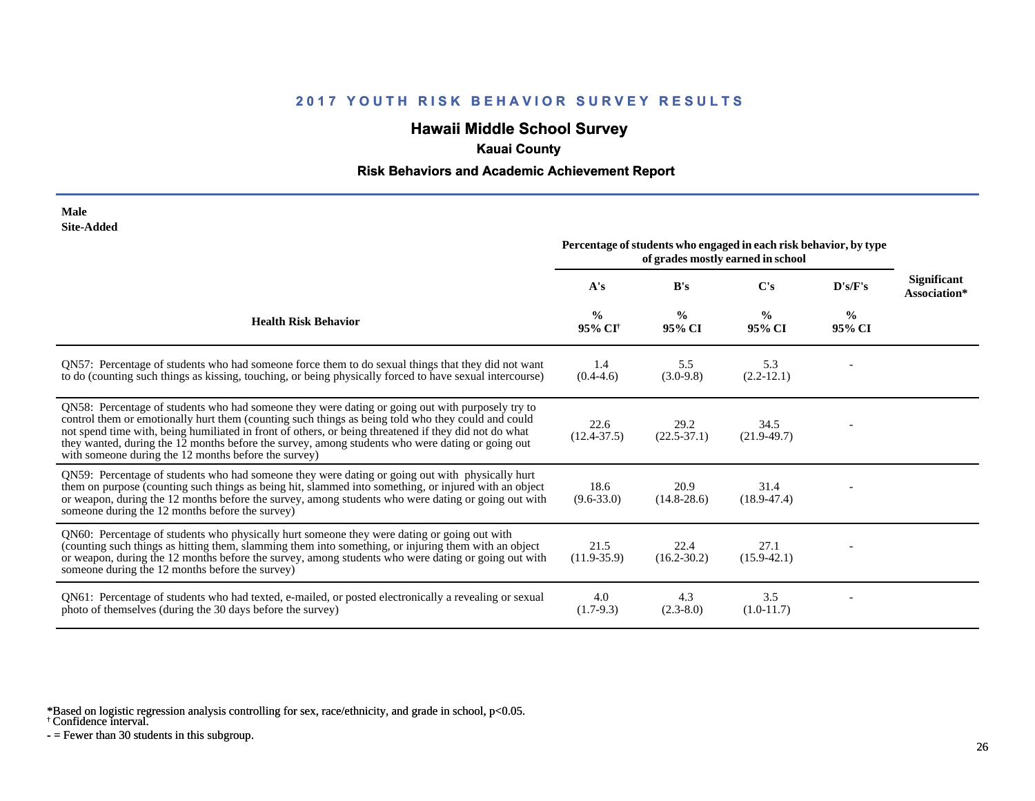# **Hawaii Middle School Survey**

## **Kauai County**

#### **Risk Behaviors and Academic Achievement Report**

| Male       |
|------------|
| Site-Added |

| one Auucu                                                                                                                                                                                                                                                                                                                                                                                                                                                                   | Percentage of students who engaged in each risk behavior, by type<br>of grades mostly earned in school |                         |                         |                         |                                    |
|-----------------------------------------------------------------------------------------------------------------------------------------------------------------------------------------------------------------------------------------------------------------------------------------------------------------------------------------------------------------------------------------------------------------------------------------------------------------------------|--------------------------------------------------------------------------------------------------------|-------------------------|-------------------------|-------------------------|------------------------------------|
|                                                                                                                                                                                                                                                                                                                                                                                                                                                                             | A's                                                                                                    | B's                     | C's                     | D's/F's                 | <b>Significant</b><br>Association* |
| <b>Health Risk Behavior</b>                                                                                                                                                                                                                                                                                                                                                                                                                                                 | $\frac{0}{0}$<br>95% CI <sup>+</sup>                                                                   | $\frac{0}{0}$<br>95% CI | $\frac{0}{0}$<br>95% CI | $\frac{0}{0}$<br>95% CI |                                    |
| QN57: Percentage of students who had someone force them to do sexual things that they did not want<br>to do (counting such things as kissing, touching, or being physically forced to have sexual intercourse)                                                                                                                                                                                                                                                              | 1.4<br>$(0.4-4.6)$                                                                                     | 5.5<br>$(3.0-9.8)$      | 5.3<br>$(2.2-12.1)$     |                         |                                    |
| QN58: Percentage of students who had someone they were dating or going out with purposely try to<br>control them or emotionally hurt them (counting such things as being told who they could and could<br>not spend time with, being humiliated in front of others, or being threatened if they did not do what<br>they wanted, during the 12 months before the survey, among students who were dating or going out<br>with someone during the 12 months before the survey) | 22.6<br>$(12.4 - 37.5)$                                                                                | 29.2<br>$(22.5 - 37.1)$ | 34.5<br>$(21.9-49.7)$   |                         |                                    |
| QN59: Percentage of students who had someone they were dating or going out with physically hurt<br>them on purpose (counting such things as being hit, slammed into something, or injured with an object<br>or weapon, during the 12 months before the survey, among students who were dating or going out with<br>someone during the 12 months before the survey)                                                                                                          | 18.6<br>$(9.6 - 33.0)$                                                                                 | 20.9<br>$(14.8 - 28.6)$ | 31.4<br>$(18.9 - 47.4)$ |                         |                                    |
| QN60: Percentage of students who physically hurt someone they were dating or going out with<br>(counting such things as hitting them, slamming them into something, or injuring them with an object<br>or weapon, during the 12 months before the survey, among students who were dating or going out with<br>someone during the 12 months before the survey)                                                                                                               | 21.5<br>$(11.9-35.9)$                                                                                  | 22.4<br>$(16.2 - 30.2)$ | 27.1<br>$(15.9 - 42.1)$ |                         |                                    |
| QN61: Percentage of students who had texted, e-mailed, or posted electronically a revealing or sexual<br>photo of themselves (during the 30 days before the survey)                                                                                                                                                                                                                                                                                                         | 4.0<br>$(1.7-9.3)$                                                                                     | 4.3<br>$(2.3-8.0)$      | 3.5<br>$(1.0-11.7)$     |                         |                                    |

\*Based on logistic regression analysis controlling for sex, race/ethnicity, and grade in school, p<0.05.

† Confidence interval.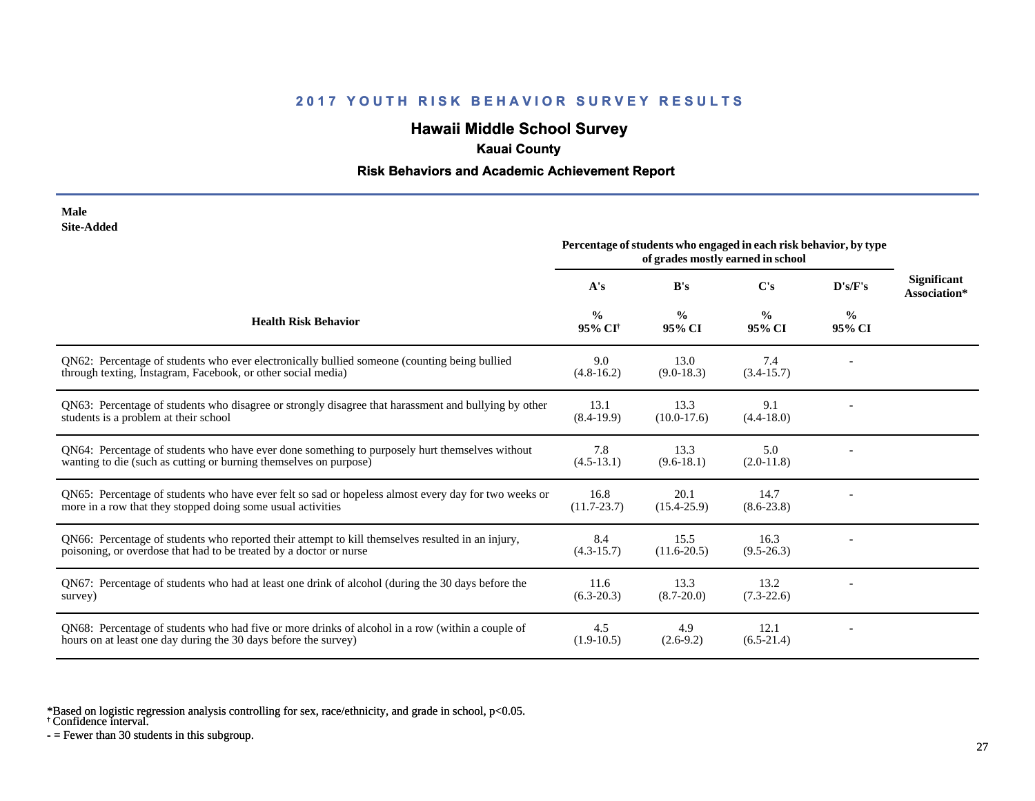# **Hawaii Middle School Survey**

## **Kauai County**

### **Risk Behaviors and Academic Achievement Report**

| Male       |
|------------|
| Site-Added |

|                                                                                                                                                                         | Percentage of students who engaged in each risk behavior, by type<br>of grades mostly earned in school |                         |                         |                         |                                    |
|-------------------------------------------------------------------------------------------------------------------------------------------------------------------------|--------------------------------------------------------------------------------------------------------|-------------------------|-------------------------|-------------------------|------------------------------------|
|                                                                                                                                                                         | A's                                                                                                    | B's                     | $\bf C's$               | D's/F's                 | <b>Significant</b><br>Association* |
| <b>Health Risk Behavior</b>                                                                                                                                             | $\frac{0}{0}$<br>95% CI <sup>+</sup>                                                                   | $\frac{0}{0}$<br>95% CI | $\frac{0}{0}$<br>95% CI | $\frac{0}{0}$<br>95% CI |                                    |
| QN62: Percentage of students who ever electronically bullied someone (counting being bullied<br>through texting, Instagram, Facebook, or other social media)            | 9.0<br>$(4.8-16.2)$                                                                                    | 13.0<br>$(9.0-18.3)$    | 7.4<br>$(3.4-15.7)$     |                         |                                    |
| QN63: Percentage of students who disagree or strongly disagree that harassment and bullying by other<br>students is a problem at their school                           | 13.1<br>$(8.4-19.9)$                                                                                   | 13.3<br>$(10.0-17.6)$   | 9.1<br>$(4.4 - 18.0)$   |                         |                                    |
| QN64: Percentage of students who have ever done something to purposely hurt themselves without<br>wanting to die (such as cutting or burning themselves on purpose)     | 7.8<br>$(4.5-13.1)$                                                                                    | 13.3<br>$(9.6-18.1)$    | 5.0<br>$(2.0-11.8)$     |                         |                                    |
| QN65: Percentage of students who have ever felt so sad or hopeless almost every day for two weeks or<br>more in a row that they stopped doing some usual activities     | 16.8<br>$(11.7 - 23.7)$                                                                                | 20.1<br>$(15.4 - 25.9)$ | 14.7<br>$(8.6 - 23.8)$  |                         |                                    |
| QN66: Percentage of students who reported their attempt to kill themselves resulted in an injury,<br>poisoning, or overdose that had to be treated by a doctor or nurse | 8.4<br>$(4.3-15.7)$                                                                                    | 15.5<br>$(11.6 - 20.5)$ | 16.3<br>$(9.5 - 26.3)$  |                         |                                    |
| QN67: Percentage of students who had at least one drink of alcohol (during the 30 days before the<br>survey)                                                            | 11.6<br>$(6.3-20.3)$                                                                                   | 13.3<br>$(8.7 - 20.0)$  | 13.2<br>$(7.3-22.6)$    |                         |                                    |
| QN68: Percentage of students who had five or more drinks of alcohol in a row (within a couple of<br>hours on at least one day during the 30 days before the survey)     | 4.5<br>$(1.9-10.5)$                                                                                    | 4.9<br>$(2.6-9.2)$      | 12.1<br>$(6.5-21.4)$    |                         |                                    |

\*Based on logistic regression analysis controlling for sex, race/ethnicity, and grade in school, p<0.05.

† Confidence interval.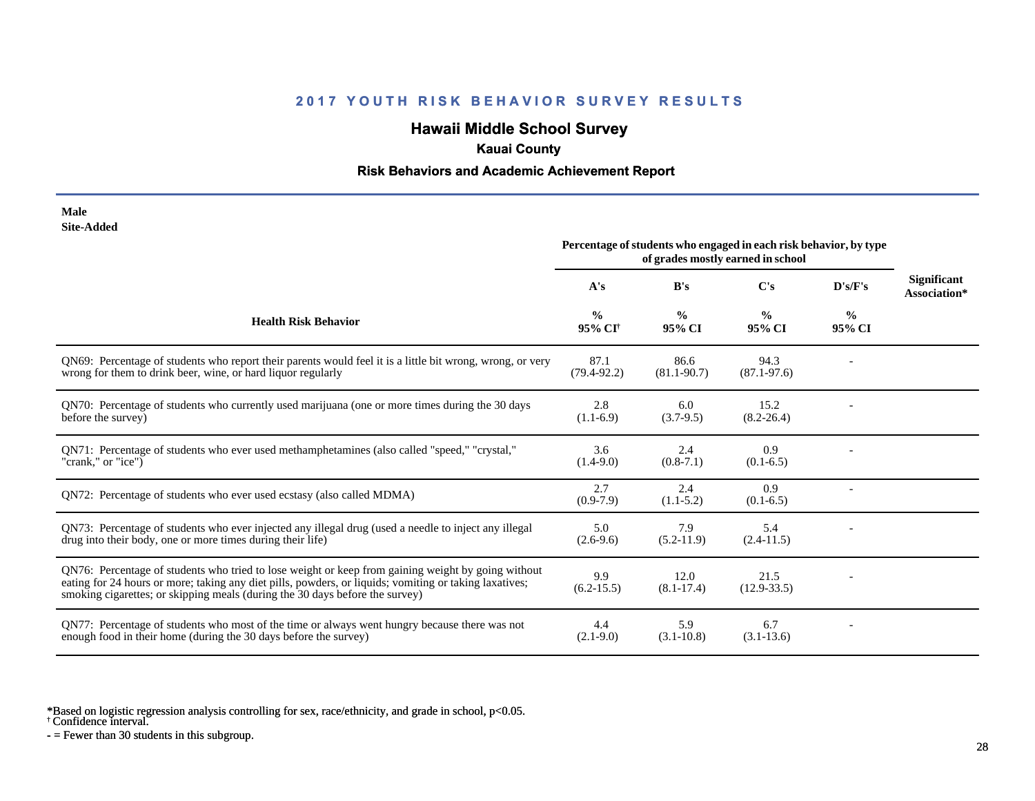# **Hawaii Middle School Survey**

## **Kauai County**

### **Risk Behaviors and Academic Achievement Report**

| Male              |
|-------------------|
| <b>Site-Added</b> |

| one maaeg                                                                                                                                                                                                                                                                                    | Percentage of students who engaged in each risk behavior, by type<br>of grades mostly earned in school |                         |                         |                         |                                    |
|----------------------------------------------------------------------------------------------------------------------------------------------------------------------------------------------------------------------------------------------------------------------------------------------|--------------------------------------------------------------------------------------------------------|-------------------------|-------------------------|-------------------------|------------------------------------|
|                                                                                                                                                                                                                                                                                              | A's                                                                                                    | B's                     | C's                     | D's/F's                 | <b>Significant</b><br>Association* |
| <b>Health Risk Behavior</b>                                                                                                                                                                                                                                                                  | $\%$<br>95% CI <sup>+</sup>                                                                            | $\frac{0}{0}$<br>95% CI | $\frac{0}{0}$<br>95% CI | $\frac{0}{0}$<br>95% CI |                                    |
| QN69: Percentage of students who report their parents would feel it is a little bit wrong, wrong, or very<br>wrong for them to drink beer, wine, or hard liquor regularly                                                                                                                    | 87.1<br>$(79.4 - 92.2)$                                                                                | 86.6<br>$(81.1 - 90.7)$ | 94.3<br>$(87.1 - 97.6)$ |                         |                                    |
| QN70: Percentage of students who currently used marijuana (one or more times during the 30 days<br>before the survey)                                                                                                                                                                        | 2.8<br>$(1.1-6.9)$                                                                                     | 6.0<br>$(3.7-9.5)$      | 15.2<br>$(8.2 - 26.4)$  |                         |                                    |
| QN71: Percentage of students who ever used methamphetamines (also called "speed," "crystal,"<br>"crank," or "ice")                                                                                                                                                                           | 3.6<br>$(1.4-9.0)$                                                                                     | 2.4<br>$(0.8-7.1)$      | 0.9<br>$(0.1-6.5)$      |                         |                                    |
| QN72: Percentage of students who ever used ecstasy (also called MDMA)                                                                                                                                                                                                                        | 2.7<br>$(0.9-7.9)$                                                                                     | 2.4<br>$(1.1-5.2)$      | 0.9<br>$(0.1-6.5)$      |                         |                                    |
| QN73: Percentage of students who ever injected any illegal drug (used a needle to inject any illegal<br>drug into their body, one or more times during their life)                                                                                                                           | 5.0<br>$(2.6-9.6)$                                                                                     | 7.9<br>$(5.2-11.9)$     | 5.4<br>$(2.4-11.5)$     |                         |                                    |
| QN76: Percentage of students who tried to lose weight or keep from gaining weight by going without<br>eating for 24 hours or more; taking any diet pills, powders, or liquids; vomiting or taking laxatives;<br>smoking cigarettes; or skipping meals (during the 30 days before the survey) | 9.9<br>$(6.2 - 15.5)$                                                                                  | 12.0<br>$(8.1 - 17.4)$  | 21.5<br>$(12.9 - 33.5)$ |                         |                                    |
| QN77: Percentage of students who most of the time or always went hungry because there was not<br>enough food in their home (during the 30 days before the survey)                                                                                                                            | 4.4<br>$(2.1-9.0)$                                                                                     | 5.9<br>$(3.1 - 10.8)$   | 6.7<br>$(3.1 - 13.6)$   |                         |                                    |

\*Based on logistic regression analysis controlling for sex, race/ethnicity, and grade in school, p<0.05.

† Confidence interval.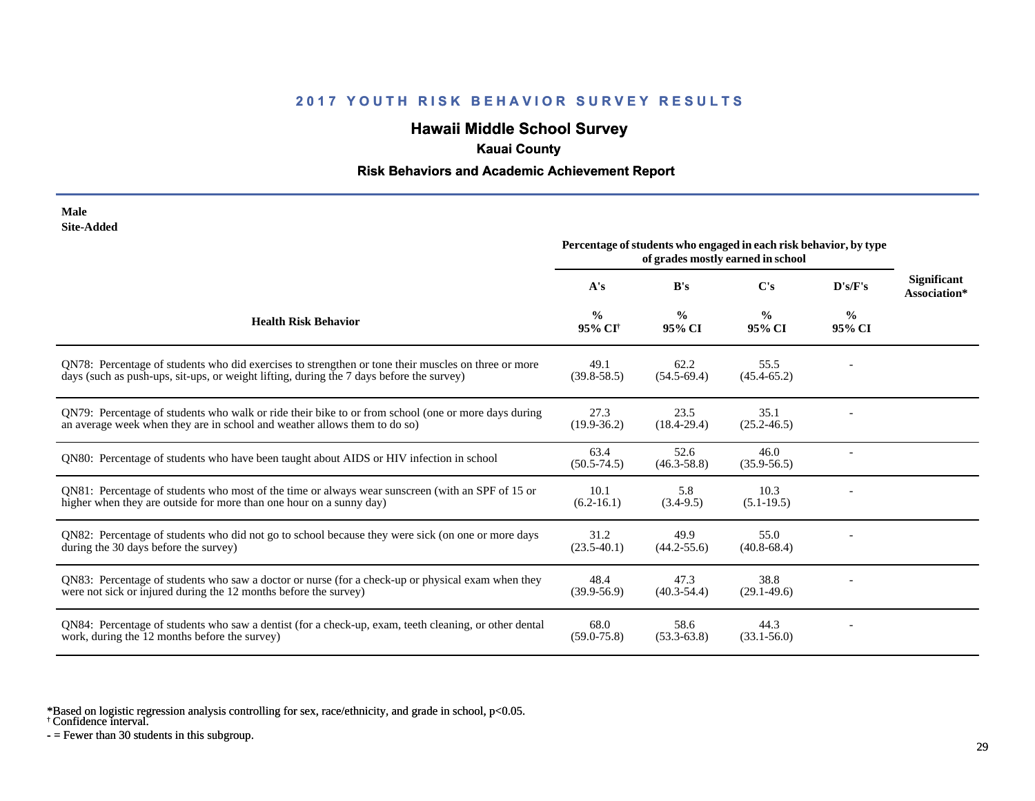# **Hawaii Middle School Survey**

## **Kauai County**

### **Risk Behaviors and Academic Achievement Report**

| Male       |
|------------|
| Site-Added |

| one maara                                                                                                                                                                                       | Percentage of students who engaged in each risk behavior, by type<br>of grades mostly earned in school |                         |                         |                         |                                    |
|-------------------------------------------------------------------------------------------------------------------------------------------------------------------------------------------------|--------------------------------------------------------------------------------------------------------|-------------------------|-------------------------|-------------------------|------------------------------------|
|                                                                                                                                                                                                 | A's                                                                                                    | B's                     | $\bf C's$               | D's/F's                 | <b>Significant</b><br>Association* |
| <b>Health Risk Behavior</b>                                                                                                                                                                     | $\frac{0}{0}$<br>95% CI <sup>†</sup>                                                                   | $\frac{0}{0}$<br>95% CI | $\frac{0}{0}$<br>95% CI | $\frac{6}{9}$<br>95% CI |                                    |
| QN78: Percentage of students who did exercises to strengthen or tone their muscles on three or more<br>days (such as push-ups, sit-ups, or weight lifting, during the 7 days before the survey) | 49.1<br>$(39.8 - 58.5)$                                                                                | 62.2<br>$(54.5-69.4)$   | 55.5<br>$(45.4 - 65.2)$ |                         |                                    |
| QN79: Percentage of students who walk or ride their bike to or from school (one or more days during<br>an average week when they are in school and weather allows them to do so)                | 27.3<br>$(19.9 - 36.2)$                                                                                | 23.5<br>$(18.4 - 29.4)$ | 35.1<br>$(25.2 - 46.5)$ |                         |                                    |
| QN80: Percentage of students who have been taught about AIDS or HIV infection in school                                                                                                         | 63.4<br>$(50.5 - 74.5)$                                                                                | 52.6<br>$(46.3 - 58.8)$ | 46.0<br>$(35.9 - 56.5)$ |                         |                                    |
| QN81: Percentage of students who most of the time or always wear sunscreen (with an SPF of 15 or<br>higher when they are outside for more than one hour on a sunny day)                         | 10.1<br>$(6.2 - 16.1)$                                                                                 | 5.8<br>$(3.4-9.5)$      | 10.3<br>$(5.1-19.5)$    |                         |                                    |
| QN82: Percentage of students who did not go to school because they were sick (on one or more days<br>during the 30 days before the survey)                                                      | 31.2<br>$(23.5-40.1)$                                                                                  | 49.9<br>$(44.2 - 55.6)$ | 55.0<br>$(40.8 - 68.4)$ |                         |                                    |
| QN83: Percentage of students who saw a doctor or nurse (for a check-up or physical exam when they<br>were not sick or injured during the 12 months before the survey)                           | 48.4<br>$(39.9 - 56.9)$                                                                                | 47.3<br>$(40.3 - 54.4)$ | 38.8<br>$(29.1 - 49.6)$ |                         |                                    |
| QN84: Percentage of students who saw a dentist (for a check-up, exam, teeth cleaning, or other dental<br>work, during the 12 months before the survey)                                          | 68.0<br>$(59.0 - 75.8)$                                                                                | 58.6<br>$(53.3-63.8)$   | 44.3<br>$(33.1 - 56.0)$ |                         |                                    |

\*Based on logistic regression analysis controlling for sex, race/ethnicity, and grade in school, p<0.05.

† Confidence interval.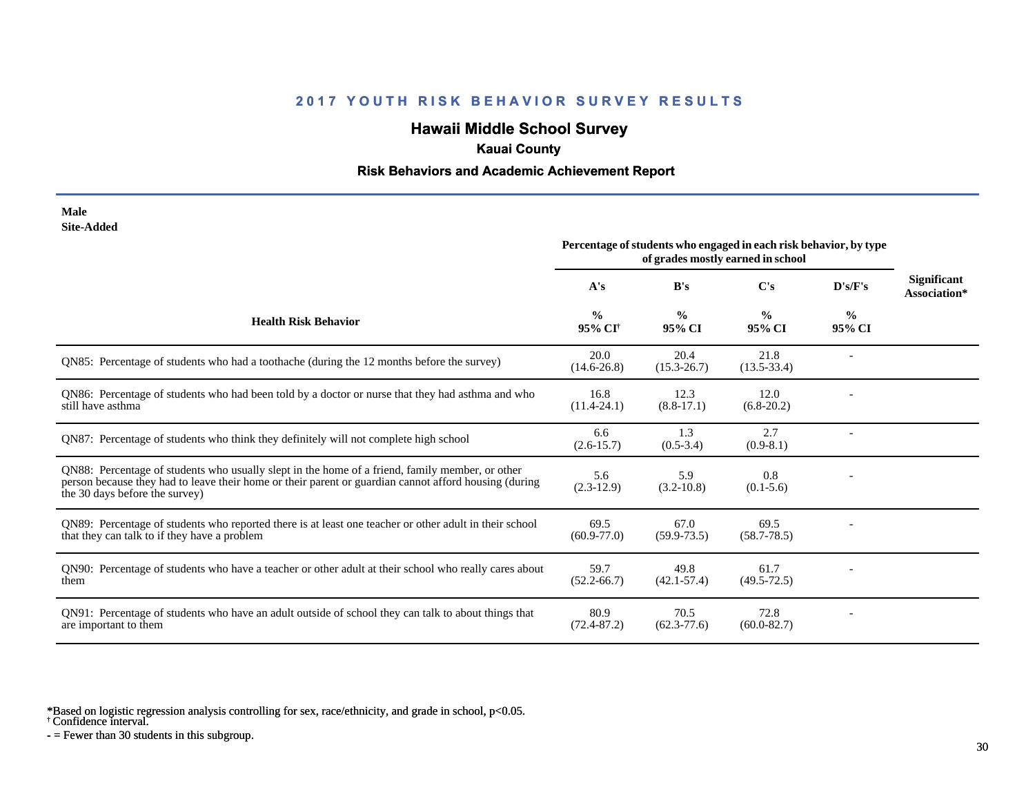# **Hawaii Middle School Survey**

### **Kauai County**

#### **Risk Behaviors and Academic Achievement Report**

#### **Male Site-Added**

|                                                                                                                                                                                                                                            | Percentage of students who engaged in each risk behavior, by type<br>of grades mostly earned in school |                         |                         |                         |                                    |
|--------------------------------------------------------------------------------------------------------------------------------------------------------------------------------------------------------------------------------------------|--------------------------------------------------------------------------------------------------------|-------------------------|-------------------------|-------------------------|------------------------------------|
|                                                                                                                                                                                                                                            | A's                                                                                                    | B's                     | $\bf C's$               | D's/F's                 | <b>Significant</b><br>Association* |
| <b>Health Risk Behavior</b>                                                                                                                                                                                                                | $\frac{0}{0}$<br>95% CI <sup>+</sup>                                                                   | $\frac{0}{0}$<br>95% CI | $\frac{6}{9}$<br>95% CI | $\frac{0}{0}$<br>95% CI |                                    |
| QN85: Percentage of students who had a toothache (during the 12 months before the survey)                                                                                                                                                  | 20.0<br>$(14.6 - 26.8)$                                                                                | 20.4<br>$(15.3 - 26.7)$ | 21.8<br>$(13.5 - 33.4)$ |                         |                                    |
| QN86: Percentage of students who had been told by a doctor or nurse that they had asthma and who<br>still have asthma                                                                                                                      | 16.8<br>$(11.4 - 24.1)$                                                                                | 12.3<br>$(8.8-17.1)$    | 12.0<br>$(6.8-20.2)$    |                         |                                    |
| QN87: Percentage of students who think they definitely will not complete high school                                                                                                                                                       | 6.6<br>$(2.6 - 15.7)$                                                                                  | 1.3<br>$(0.5-3.4)$      | 2.7<br>$(0.9-8.1)$      |                         |                                    |
| QN88: Percentage of students who usually slept in the home of a friend, family member, or other<br>person because they had to leave their home or their parent or guardian cannot afford housing (during<br>the 30 days before the survey) | 5.6<br>$(2.3-12.9)$                                                                                    | 5.9<br>$(3.2 - 10.8)$   | 0.8<br>$(0.1-5.6)$      |                         |                                    |
| QN89: Percentage of students who reported there is at least one teacher or other adult in their school<br>that they can talk to if they have a problem                                                                                     | 69.5<br>$(60.9 - 77.0)$                                                                                | 67.0<br>$(59.9 - 73.5)$ | 69.5<br>$(58.7 - 78.5)$ |                         |                                    |
| QN90: Percentage of students who have a teacher or other adult at their school who really cares about<br>them                                                                                                                              | 59.7<br>$(52.2 - 66.7)$                                                                                | 49.8<br>$(42.1 - 57.4)$ | 61.7<br>$(49.5 - 72.5)$ |                         |                                    |
| QN91: Percentage of students who have an adult outside of school they can talk to about things that<br>are important to them                                                                                                               | 80.9<br>$(72.4 - 87.2)$                                                                                | 70.5<br>$(62.3 - 77.6)$ | 72.8<br>$(60.0 - 82.7)$ |                         |                                    |

\*Based on logistic regression analysis controlling for sex, race/ethnicity, and grade in school, p<0.05.

† Confidence interval.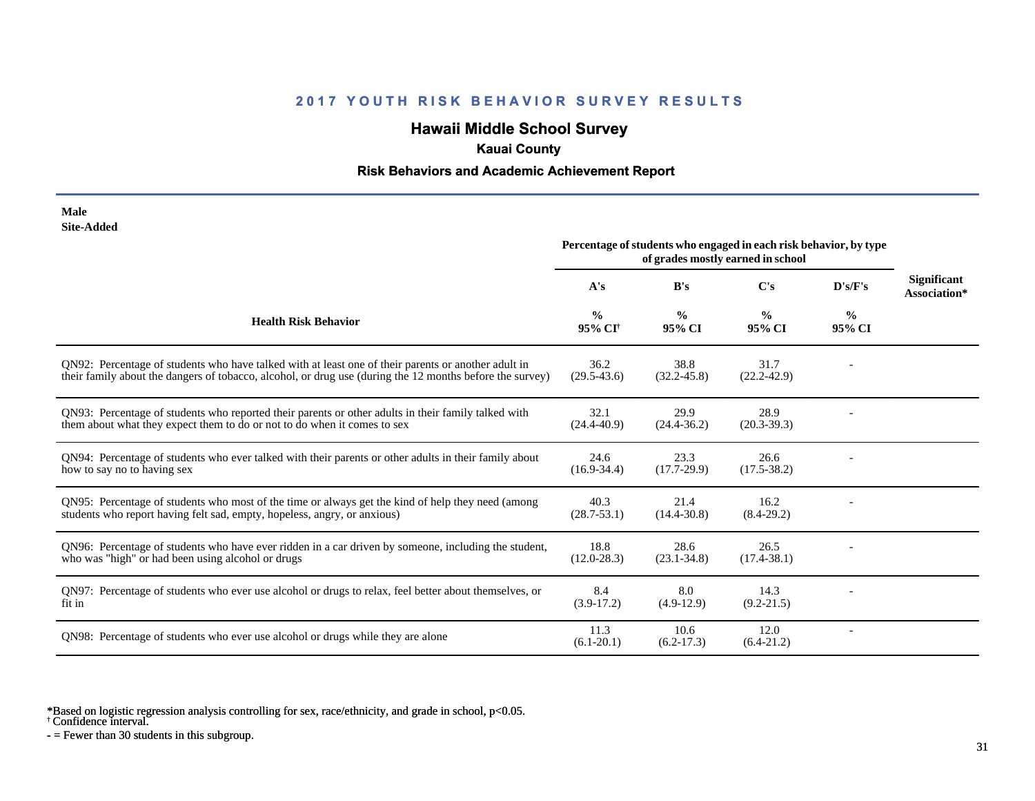# **Hawaii Middle School Survey**

## **Kauai County**

### **Risk Behaviors and Academic Achievement Report**

| Male       |
|------------|
| Site-Added |

| one-auucu                                                                                                                                                                                                       | Percentage of students who engaged in each risk behavior, by type<br>of grades mostly earned in school |                         |                         |                         |                                    |
|-----------------------------------------------------------------------------------------------------------------------------------------------------------------------------------------------------------------|--------------------------------------------------------------------------------------------------------|-------------------------|-------------------------|-------------------------|------------------------------------|
|                                                                                                                                                                                                                 | A's                                                                                                    | B's                     | C's                     | D's/F's                 | <b>Significant</b><br>Association* |
| <b>Health Risk Behavior</b>                                                                                                                                                                                     | $\frac{0}{0}$<br>95% CI <sup>+</sup>                                                                   | $\frac{0}{0}$<br>95% CI | $\frac{0}{0}$<br>95% CI | $\frac{0}{0}$<br>95% CI |                                    |
| QN92: Percentage of students who have talked with at least one of their parents or another adult in<br>their family about the dangers of tobacco, alcohol, or drug use (during the 12 months before the survey) | 36.2<br>$(29.5 - 43.6)$                                                                                | 38.8<br>$(32.2 - 45.8)$ | 31.7<br>$(22.2 - 42.9)$ |                         |                                    |
| QN93: Percentage of students who reported their parents or other adults in their family talked with<br>them about what they expect them to do or not to do when it comes to sex                                 | 32.1<br>$(24.4 - 40.9)$                                                                                | 29.9<br>$(24.4 - 36.2)$ | 28.9<br>$(20.3 - 39.3)$ |                         |                                    |
| QN94: Percentage of students who ever talked with their parents or other adults in their family about<br>how to say no to having sex                                                                            | 24.6<br>$(16.9 - 34.4)$                                                                                | 23.3<br>$(17.7-29.9)$   | 26.6<br>$(17.5 - 38.2)$ |                         |                                    |
| QN95: Percentage of students who most of the time or always get the kind of help they need (among<br>students who report having felt sad, empty, hopeless, angry, or anxious)                                   | 40.3<br>$(28.7 - 53.1)$                                                                                | 21.4<br>$(14.4 - 30.8)$ | 16.2<br>$(8.4-29.2)$    |                         |                                    |
| QN96: Percentage of students who have ever ridden in a car driven by someone, including the student,<br>who was "high" or had been using alcohol or drugs                                                       | 18.8<br>$(12.0 - 28.3)$                                                                                | 28.6<br>$(23.1 - 34.8)$ | 26.5<br>$(17.4 - 38.1)$ |                         |                                    |
| QN97: Percentage of students who ever use alcohol or drugs to relax, feel better about themselves, or<br>fit in                                                                                                 | 8.4<br>$(3.9-17.2)$                                                                                    | 8.0<br>$(4.9-12.9)$     | 14.3<br>$(9.2 - 21.5)$  |                         |                                    |
| QN98: Percentage of students who ever use alcohol or drugs while they are alone                                                                                                                                 | 11.3<br>$(6.1 - 20.1)$                                                                                 | 10.6<br>$(6.2-17.3)$    | 12.0<br>$(6.4-21.2)$    |                         |                                    |

\*Based on logistic regression analysis controlling for sex, race/ethnicity, and grade in school, p<0.05.

† Confidence interval.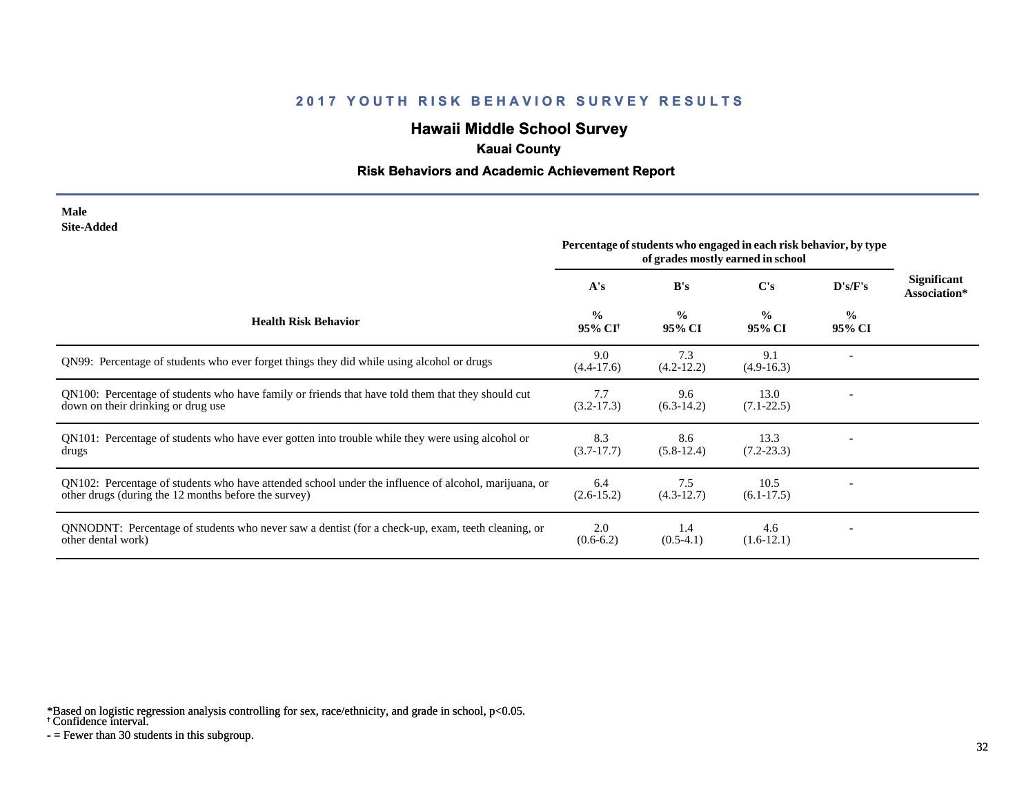# **Hawaii Middle School Survey**

### **Kauai County**

#### **Risk Behaviors and Academic Achievement Report**

#### **Male Site-Added**

|                                                                                                                                                              | Percentage of students who engaged in each risk behavior, by type<br>of grades mostly earned in school |                         |                         |                         |                                    |
|--------------------------------------------------------------------------------------------------------------------------------------------------------------|--------------------------------------------------------------------------------------------------------|-------------------------|-------------------------|-------------------------|------------------------------------|
|                                                                                                                                                              | A's                                                                                                    | B's                     | C's                     | D's/F's                 | <b>Significant</b><br>Association* |
| <b>Health Risk Behavior</b>                                                                                                                                  | $\frac{0}{0}$<br>95% CI <sup>+</sup>                                                                   | $\frac{0}{0}$<br>95% CI | $\frac{0}{0}$<br>95% CI | $\frac{0}{0}$<br>95% CI |                                    |
| QN99: Percentage of students who ever forget things they did while using alcohol or drugs                                                                    | 9.0<br>$(4.4-17.6)$                                                                                    | 7.3<br>$(4.2 - 12.2)$   | 9.1<br>$(4.9-16.3)$     |                         |                                    |
| QN100: Percentage of students who have family or friends that have told them that they should cut<br>down on their drinking or drug use                      | 7.7<br>$(3.2 - 17.3)$                                                                                  | 9.6<br>$(6.3-14.2)$     | 13.0<br>$(7.1 - 22.5)$  |                         |                                    |
| QN101: Percentage of students who have ever gotten into trouble while they were using alcohol or<br>drugs                                                    | 8.3<br>$(3.7-17.7)$                                                                                    | 8.6<br>$(5.8-12.4)$     | 13.3<br>$(7.2 - 23.3)$  |                         |                                    |
| QN102: Percentage of students who have attended school under the influence of alcohol, marijuana, or<br>other drugs (during the 12 months before the survey) | 6.4<br>$(2.6-15.2)$                                                                                    | 7.5<br>$(4.3-12.7)$     | 10.5<br>$(6.1-17.5)$    |                         |                                    |
| QNNODNT: Percentage of students who never saw a dentist (for a check-up, exam, teeth cleaning, or<br>other dental work)                                      | 2.0<br>$(0.6-6.2)$                                                                                     | 1.4<br>$(0.5-4.1)$      | 4.6<br>$(1.6-12.1)$     |                         |                                    |

\*Based on logistic regression analysis controlling for sex, race/ethnicity, and grade in school, p<0.05.

† Confidence interval.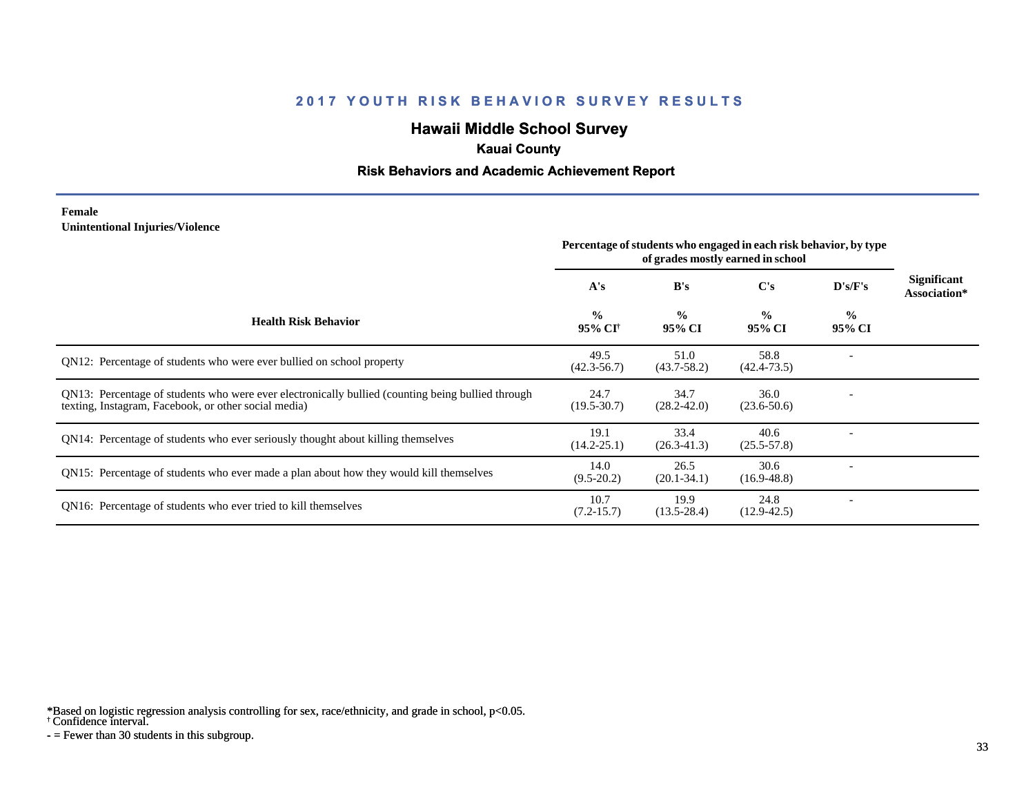# **Hawaii Middle School Survey**

### **Kauai County**

#### **Risk Behaviors and Academic Achievement Report**

#### **Female Unintentional Injuries/Violence**

|                                                                                                                                                           | Percentage of students who engaged in each risk behavior, by type<br>of grades mostly earned in school |                         |                         |                         |                                    |
|-----------------------------------------------------------------------------------------------------------------------------------------------------------|--------------------------------------------------------------------------------------------------------|-------------------------|-------------------------|-------------------------|------------------------------------|
|                                                                                                                                                           | A's                                                                                                    | B's                     | C's                     | D's/F's                 | <b>Significant</b><br>Association* |
| <b>Health Risk Behavior</b>                                                                                                                               | $\frac{0}{0}$<br>95% CI†                                                                               | $\frac{0}{0}$<br>95% CI | $\frac{0}{0}$<br>95% CI | $\frac{0}{0}$<br>95% CI |                                    |
| QN12: Percentage of students who were ever bullied on school property                                                                                     | 49.5<br>$(42.3 - 56.7)$                                                                                | 51.0<br>$(43.7 - 58.2)$ | 58.8<br>$(42.4 - 73.5)$ |                         |                                    |
| QN13: Percentage of students who were ever electronically bullied (counting being bullied through<br>texting, Instagram, Facebook, or other social media) | 24.7<br>$(19.5 - 30.7)$                                                                                | 34.7<br>$(28.2 - 42.0)$ | 36.0<br>$(23.6 - 50.6)$ |                         |                                    |
| QN14: Percentage of students who ever seriously thought about killing themselves                                                                          | 19.1<br>$(14.2 - 25.1)$                                                                                | 33.4<br>$(26.3 - 41.3)$ | 40.6<br>$(25.5 - 57.8)$ |                         |                                    |
| QN15: Percentage of students who ever made a plan about how they would kill themselves                                                                    | 14.0<br>$(9.5-20.2)$                                                                                   | 26.5<br>$(20.1 - 34.1)$ | 30.6<br>$(16.9 - 48.8)$ |                         |                                    |
| QN16: Percentage of students who ever tried to kill themselves                                                                                            | 10.7<br>$(7.2 - 15.7)$                                                                                 | 19.9<br>$(13.5 - 28.4)$ | 24.8<br>$(12.9 - 42.5)$ |                         |                                    |

\*Based on logistic regression analysis controlling for sex, race/ethnicity, and grade in school, p<0.05.

† Confidence interval.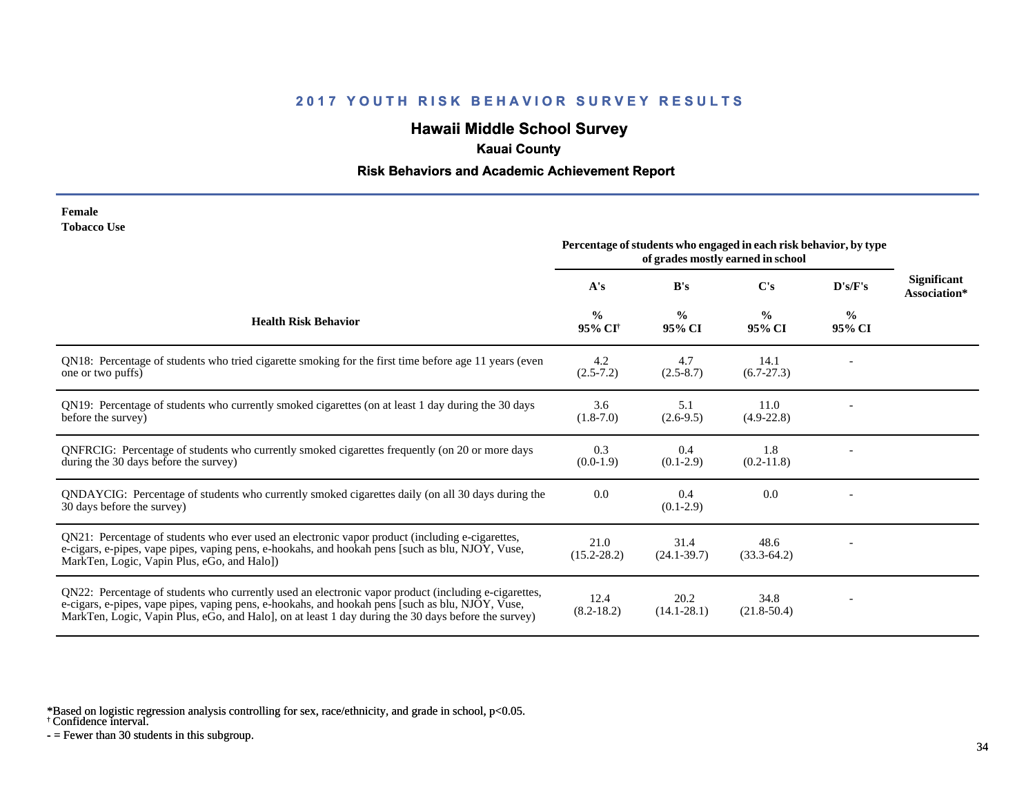# **Hawaii Middle School Survey**

## **Kauai County**

#### **Risk Behaviors and Academic Achievement Report**

| Female             |  |
|--------------------|--|
| <b>Tobacco Use</b> |  |

|                                                                                                                                                                                                                                                                                                                | Percentage of students who engaged in each risk behavior, by type<br>of grades mostly earned in school |                         |                         |                         |                                    |
|----------------------------------------------------------------------------------------------------------------------------------------------------------------------------------------------------------------------------------------------------------------------------------------------------------------|--------------------------------------------------------------------------------------------------------|-------------------------|-------------------------|-------------------------|------------------------------------|
|                                                                                                                                                                                                                                                                                                                | A's                                                                                                    | B's                     | $\bf C's$               | D's/F's                 | <b>Significant</b><br>Association* |
| <b>Health Risk Behavior</b>                                                                                                                                                                                                                                                                                    | $\frac{0}{0}$<br>95% CI <sup>+</sup>                                                                   | $\frac{0}{0}$<br>95% CI | $\frac{0}{0}$<br>95% CI | $\frac{6}{6}$<br>95% CI |                                    |
| QN18: Percentage of students who tried cigarette smoking for the first time before age 11 years (even<br>one or two puffs)                                                                                                                                                                                     | 4.2<br>$(2.5 - 7.2)$                                                                                   | 4.7<br>$(2.5 - 8.7)$    | 14.1<br>$(6.7-27.3)$    |                         |                                    |
| QN19: Percentage of students who currently smoked cigarettes (on at least 1 day during the 30 days<br>before the survey)                                                                                                                                                                                       | 3.6<br>$(1.8-7.0)$                                                                                     | 5.1<br>$(2.6-9.5)$      | 11.0<br>$(4.9-22.8)$    |                         |                                    |
| QNFRCIG: Percentage of students who currently smoked cigarettes frequently (on 20 or more days<br>during the 30 days before the survey)                                                                                                                                                                        | 0.3<br>$(0.0-1.9)$                                                                                     | 0.4<br>$(0.1-2.9)$      | 1.8<br>$(0.2-11.8)$     |                         |                                    |
| QNDAYCIG: Percentage of students who currently smoked cigarettes daily (on all 30 days during the<br>30 days before the survey)                                                                                                                                                                                | 0.0                                                                                                    | 0.4<br>$(0.1-2.9)$      | 0.0                     |                         |                                    |
| QN21: Percentage of students who ever used an electronic vapor product (including e-cigarettes,<br>e-cigars, e-pipes, vape pipes, vaping pens, e-hookahs, and hookah pens [such as blu, NJOY, Vuse,<br>MarkTen, Logic, Vapin Plus, eGo, and Halo])                                                             | 21.0<br>$(15.2 - 28.2)$                                                                                | 31.4<br>$(24.1 - 39.7)$ | 48.6<br>$(33.3-64.2)$   |                         |                                    |
| QN22: Percentage of students who currently used an electronic vapor product (including e-cigarettes,<br>e-cigars, e-pipes, vape pipes, vaping pens, e-hookahs, and hookah pens [such as blu, NJOY, Vuse,<br>MarkTen, Logic, Vapin Plus, eGo, and Halo, on at least 1 day during the 30 days before the survey) | 12.4<br>$(8.2 - 18.2)$                                                                                 | 20.2<br>$(14.1 - 28.1)$ | 34.8<br>$(21.8 - 50.4)$ |                         |                                    |

\*Based on logistic regression analysis controlling for sex, race/ethnicity, and grade in school, p<0.05.

† Confidence interval.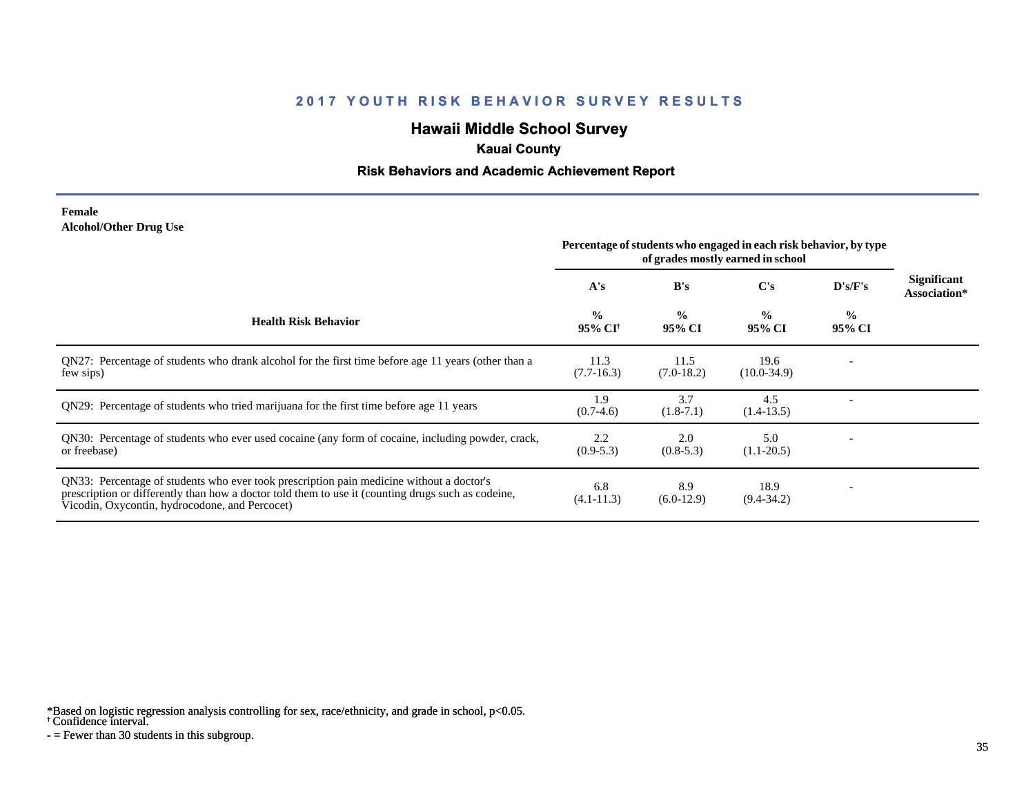# **Hawaii Middle School Survey**

### **Kauai County**

#### **Risk Behaviors and Academic Achievement Report**

#### **Female Alcohol/Other Drug Use**

|                                                                                                                                                                                                                                                  | Percentage of students who engaged in each risk behavior, by type<br>of grades mostly earned in school |                         |                         |                          |                             |
|--------------------------------------------------------------------------------------------------------------------------------------------------------------------------------------------------------------------------------------------------|--------------------------------------------------------------------------------------------------------|-------------------------|-------------------------|--------------------------|-----------------------------|
|                                                                                                                                                                                                                                                  | A's                                                                                                    | B's                     | $\bf C's$               | $\bf{D's/F's}$           | Significant<br>Association* |
| <b>Health Risk Behavior</b>                                                                                                                                                                                                                      | $\frac{0}{0}$<br>95% CI <sup>†</sup>                                                                   | $\frac{0}{0}$<br>95% CI | $\frac{0}{0}$<br>95% CI | $\frac{0}{0}$<br>95% CI  |                             |
| QN27: Percentage of students who drank alcohol for the first time before age 11 years (other than a<br>few sips)                                                                                                                                 | 11.3<br>$(7.7-16.3)$                                                                                   | 11.5<br>$(7.0-18.2)$    | 19.6<br>$(10.0-34.9)$   |                          |                             |
| QN29: Percentage of students who tried marijuana for the first time before age 11 years                                                                                                                                                          | 1.9<br>$(0.7-4.6)$                                                                                     | 3.7<br>$(1.8-7.1)$      | 4.5<br>$(1.4-13.5)$     |                          |                             |
| QN30: Percentage of students who ever used cocaine (any form of cocaine, including powder, crack,<br>or freebase)                                                                                                                                | 2.2<br>$(0.9-5.3)$                                                                                     | 2.0<br>$(0.8-5.3)$      | 5.0<br>$(1.1-20.5)$     |                          |                             |
| QN33: Percentage of students who ever took prescription pain medicine without a doctor's<br>prescription or differently than how a doctor told them to use it (counting drugs such as codeine,<br>Vicodin, Oxycontin, hydrocodone, and Percocet) | 6.8<br>$(4.1 - 11.3)$                                                                                  | 8.9<br>$(6.0-12.9)$     | 18.9<br>$(9.4 - 34.2)$  | $\overline{\phantom{a}}$ |                             |

\*Based on logistic regression analysis controlling for sex, race/ethnicity, and grade in school, p<0.05.

† Confidence interval.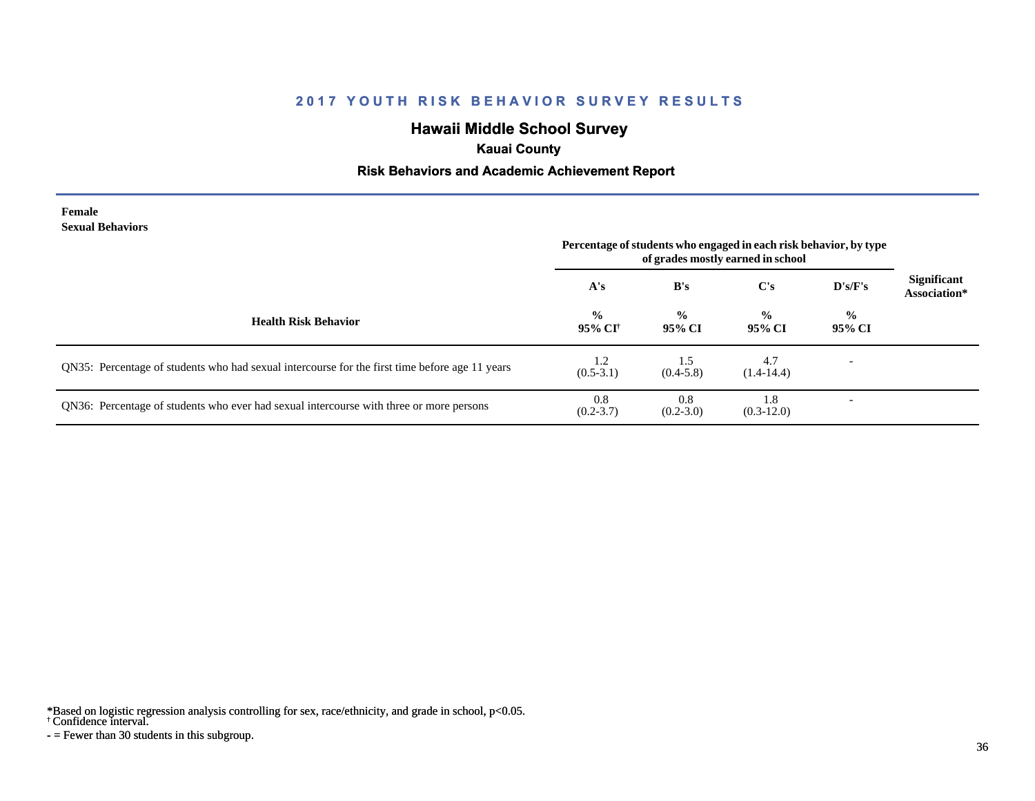# **Hawaii Middle School Survey**

### **Kauai County**

### **Risk Behaviors and Academic Achievement Report**

#### **Female Sexual Behaviors**

|                                                                                                | Percentage of students who engaged in each risk behavior, by type<br>of grades mostly earned in school |                         |                         |                          |                                    |
|------------------------------------------------------------------------------------------------|--------------------------------------------------------------------------------------------------------|-------------------------|-------------------------|--------------------------|------------------------------------|
|                                                                                                | A's                                                                                                    | B's                     | C's                     | D's/F's                  | <b>Significant</b><br>Association* |
| <b>Health Risk Behavior</b>                                                                    | $\frac{0}{0}$<br>95% CI†                                                                               | $\frac{0}{0}$<br>95% CI | $\frac{0}{0}$<br>95% CI | $\frac{0}{0}$<br>95% CI  |                                    |
| QN35: Percentage of students who had sexual intercourse for the first time before age 11 years | 1.2<br>$(0.5-3.1)$                                                                                     | 1.5<br>$(0.4-5.8)$      | 4.7<br>$(1.4-14.4)$     | $\overline{\phantom{a}}$ |                                    |
| QN36: Percentage of students who ever had sexual intercourse with three or more persons        | 0.8<br>$(0.2 - 3.7)$                                                                                   | 0.8<br>$(0.2 - 3.0)$    | 1.8<br>$(0.3-12.0)$     |                          |                                    |

\*Based on logistic regression analysis controlling for sex, race/ethnicity, and grade in school, p<0.05.

† Confidence interval.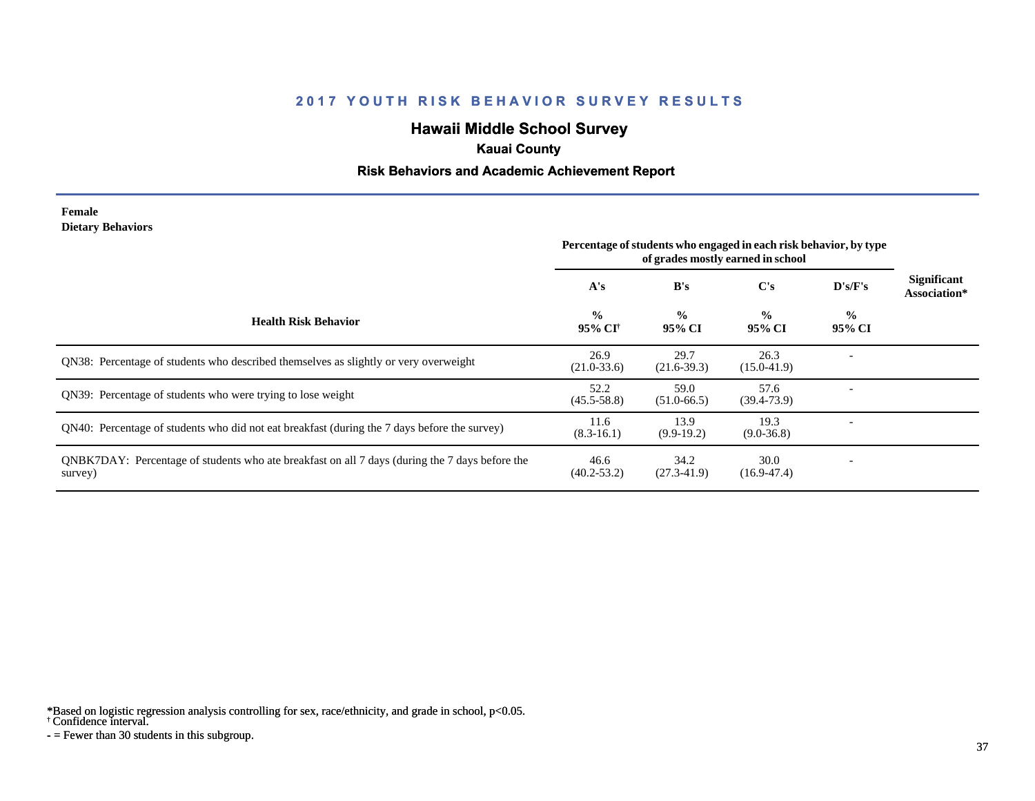# **Hawaii Middle School Survey**

### **Kauai County**

#### **Risk Behaviors and Academic Achievement Report**

#### **Female Dietary Behaviors**

|                                                                                                           | Percentage of students who engaged in each risk behavior, by type<br>of grades mostly earned in school |                         |                         |                         |                                    |
|-----------------------------------------------------------------------------------------------------------|--------------------------------------------------------------------------------------------------------|-------------------------|-------------------------|-------------------------|------------------------------------|
|                                                                                                           | A's                                                                                                    | B's                     | $\bf C's$               | D's/F's                 | <b>Significant</b><br>Association* |
| <b>Health Risk Behavior</b>                                                                               | $\frac{0}{0}$<br>95% CI†                                                                               | $\frac{0}{0}$<br>95% CI | $\frac{6}{9}$<br>95% CI | $\frac{0}{0}$<br>95% CI |                                    |
| QN38: Percentage of students who described themselves as slightly or very overweight                      | 26.9<br>$(21.0 - 33.6)$                                                                                | 29.7<br>$(21.6-39.3)$   | 26.3<br>$(15.0 - 41.9)$ |                         |                                    |
| QN39: Percentage of students who were trying to lose weight                                               | 52.2<br>$(45.5 - 58.8)$                                                                                | 59.0<br>$(51.0 - 66.5)$ | 57.6<br>$(39.4 - 73.9)$ |                         |                                    |
| QN40: Percentage of students who did not eat breakfast (during the 7 days before the survey)              | 11.6<br>$(8.3-16.1)$                                                                                   | 13.9<br>$(9.9-19.2)$    | 19.3<br>$(9.0 - 36.8)$  |                         |                                    |
| QNBK7DAY: Percentage of students who ate breakfast on all 7 days (during the 7 days before the<br>survey) | 46.6<br>$(40.2 - 53.2)$                                                                                | 34.2<br>$(27.3-41.9)$   | 30.0<br>$(16.9 - 47.4)$ |                         |                                    |

\*Based on logistic regression analysis controlling for sex, race/ethnicity, and grade in school, p<0.05.

† Confidence interval.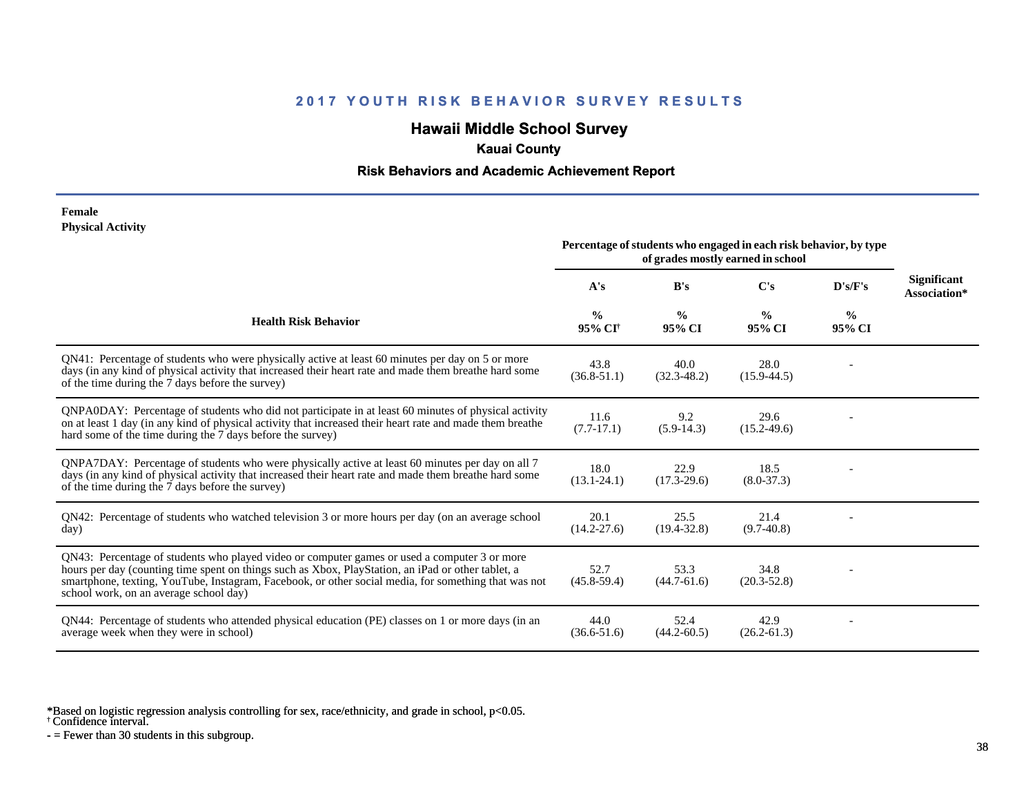# **Hawaii Middle School Survey**

### **Kauai County**

#### **Risk Behaviors and Academic Achievement Report**

#### **Female Physical Activity**

|                                                                                                                                                                                                                                                                                                                                                      | Percentage of students who engaged in each risk behavior, by type<br>of grades mostly earned in school |                         |                         |                         |                                    |
|------------------------------------------------------------------------------------------------------------------------------------------------------------------------------------------------------------------------------------------------------------------------------------------------------------------------------------------------------|--------------------------------------------------------------------------------------------------------|-------------------------|-------------------------|-------------------------|------------------------------------|
|                                                                                                                                                                                                                                                                                                                                                      | A's                                                                                                    | B's                     | C's                     | D's/F's                 | <b>Significant</b><br>Association* |
| <b>Health Risk Behavior</b>                                                                                                                                                                                                                                                                                                                          | $\frac{0}{0}$<br>95% CI <sup>+</sup>                                                                   | $\frac{0}{0}$<br>95% CI | $\frac{0}{0}$<br>95% CI | $\frac{0}{0}$<br>95% CI |                                    |
| QN41: Percentage of students who were physically active at least 60 minutes per day on 5 or more<br>days (in any kind of physical activity that increased their heart rate and made them breathe hard some<br>of the time during the 7 days before the survey)                                                                                       | 43.8<br>$(36.8 - 51.1)$                                                                                | 40.0<br>$(32.3 - 48.2)$ | 28.0<br>$(15.9 - 44.5)$ |                         |                                    |
| QNPA0DAY: Percentage of students who did not participate in at least 60 minutes of physical activity<br>on at least 1 day (in any kind of physical activity that increased their heart rate and made them breathe<br>hard some of the time during the 7 days before the survey)                                                                      | 11.6<br>$(7.7-17.1)$                                                                                   | 9.2<br>$(5.9-14.3)$     | 29.6<br>$(15.2 - 49.6)$ |                         |                                    |
| ONPA7DAY: Percentage of students who were physically active at least 60 minutes per day on all 7<br>days (in any kind of physical activity that increased their heart rate and made them breathe hard some<br>of the time during the 7 days before the survey)                                                                                       | 18.0<br>$(13.1 - 24.1)$                                                                                | 22.9<br>$(17.3 - 29.6)$ | 18.5<br>$(8.0 - 37.3)$  |                         |                                    |
| QN42: Percentage of students who watched television 3 or more hours per day (on an average school<br>day)                                                                                                                                                                                                                                            | 20.1<br>$(14.2 - 27.6)$                                                                                | 25.5<br>$(19.4 - 32.8)$ | 21.4<br>$(9.7-40.8)$    |                         |                                    |
| QN43: Percentage of students who played video or computer games or used a computer 3 or more<br>hours per day (counting time spent on things such as Xbox, PlayStation, an iPad or other tablet, a<br>smartphone, texting, YouTube, Instagram, Facebook, or other social media, for something that was not<br>school work, on an average school day) | 52.7<br>$(45.8 - 59.4)$                                                                                | 53.3<br>$(44.7-61.6)$   | 34.8<br>$(20.3 - 52.8)$ |                         |                                    |
| QN44: Percentage of students who attended physical education (PE) classes on 1 or more days (in an<br>average week when they were in school)                                                                                                                                                                                                         | 44.0<br>$(36.6 - 51.6)$                                                                                | 52.4<br>$(44.2 - 60.5)$ | 42.9<br>$(26.2 - 61.3)$ |                         |                                    |

\*Based on logistic regression analysis controlling for sex, race/ethnicity, and grade in school, p<0.05.

† Confidence interval.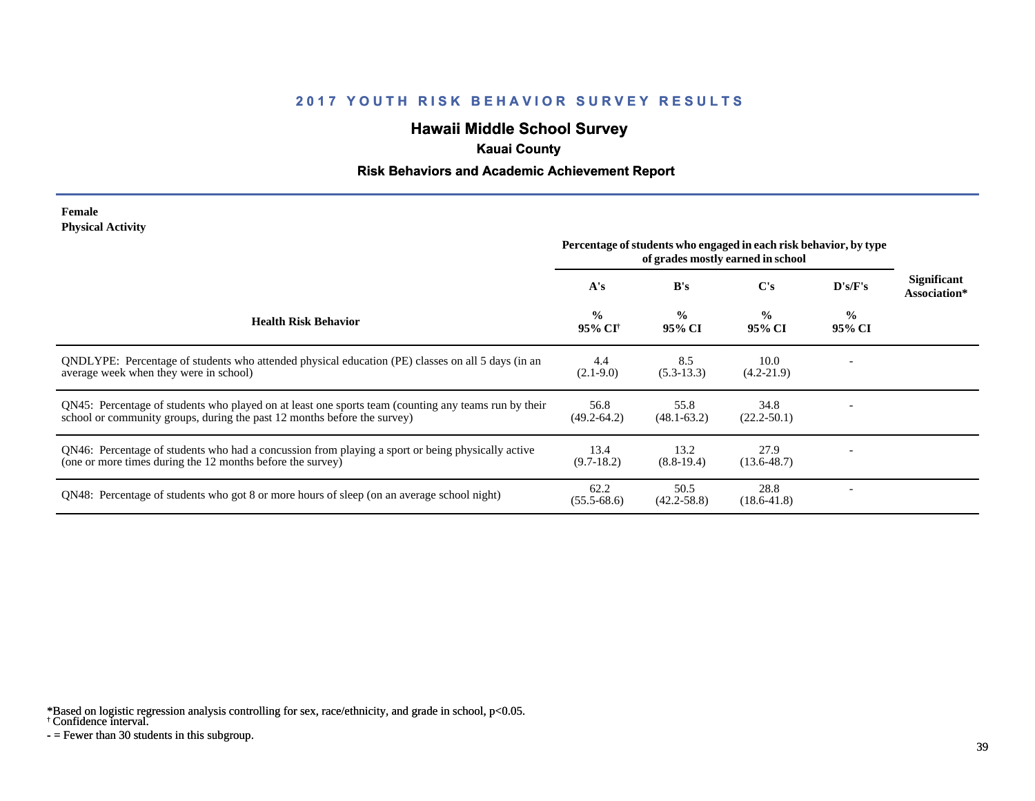# **Hawaii Middle School Survey**

### **Kauai County**

### **Risk Behaviors and Academic Achievement Report**

#### **Female Physical Activity**

|                                                                                                                                                                                  | Percentage of students who engaged in each risk behavior, by type<br>of grades mostly earned in school |                         |                         |                          |                                    |
|----------------------------------------------------------------------------------------------------------------------------------------------------------------------------------|--------------------------------------------------------------------------------------------------------|-------------------------|-------------------------|--------------------------|------------------------------------|
|                                                                                                                                                                                  | A's                                                                                                    | B's                     | C's                     | D's/F's                  | <b>Significant</b><br>Association* |
| <b>Health Risk Behavior</b>                                                                                                                                                      | $\frac{0}{0}$<br>95% CI <sup>†</sup>                                                                   | $\frac{0}{0}$<br>95% CI | $\frac{0}{0}$<br>95% CI | $\frac{0}{0}$<br>95% CI  |                                    |
| ONDLYPE: Percentage of students who attended physical education (PE) classes on all 5 days (in an<br>average week when they were in school)                                      | 4.4<br>$(2.1-9.0)$                                                                                     | 8.5<br>$(5.3-13.3)$     | 10.0<br>$(4.2 - 21.9)$  |                          |                                    |
| QN45: Percentage of students who played on at least one sports team (counting any teams run by their<br>school or community groups, during the past 12 months before the survey) | 56.8<br>$(49.2 - 64.2)$                                                                                | 55.8<br>$(48.1 - 63.2)$ | 34.8<br>$(22.2 - 50.1)$ |                          |                                    |
| QN46: Percentage of students who had a concussion from playing a sport or being physically active<br>(one or more times during the 12 months before the survey)                  | 13.4<br>$(9.7-18.2)$                                                                                   | 13.2<br>$(8.8-19.4)$    | 27.9<br>$(13.6 - 48.7)$ |                          |                                    |
| ON48: Percentage of students who got 8 or more hours of sleep (on an average school night)                                                                                       | 62.2<br>$(55.5 - 68.6)$                                                                                | 50.5<br>$(42.2 - 58.8)$ | 28.8<br>$(18.6 - 41.8)$ | $\overline{\phantom{a}}$ |                                    |

\*Based on logistic regression analysis controlling for sex, race/ethnicity, and grade in school, p<0.05.

† Confidence interval.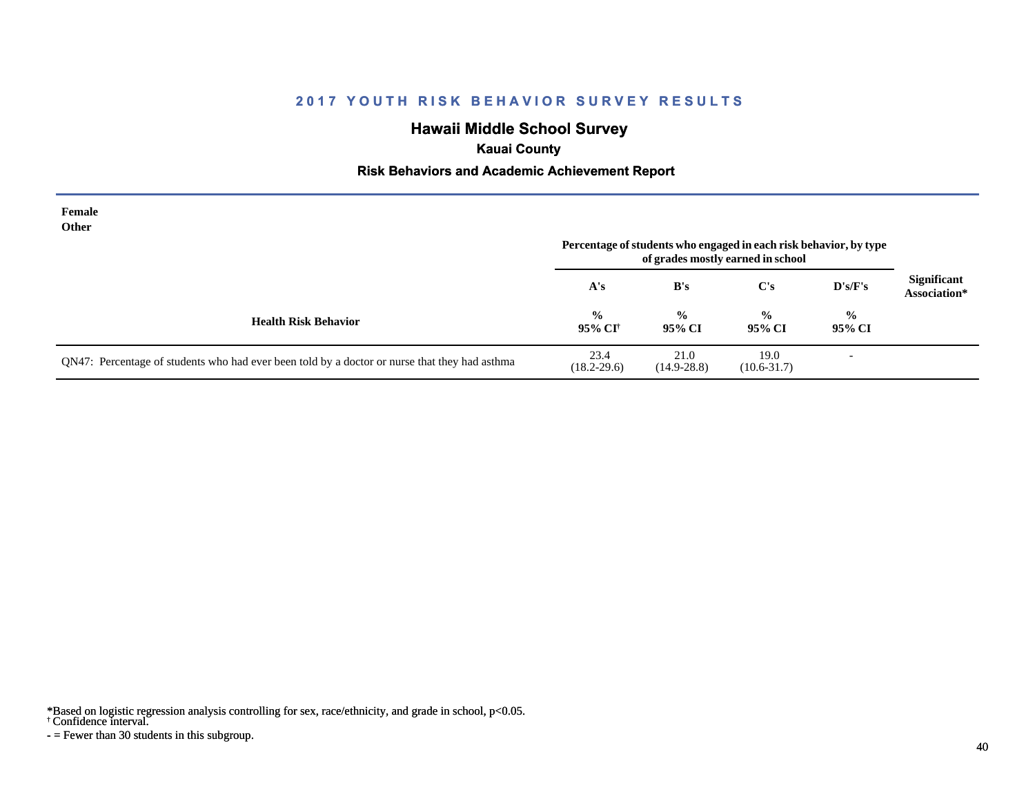# **Hawaii Middle School Survey**

# **Kauai County**

#### **Risk Behaviors and Academic Achievement Report**

| Female<br>Other                                                                               | Percentage of students who engaged in each risk behavior, by type<br>of grades mostly earned in school |                         |                         |                          |                                    |
|-----------------------------------------------------------------------------------------------|--------------------------------------------------------------------------------------------------------|-------------------------|-------------------------|--------------------------|------------------------------------|
|                                                                                               | A's                                                                                                    | B's                     | $\bf C's$               | $\bf{D's/F's}$           | <b>Significant</b><br>Association* |
| <b>Health Risk Behavior</b>                                                                   | $\frac{0}{0}$<br>95% CI <sup>†</sup>                                                                   | $\frac{0}{0}$<br>95% CI | $\frac{0}{0}$<br>95% CI | $\frac{6}{6}$<br>95% CI  |                                    |
| QN47: Percentage of students who had ever been told by a doctor or nurse that they had asthma | 23.4<br>$(18.2 - 29.6)$                                                                                | 21.0<br>$(14.9 - 28.8)$ | 19.0<br>$(10.6 - 31.7)$ | $\overline{\phantom{0}}$ |                                    |

\*Based on logistic regression analysis controlling for sex, race/ethnicity, and grade in school, p<0.05.

† Confidence interval.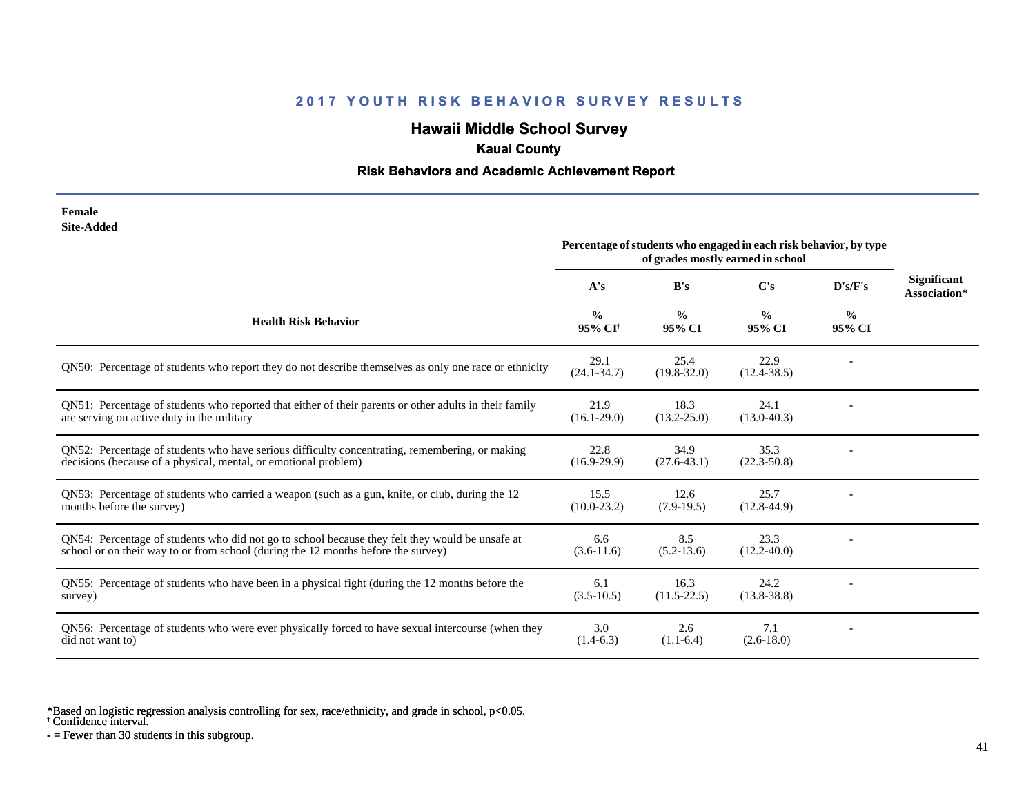# **Hawaii Middle School Survey**

# **Kauai County**

### **Risk Behaviors and Academic Achievement Report**

| Female     |
|------------|
| Site-Added |

|                                                                                                                                                                                      | Percentage of students who engaged in each risk behavior, by type<br>of grades mostly earned in school |                         |                         |                         |                                    |
|--------------------------------------------------------------------------------------------------------------------------------------------------------------------------------------|--------------------------------------------------------------------------------------------------------|-------------------------|-------------------------|-------------------------|------------------------------------|
|                                                                                                                                                                                      | A's                                                                                                    | B's                     | $\bf C's$               | D's/F's                 | <b>Significant</b><br>Association* |
| <b>Health Risk Behavior</b>                                                                                                                                                          | $\frac{0}{0}$<br>95% CI <sup>+</sup>                                                                   | $\frac{0}{0}$<br>95% CI | $\frac{0}{0}$<br>95% CI | $\frac{0}{0}$<br>95% CI |                                    |
| QN50: Percentage of students who report they do not describe themselves as only one race or ethnicity                                                                                | 29.1<br>$(24.1 - 34.7)$                                                                                | 25.4<br>$(19.8 - 32.0)$ | 22.9<br>$(12.4 - 38.5)$ |                         |                                    |
| QN51: Percentage of students who reported that either of their parents or other adults in their family<br>are serving on active duty in the military                                 | 21.9<br>$(16.1 - 29.0)$                                                                                | 18.3<br>$(13.2 - 25.0)$ | 24.1<br>$(13.0 - 40.3)$ |                         |                                    |
| QN52: Percentage of students who have serious difficulty concentrating, remembering, or making<br>decisions (because of a physical, mental, or emotional problem)                    | 22.8<br>$(16.9-29.9)$                                                                                  | 34.9<br>$(27.6 - 43.1)$ | 35.3<br>$(22.3 - 50.8)$ |                         |                                    |
| QN53: Percentage of students who carried a weapon (such as a gun, knife, or club, during the 12<br>months before the survey)                                                         | 15.5<br>$(10.0 - 23.2)$                                                                                | 12.6<br>$(7.9-19.5)$    | 25.7<br>$(12.8-44.9)$   |                         |                                    |
| QN54: Percentage of students who did not go to school because they felt they would be unsafe at<br>school or on their way to or from school (during the 12 months before the survey) | 6.6<br>$(3.6-11.6)$                                                                                    | 8.5<br>$(5.2 - 13.6)$   | 23.3<br>$(12.2 - 40.0)$ |                         |                                    |
| QN55: Percentage of students who have been in a physical fight (during the 12 months before the<br>survey)                                                                           | 6.1<br>$(3.5-10.5)$                                                                                    | 16.3<br>$(11.5-22.5)$   | 24.2<br>$(13.8 - 38.8)$ |                         |                                    |
| QN56: Percentage of students who were ever physically forced to have sexual intercourse (when they<br>did not want to)                                                               | 3.0<br>$(1.4-6.3)$                                                                                     | 2.6<br>$(1.1-6.4)$      | 7.1<br>$(2.6 - 18.0)$   |                         |                                    |

\*Based on logistic regression analysis controlling for sex, race/ethnicity, and grade in school, p<0.05.

† Confidence interval.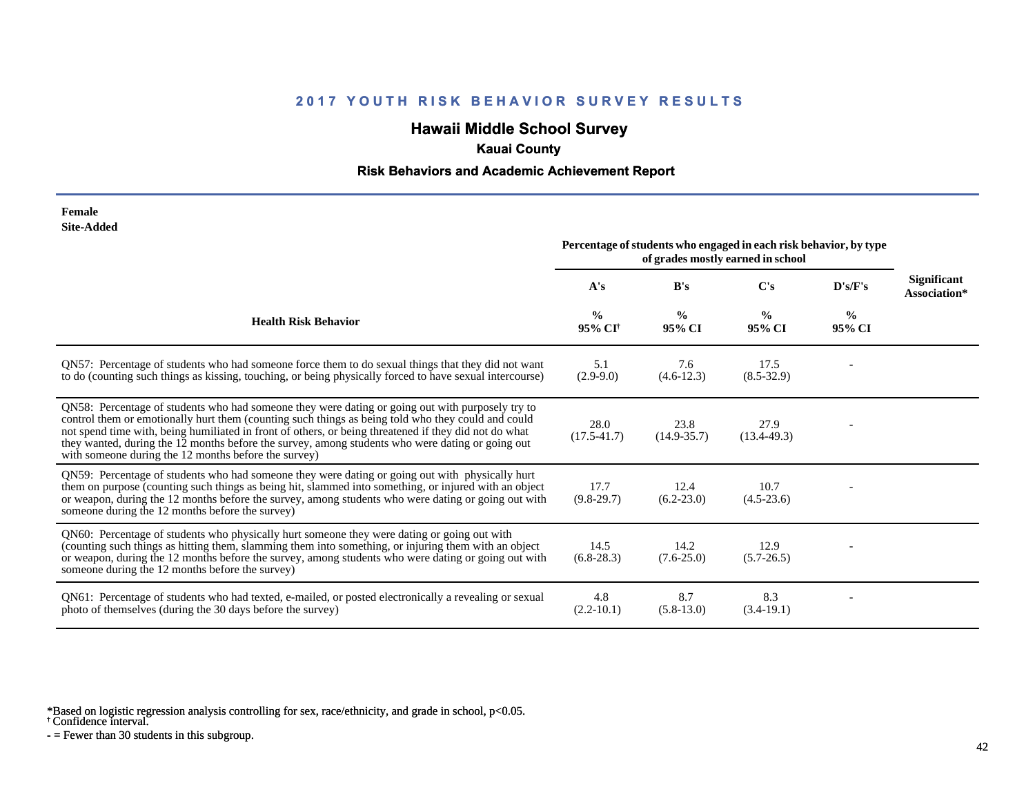# **Hawaii Middle School Survey**

# **Kauai County**

### **Risk Behaviors and Academic Achievement Report**

| Female            |
|-------------------|
| <b>Site-Added</b> |

|                                                                                                                                                                                                                                                                                                                                                                                                                                                                             | Percentage of students who engaged in each risk behavior, by type<br>of grades mostly earned in school |                         |                         |                         |                                    |
|-----------------------------------------------------------------------------------------------------------------------------------------------------------------------------------------------------------------------------------------------------------------------------------------------------------------------------------------------------------------------------------------------------------------------------------------------------------------------------|--------------------------------------------------------------------------------------------------------|-------------------------|-------------------------|-------------------------|------------------------------------|
|                                                                                                                                                                                                                                                                                                                                                                                                                                                                             | A's                                                                                                    | B's                     | C's                     | D's/F's                 | <b>Significant</b><br>Association* |
| <b>Health Risk Behavior</b>                                                                                                                                                                                                                                                                                                                                                                                                                                                 | $\frac{0}{0}$<br>95% CI <sup>†</sup>                                                                   | $\frac{0}{0}$<br>95% CI | $\frac{0}{0}$<br>95% CI | $\frac{6}{9}$<br>95% CI |                                    |
| QN57: Percentage of students who had someone force them to do sexual things that they did not want<br>to do (counting such things as kissing, touching, or being physically forced to have sexual intercourse)                                                                                                                                                                                                                                                              | 5.1<br>$(2.9-9.0)$                                                                                     | 7.6<br>$(4.6-12.3)$     | 17.5<br>$(8.5-32.9)$    |                         |                                    |
| QN58: Percentage of students who had someone they were dating or going out with purposely try to<br>control them or emotionally hurt them (counting such things as being told who they could and could<br>not spend time with, being humiliated in front of others, or being threatened if they did not do what<br>they wanted, during the 12 months before the survey, among students who were dating or going out<br>with someone during the 12 months before the survey) | 28.0<br>$(17.5 - 41.7)$                                                                                | 23.8<br>$(14.9 - 35.7)$ | 27.9<br>$(13.4 - 49.3)$ |                         |                                    |
| QN59: Percentage of students who had someone they were dating or going out with physically hurt<br>them on purpose (counting such things as being hit, slammed into something, or injured with an object<br>or weapon, during the 12 months before the survey, among students who were dating or going out with<br>someone during the 12 months before the survey)                                                                                                          | 17.7<br>$(9.8-29.7)$                                                                                   | 12.4<br>$(6.2 - 23.0)$  | 10.7<br>$(4.5-23.6)$    |                         |                                    |
| QN60: Percentage of students who physically hurt someone they were dating or going out with<br>(counting such things as hitting them, slamming them into something, or injuring them with an object<br>or weapon, during the 12 months before the survey, among students who were dating or going out with<br>someone during the 12 months before the survey)                                                                                                               | 14.5<br>$(6.8-28.3)$                                                                                   | 14.2<br>$(7.6 - 25.0)$  | 12.9<br>$(5.7 - 26.5)$  |                         |                                    |
| QN61: Percentage of students who had texted, e-mailed, or posted electronically a revealing or sexual<br>photo of themselves (during the 30 days before the survey)                                                                                                                                                                                                                                                                                                         | 4.8<br>$(2.2 - 10.1)$                                                                                  | 8.7<br>$(5.8-13.0)$     | 8.3<br>$(3.4-19.1)$     |                         |                                    |

\*Based on logistic regression analysis controlling for sex, race/ethnicity, and grade in school, p<0.05.

† Confidence interval.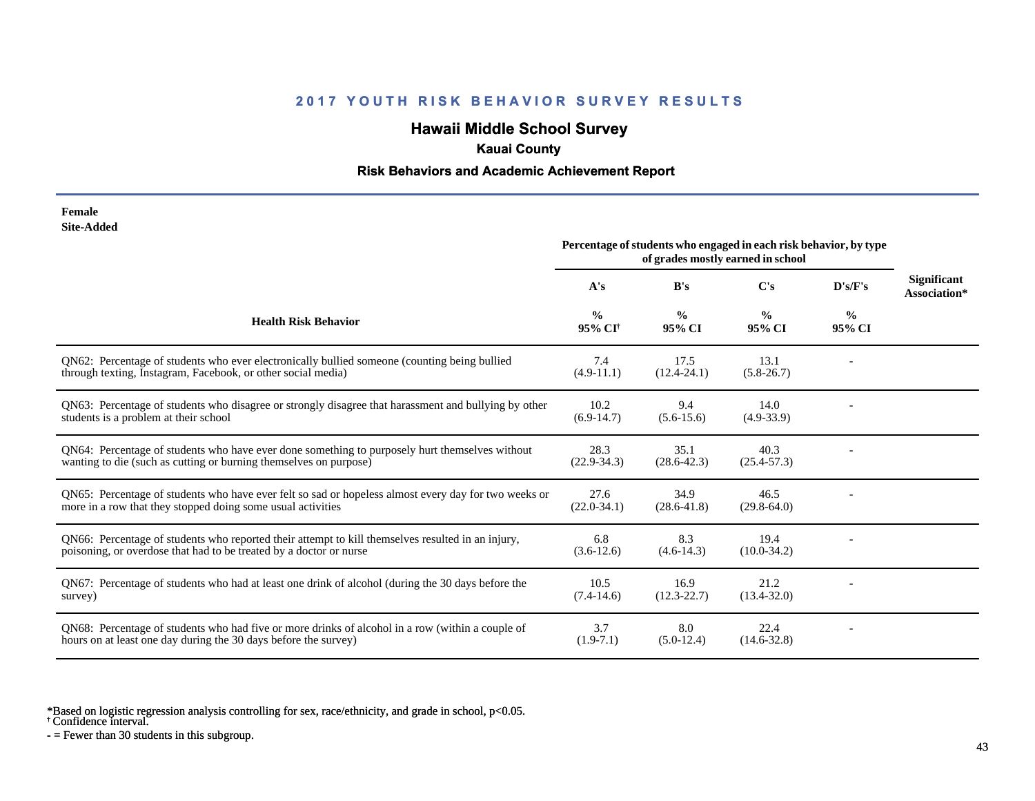# **Hawaii Middle School Survey**

# **Kauai County**

### **Risk Behaviors and Academic Achievement Report**

| Female     |
|------------|
| Site-Added |

|                                                                                                                                                                         | Percentage of students who engaged in each risk behavior, by type<br>of grades mostly earned in school |                         |                         |                         |                                    |
|-------------------------------------------------------------------------------------------------------------------------------------------------------------------------|--------------------------------------------------------------------------------------------------------|-------------------------|-------------------------|-------------------------|------------------------------------|
|                                                                                                                                                                         | A's                                                                                                    | B's                     | C's                     | D's/F's                 | <b>Significant</b><br>Association* |
| <b>Health Risk Behavior</b>                                                                                                                                             | $\frac{0}{0}$<br>95% CI <sup>+</sup>                                                                   | $\frac{0}{0}$<br>95% CI | $\frac{0}{0}$<br>95% CI | $\frac{0}{0}$<br>95% CI |                                    |
| QN62: Percentage of students who ever electronically bullied someone (counting being bullied<br>through texting, Instagram, Facebook, or other social media)            | 7.4<br>$(4.9-11.1)$                                                                                    | 17.5<br>$(12.4 - 24.1)$ | 13.1<br>$(5.8-26.7)$    |                         |                                    |
| QN63: Percentage of students who disagree or strongly disagree that harassment and bullying by other<br>students is a problem at their school                           | 10.2<br>$(6.9-14.7)$                                                                                   | 9.4<br>$(5.6-15.6)$     | 14.0<br>$(4.9 - 33.9)$  |                         |                                    |
| QN64: Percentage of students who have ever done something to purposely hurt themselves without<br>wanting to die (such as cutting or burning themselves on purpose)     | 28.3<br>$(22.9 - 34.3)$                                                                                | 35.1<br>$(28.6 - 42.3)$ | 40.3<br>$(25.4 - 57.3)$ |                         |                                    |
| QN65: Percentage of students who have ever felt so sad or hopeless almost every day for two weeks or<br>more in a row that they stopped doing some usual activities     | 27.6<br>$(22.0 - 34.1)$                                                                                | 34.9<br>$(28.6 - 41.8)$ | 46.5<br>$(29.8-64.0)$   |                         |                                    |
| QN66: Percentage of students who reported their attempt to kill themselves resulted in an injury,<br>poisoning, or overdose that had to be treated by a doctor or nurse | 6.8<br>$(3.6-12.6)$                                                                                    | 8.3<br>$(4.6-14.3)$     | 19.4<br>$(10.0-34.2)$   |                         |                                    |
| QN67: Percentage of students who had at least one drink of alcohol (during the 30 days before the<br>survey)                                                            | 10.5<br>$(7.4-14.6)$                                                                                   | 16.9<br>$(12.3 - 22.7)$ | 21.2<br>$(13.4 - 32.0)$ |                         |                                    |
| ON68: Percentage of students who had five or more drinks of alcohol in a row (within a couple of<br>hours on at least one day during the 30 days before the survey)     | 3.7<br>$(1.9-7.1)$                                                                                     | 8.0<br>$(5.0-12.4)$     | 22.4<br>$(14.6 - 32.8)$ |                         |                                    |

\*Based on logistic regression analysis controlling for sex, race/ethnicity, and grade in school, p<0.05.

† Confidence interval.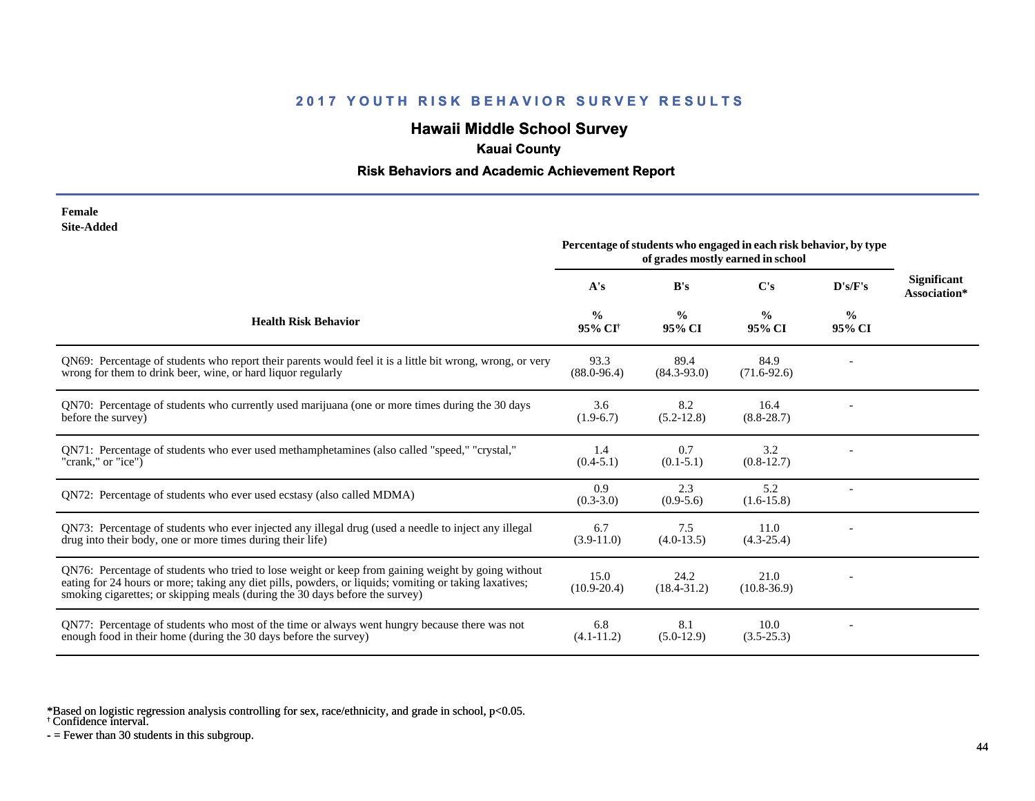# **Hawaii Middle School Survey**

# **Kauai County**

#### **Risk Behaviors and Academic Achievement Report**

| Female     |
|------------|
| Site-Added |

|                                                                                                                                                                                                                                                                                              | Percentage of students who engaged in each risk behavior, by type<br>of grades mostly earned in school |                         |                         |                         |                                    |
|----------------------------------------------------------------------------------------------------------------------------------------------------------------------------------------------------------------------------------------------------------------------------------------------|--------------------------------------------------------------------------------------------------------|-------------------------|-------------------------|-------------------------|------------------------------------|
|                                                                                                                                                                                                                                                                                              | A's                                                                                                    | B's                     | C's                     | D's/F's                 | <b>Significant</b><br>Association* |
| <b>Health Risk Behavior</b>                                                                                                                                                                                                                                                                  | $\frac{0}{0}$<br>95% CI <sup>†</sup>                                                                   | $\frac{0}{0}$<br>95% CI | $\frac{0}{0}$<br>95% CI | $\frac{0}{0}$<br>95% CI |                                    |
| QN69: Percentage of students who report their parents would feel it is a little bit wrong, wrong, or very<br>wrong for them to drink beer, wine, or hard liquor regularly                                                                                                                    | 93.3<br>$(88.0 - 96.4)$                                                                                | 89.4<br>$(84.3 - 93.0)$ | 84.9<br>$(71.6 - 92.6)$ |                         |                                    |
| QN70: Percentage of students who currently used marijuana (one or more times during the 30 days<br>before the survey)                                                                                                                                                                        | 3.6<br>$(1.9-6.7)$                                                                                     | 8.2<br>$(5.2 - 12.8)$   | 16.4<br>$(8.8 - 28.7)$  |                         |                                    |
| ON71: Percentage of students who ever used methamphetamines (also called "speed," "crystal,"<br>"crank," or "ice")                                                                                                                                                                           | 1.4<br>$(0.4-5.1)$                                                                                     | 0.7<br>$(0.1 - 5.1)$    | 3.2<br>$(0.8-12.7)$     |                         |                                    |
| ON72: Percentage of students who ever used ecstasy (also called MDMA)                                                                                                                                                                                                                        | 0.9<br>$(0.3 - 3.0)$                                                                                   | 2.3<br>$(0.9-5.6)$      | 5.2<br>$(1.6 - 15.8)$   |                         |                                    |
| QN73: Percentage of students who ever injected any illegal drug (used a needle to inject any illegal<br>drug into their body, one or more times during their life)                                                                                                                           | 6.7<br>$(3.9-11.0)$                                                                                    | 7.5<br>$(4.0-13.5)$     | 11.0<br>$(4.3-25.4)$    |                         |                                    |
| QN76: Percentage of students who tried to lose weight or keep from gaining weight by going without<br>eating for 24 hours or more; taking any diet pills, powders, or liquids; vomiting or taking laxatives;<br>smoking cigarettes; or skipping meals (during the 30 days before the survey) | 15.0<br>$(10.9 - 20.4)$                                                                                | 24.2<br>$(18.4 - 31.2)$ | 21.0<br>$(10.8 - 36.9)$ |                         |                                    |
| QN77: Percentage of students who most of the time or always went hungry because there was not<br>enough food in their home (during the 30 days before the survey)                                                                                                                            | 6.8<br>$(4.1 - 11.2)$                                                                                  | 8.1<br>$(5.0-12.9)$     | 10.0<br>$(3.5 - 25.3)$  |                         |                                    |

\*Based on logistic regression analysis controlling for sex, race/ethnicity, and grade in school, p<0.05.

† Confidence interval.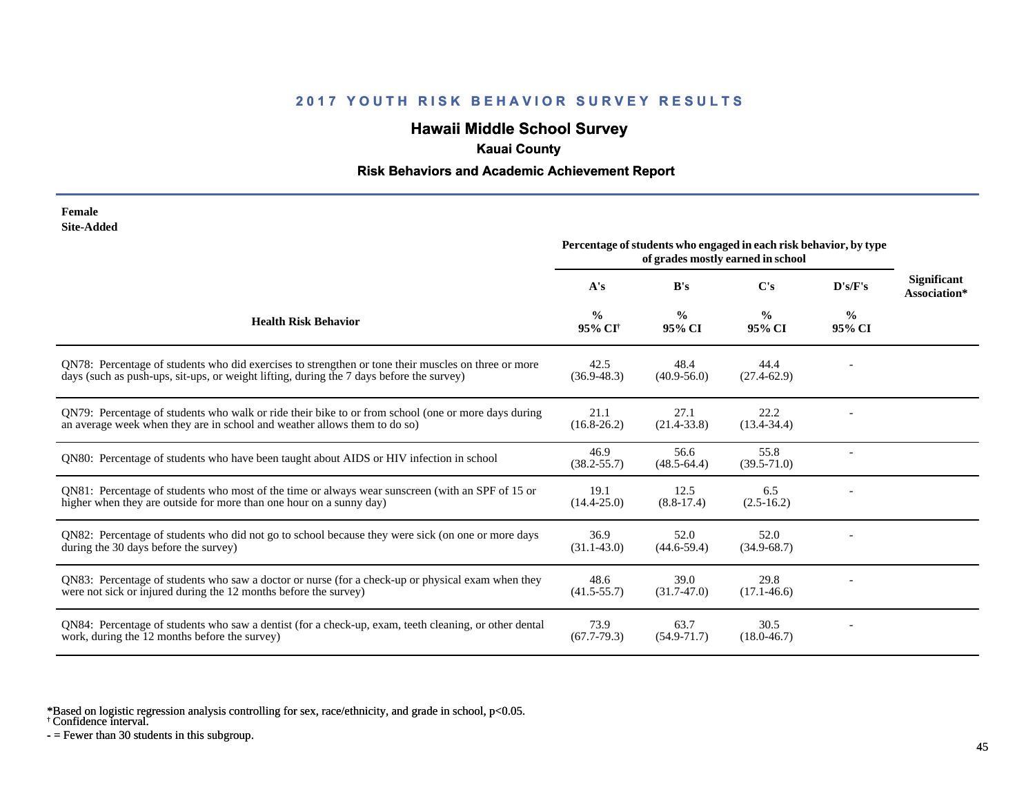# **Hawaii Middle School Survey**

# **Kauai County**

### **Risk Behaviors and Academic Achievement Report**

| Female     |
|------------|
| Site-Added |

|                                                                                                                                                                                                 | Percentage of students who engaged in each risk behavior, by type<br>of grades mostly earned in school |                         |                         |                         |                                    |
|-------------------------------------------------------------------------------------------------------------------------------------------------------------------------------------------------|--------------------------------------------------------------------------------------------------------|-------------------------|-------------------------|-------------------------|------------------------------------|
|                                                                                                                                                                                                 | A's                                                                                                    | B's                     | $\bf C's$               | D's/F's                 | <b>Significant</b><br>Association* |
| <b>Health Risk Behavior</b>                                                                                                                                                                     | $\frac{0}{0}$<br>95% CI <sup>+</sup>                                                                   | $\frac{0}{0}$<br>95% CI | $\frac{0}{0}$<br>95% CI | $\frac{6}{9}$<br>95% CI |                                    |
| QN78: Percentage of students who did exercises to strengthen or tone their muscles on three or more<br>days (such as push-ups, sit-ups, or weight lifting, during the 7 days before the survey) | 42.5<br>$(36.9 - 48.3)$                                                                                | 48.4<br>$(40.9 - 56.0)$ | 44.4<br>$(27.4 - 62.9)$ |                         |                                    |
| QN79: Percentage of students who walk or ride their bike to or from school (one or more days during<br>an average week when they are in school and weather allows them to do so)                | 21.1<br>$(16.8 - 26.2)$                                                                                | 27.1<br>$(21.4 - 33.8)$ | 22.2<br>$(13.4 - 34.4)$ |                         |                                    |
| QN80: Percentage of students who have been taught about AIDS or HIV infection in school                                                                                                         | 46.9<br>$(38.2 - 55.7)$                                                                                | 56.6<br>$(48.5 - 64.4)$ | 55.8<br>$(39.5 - 71.0)$ |                         |                                    |
| QN81: Percentage of students who most of the time or always wear sunscreen (with an SPF of 15 or<br>higher when they are outside for more than one hour on a sunny day)                         | 19.1<br>$(14.4 - 25.0)$                                                                                | 12.5<br>$(8.8-17.4)$    | 6.5<br>$(2.5-16.2)$     |                         |                                    |
| QN82: Percentage of students who did not go to school because they were sick (on one or more days<br>during the 30 days before the survey)                                                      | 36.9<br>$(31.1 - 43.0)$                                                                                | 52.0<br>$(44.6 - 59.4)$ | 52.0<br>$(34.9 - 68.7)$ |                         |                                    |
| QN83: Percentage of students who saw a doctor or nurse (for a check-up or physical exam when they<br>were not sick or injured during the 12 months before the survey)                           | 48.6<br>$(41.5 - 55.7)$                                                                                | 39.0<br>$(31.7-47.0)$   | 29.8<br>$(17.1 - 46.6)$ |                         |                                    |
| QN84: Percentage of students who saw a dentist (for a check-up, exam, teeth cleaning, or other dental<br>work, during the 12 months before the survey)                                          | 73.9<br>$(67.7-79.3)$                                                                                  | 63.7<br>$(54.9 - 71.7)$ | 30.5<br>$(18.0 - 46.7)$ |                         |                                    |

\*Based on logistic regression analysis controlling for sex, race/ethnicity, and grade in school, p<0.05.

† Confidence interval.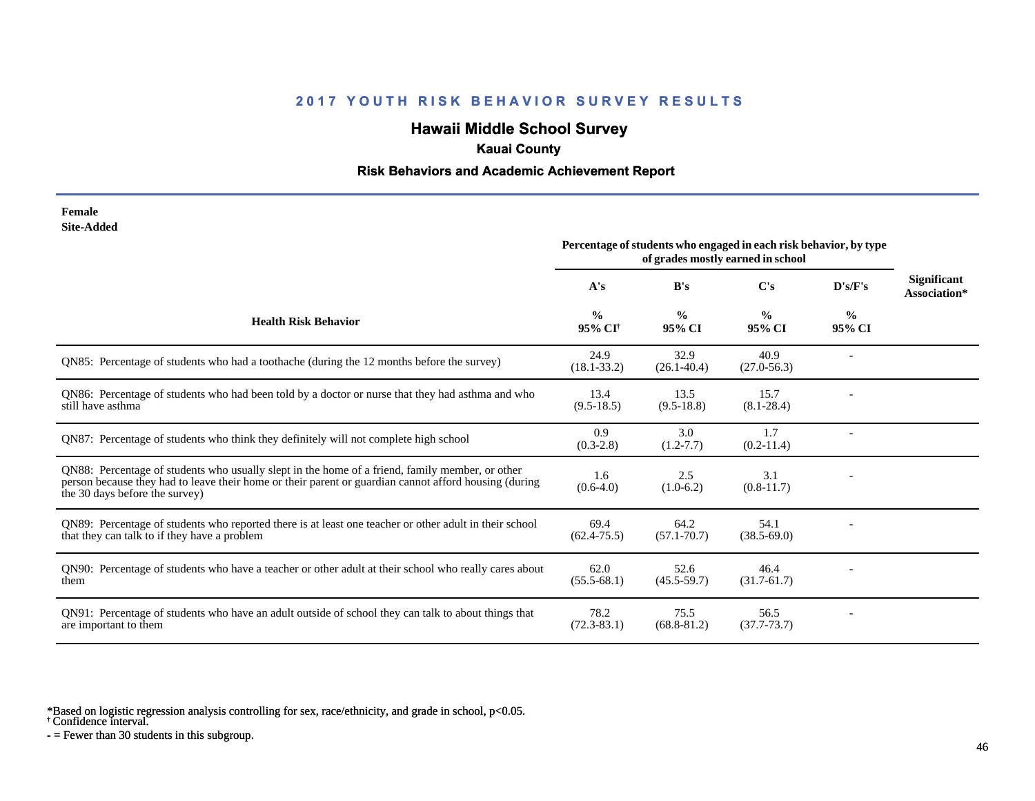# **Hawaii Middle School Survey**

### **Kauai County**

### **Risk Behaviors and Academic Achievement Report**

#### **Female Site-Added**

|                                                                                                                                                                                                                                            | Percentage of students who engaged in each risk behavior, by type<br>of grades mostly earned in school |                         |                         |                         |                                    |
|--------------------------------------------------------------------------------------------------------------------------------------------------------------------------------------------------------------------------------------------|--------------------------------------------------------------------------------------------------------|-------------------------|-------------------------|-------------------------|------------------------------------|
|                                                                                                                                                                                                                                            | A's                                                                                                    | B's                     | $\bf C's$               | D's/F's                 | <b>Significant</b><br>Association* |
| <b>Health Risk Behavior</b>                                                                                                                                                                                                                | $\frac{0}{0}$<br>95% CI <sup>+</sup>                                                                   | $\frac{0}{0}$<br>95% CI | $\frac{0}{0}$<br>95% CI | $\frac{0}{0}$<br>95% CI |                                    |
| QN85: Percentage of students who had a toothache (during the 12 months before the survey)                                                                                                                                                  | 24.9<br>$(18.1 - 33.2)$                                                                                | 32.9<br>$(26.1 - 40.4)$ | 40.9<br>$(27.0 - 56.3)$ |                         |                                    |
| QN86: Percentage of students who had been told by a doctor or nurse that they had asthma and who<br>still have asthma                                                                                                                      | 13.4<br>$(9.5-18.5)$                                                                                   | 13.5<br>$(9.5-18.8)$    | 15.7<br>$(8.1 - 28.4)$  |                         |                                    |
| QN87: Percentage of students who think they definitely will not complete high school                                                                                                                                                       | 0.9<br>$(0.3-2.8)$                                                                                     | 3.0<br>$(1.2 - 7.7)$    | 1.7<br>$(0.2-11.4)$     |                         |                                    |
| QN88: Percentage of students who usually slept in the home of a friend, family member, or other<br>person because they had to leave their home or their parent or guardian cannot afford housing (during<br>the 30 days before the survey) | 1.6<br>$(0.6-4.0)$                                                                                     | 2.5<br>$(1.0-6.2)$      | 3.1<br>$(0.8-11.7)$     |                         |                                    |
| QN89: Percentage of students who reported there is at least one teacher or other adult in their school<br>that they can talk to if they have a problem                                                                                     | 69.4<br>$(62.4 - 75.5)$                                                                                | 64.2<br>$(57.1 - 70.7)$ | 54.1<br>$(38.5 - 69.0)$ |                         |                                    |
| QN90: Percentage of students who have a teacher or other adult at their school who really cares about<br>them                                                                                                                              | 62.0<br>$(55.5-68.1)$                                                                                  | 52.6<br>$(45.5 - 59.7)$ | 46.4<br>$(31.7 - 61.7)$ |                         |                                    |
| QN91: Percentage of students who have an adult outside of school they can talk to about things that<br>are important to them                                                                                                               | 78.2<br>$(72.3 - 83.1)$                                                                                | 75.5<br>$(68.8 - 81.2)$ | 56.5<br>$(37.7 - 73.7)$ |                         |                                    |

\*Based on logistic regression analysis controlling for sex, race/ethnicity, and grade in school, p<0.05.

† Confidence interval.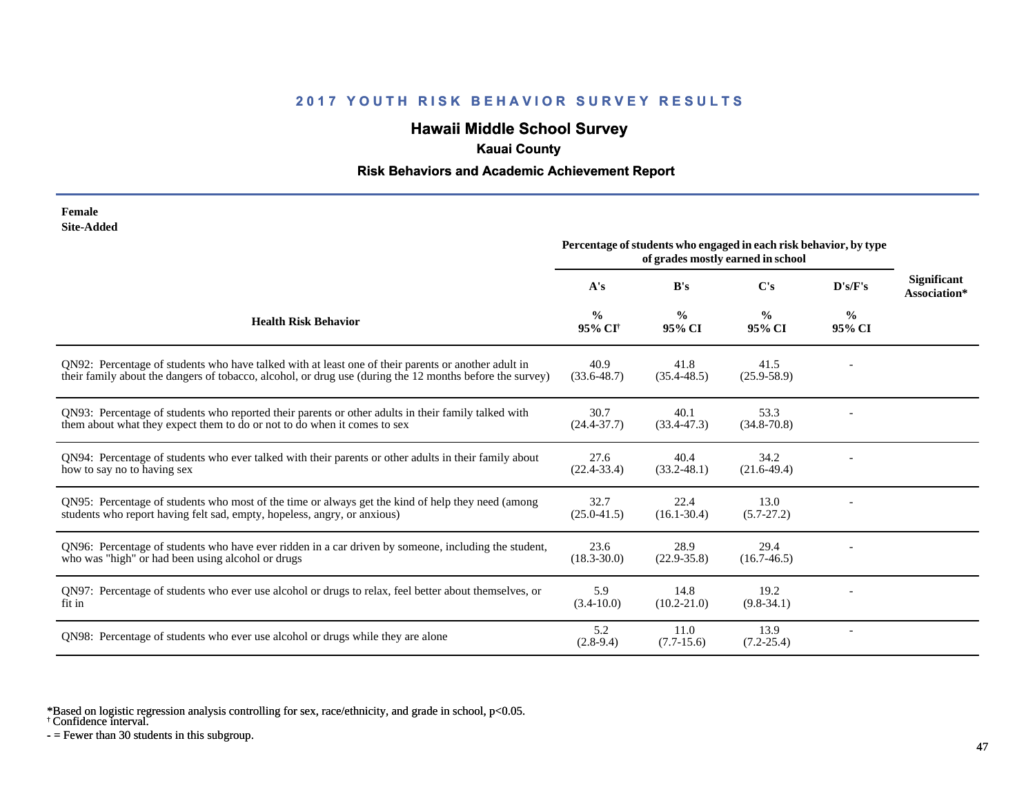# **Hawaii Middle School Survey**

# **Kauai County**

#### **Risk Behaviors and Academic Achievement Report**

| Female            |
|-------------------|
| <b>Site-Added</b> |

|                                                                                                                                                                                                                 | Percentage of students who engaged in each risk behavior, by type<br>of grades mostly earned in school |                         |                         |                         |                                    |
|-----------------------------------------------------------------------------------------------------------------------------------------------------------------------------------------------------------------|--------------------------------------------------------------------------------------------------------|-------------------------|-------------------------|-------------------------|------------------------------------|
|                                                                                                                                                                                                                 | A's                                                                                                    | B's                     | C's                     | D's/F's                 | <b>Significant</b><br>Association* |
| <b>Health Risk Behavior</b>                                                                                                                                                                                     | $\frac{0}{0}$<br>95% CI <sup>+</sup>                                                                   | $\frac{0}{0}$<br>95% CI | $\frac{0}{0}$<br>95% CI | $\frac{6}{9}$<br>95% CI |                                    |
| ON92: Percentage of students who have talked with at least one of their parents or another adult in<br>their family about the dangers of tobacco, alcohol, or drug use (during the 12 months before the survey) | 40.9<br>$(33.6 - 48.7)$                                                                                | 41.8<br>$(35.4 - 48.5)$ | 41.5<br>$(25.9 - 58.9)$ |                         |                                    |
| QN93: Percentage of students who reported their parents or other adults in their family talked with<br>them about what they expect them to do or not to do when it comes to sex                                 | 30.7<br>$(24.4 - 37.7)$                                                                                | 40.1<br>$(33.4 - 47.3)$ | 53.3<br>$(34.8 - 70.8)$ |                         |                                    |
| QN94: Percentage of students who ever talked with their parents or other adults in their family about<br>how to say no to having sex                                                                            | 27.6<br>$(22.4 - 33.4)$                                                                                | 40.4<br>$(33.2 - 48.1)$ | 34.2<br>$(21.6-49.4)$   |                         |                                    |
| QN95: Percentage of students who most of the time or always get the kind of help they need (among<br>students who report having felt sad, empty, hopeless, angry, or anxious)                                   | 32.7<br>$(25.0 - 41.5)$                                                                                | 22.4<br>$(16.1 - 30.4)$ | 13.0<br>$(5.7-27.2)$    |                         |                                    |
| QN96: Percentage of students who have ever ridden in a car driven by someone, including the student,<br>who was "high" or had been using alcohol or drugs                                                       | 23.6<br>$(18.3 - 30.0)$                                                                                | 28.9<br>$(22.9 - 35.8)$ | 29.4<br>$(16.7 - 46.5)$ |                         |                                    |
| QN97: Percentage of students who ever use alcohol or drugs to relax, feel better about themselves, or<br>fit in                                                                                                 | 5.9<br>$(3.4-10.0)$                                                                                    | 14.8<br>$(10.2 - 21.0)$ | 19.2<br>$(9.8-34.1)$    |                         |                                    |
| QN98: Percentage of students who ever use alcohol or drugs while they are alone                                                                                                                                 | 5.2<br>$(2.8-9.4)$                                                                                     | 11.0<br>$(7.7-15.6)$    | 13.9<br>$(7.2 - 25.4)$  |                         |                                    |

\*Based on logistic regression analysis controlling for sex, race/ethnicity, and grade in school, p<0.05.

† Confidence interval.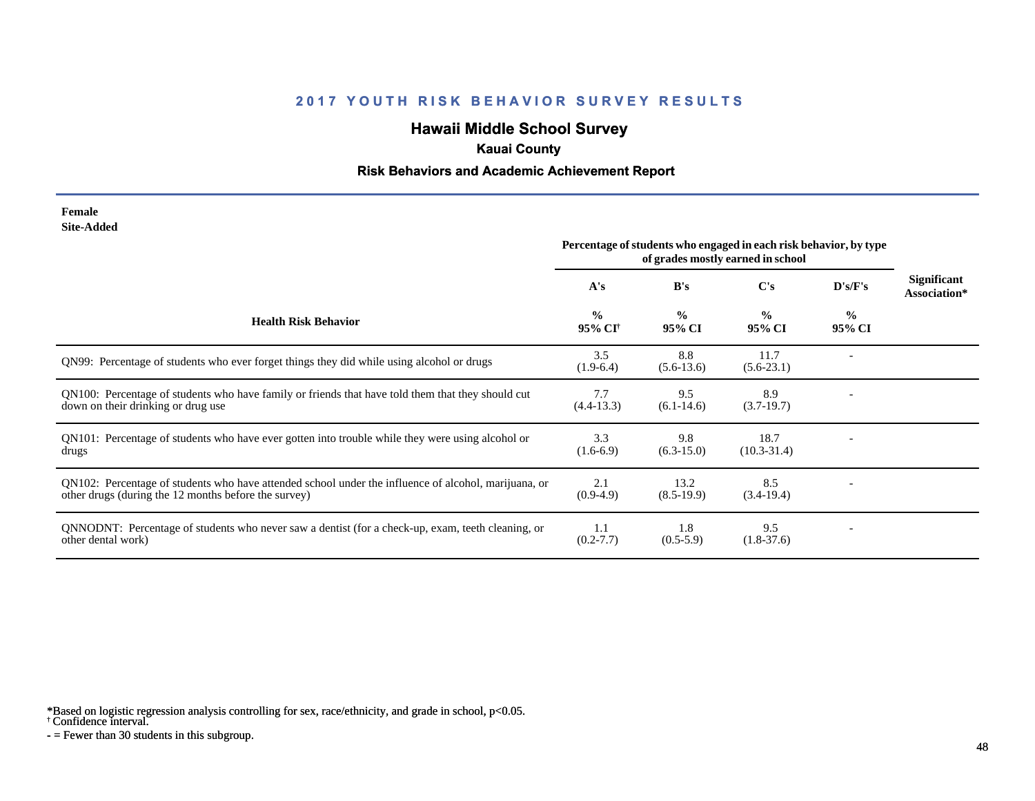# **Hawaii Middle School Survey**

### **Kauai County**

#### **Risk Behaviors and Academic Achievement Report**

#### **Female Site-Added**

|                                                                                                                                                              | Percentage of students who engaged in each risk behavior, by type<br>of grades mostly earned in school |                         |                         |                         |                                    |
|--------------------------------------------------------------------------------------------------------------------------------------------------------------|--------------------------------------------------------------------------------------------------------|-------------------------|-------------------------|-------------------------|------------------------------------|
|                                                                                                                                                              | A's                                                                                                    | B's                     | C's                     | D's/F's                 | <b>Significant</b><br>Association* |
| <b>Health Risk Behavior</b>                                                                                                                                  | $\frac{0}{0}$<br>95% CI <sup>+</sup>                                                                   | $\frac{0}{0}$<br>95% CI | $\frac{0}{0}$<br>95% CI | $\frac{0}{0}$<br>95% CI |                                    |
| QN99: Percentage of students who ever forget things they did while using alcohol or drugs                                                                    | 3.5<br>$(1.9-6.4)$                                                                                     | 8.8<br>$(5.6-13.6)$     | 11.7<br>$(5.6-23.1)$    |                         |                                    |
| QN100: Percentage of students who have family or friends that have told them that they should cut<br>down on their drinking or drug use                      | 7.7<br>$(4.4-13.3)$                                                                                    | 9.5<br>$(6.1-14.6)$     | 8.9<br>$(3.7-19.7)$     |                         |                                    |
| QN101: Percentage of students who have ever gotten into trouble while they were using alcohol or<br>drugs                                                    | 3.3<br>$(1.6-6.9)$                                                                                     | 9.8<br>$(6.3-15.0)$     | 18.7<br>$(10.3 - 31.4)$ |                         |                                    |
| QN102: Percentage of students who have attended school under the influence of alcohol, marijuana, or<br>other drugs (during the 12 months before the survey) | 2.1<br>$(0.9-4.9)$                                                                                     | 13.2<br>$(8.5-19.9)$    | 8.5<br>$(3.4-19.4)$     |                         |                                    |
| QNNODNT: Percentage of students who never saw a dentist (for a check-up, exam, teeth cleaning, or<br>other dental work)                                      | 1.1<br>$(0.2 - 7.7)$                                                                                   | 1.8<br>$(0.5-5.9)$      | 9.5<br>$(1.8-37.6)$     |                         |                                    |

\*Based on logistic regression analysis controlling for sex, race/ethnicity, and grade in school, p<0.05.

† Confidence interval.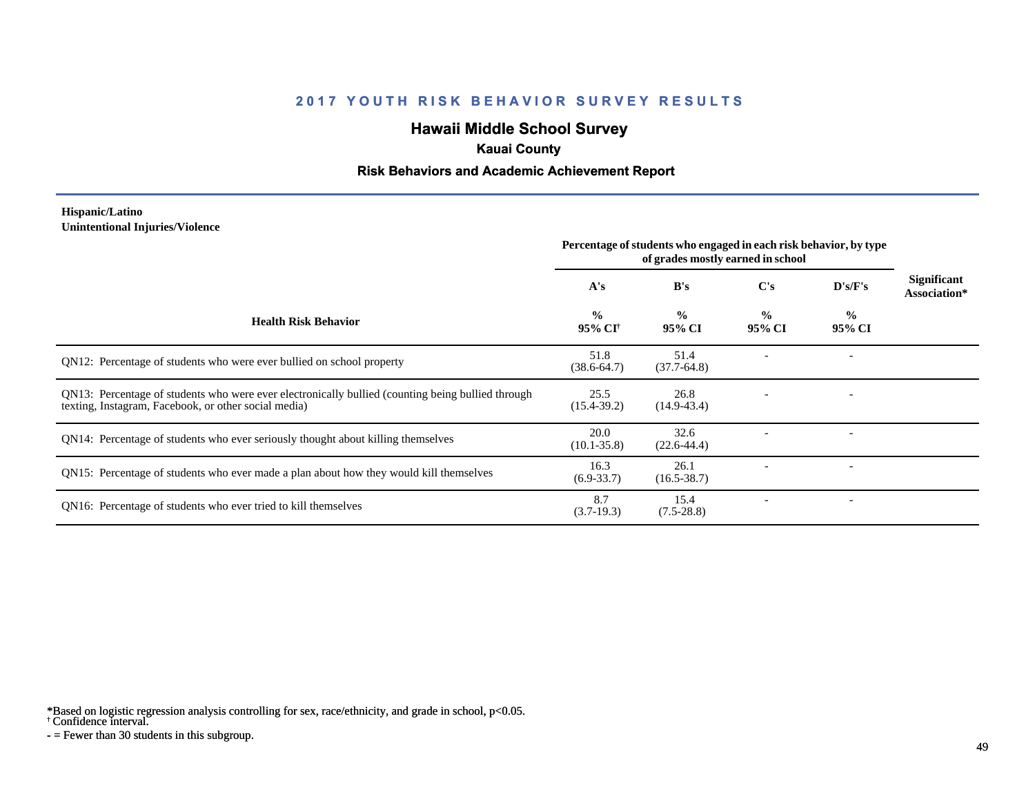# **Hawaii Middle School Survey**

### **Kauai County**

### **Risk Behaviors and Academic Achievement Report**

#### **Hispanic/Latino Unintentional Injuries/Violence**

|                                                                                                                                                           | Percentage of students who engaged in each risk behavior, by type<br>of grades mostly earned in school |                         |                         |                         |                             |
|-----------------------------------------------------------------------------------------------------------------------------------------------------------|--------------------------------------------------------------------------------------------------------|-------------------------|-------------------------|-------------------------|-----------------------------|
|                                                                                                                                                           | A's                                                                                                    | B's                     | $\bf C's$               | D's/F's                 | Significant<br>Association* |
| <b>Health Risk Behavior</b>                                                                                                                               | $\frac{0}{0}$<br>95% CI <sup>†</sup>                                                                   | $\frac{0}{0}$<br>95% CI | $\frac{0}{0}$<br>95% CI | $\frac{1}{2}$<br>95% CI |                             |
| QN12: Percentage of students who were ever bullied on school property                                                                                     | 51.8<br>$(38.6 - 64.7)$                                                                                | 51.4<br>$(37.7-64.8)$   |                         |                         |                             |
| QN13: Percentage of students who were ever electronically bullied (counting being bullied through<br>texting, Instagram, Facebook, or other social media) | 25.5<br>$(15.4 - 39.2)$                                                                                | 26.8<br>$(14.9 - 43.4)$ |                         |                         |                             |
| QN14: Percentage of students who ever seriously thought about killing themselves                                                                          | 20.0<br>$(10.1 - 35.8)$                                                                                | 32.6<br>$(22.6 - 44.4)$ |                         |                         |                             |
| QN15: Percentage of students who ever made a plan about how they would kill themselves                                                                    | 16.3<br>$(6.9 - 33.7)$                                                                                 | 26.1<br>$(16.5 - 38.7)$ |                         |                         |                             |
| QN16: Percentage of students who ever tried to kill themselves                                                                                            | 8.7<br>$(3.7-19.3)$                                                                                    | 15.4<br>$(7.5-28.8)$    |                         |                         |                             |

\*Based on logistic regression analysis controlling for sex, race/ethnicity, and grade in school, p<0.05.

† Confidence interval.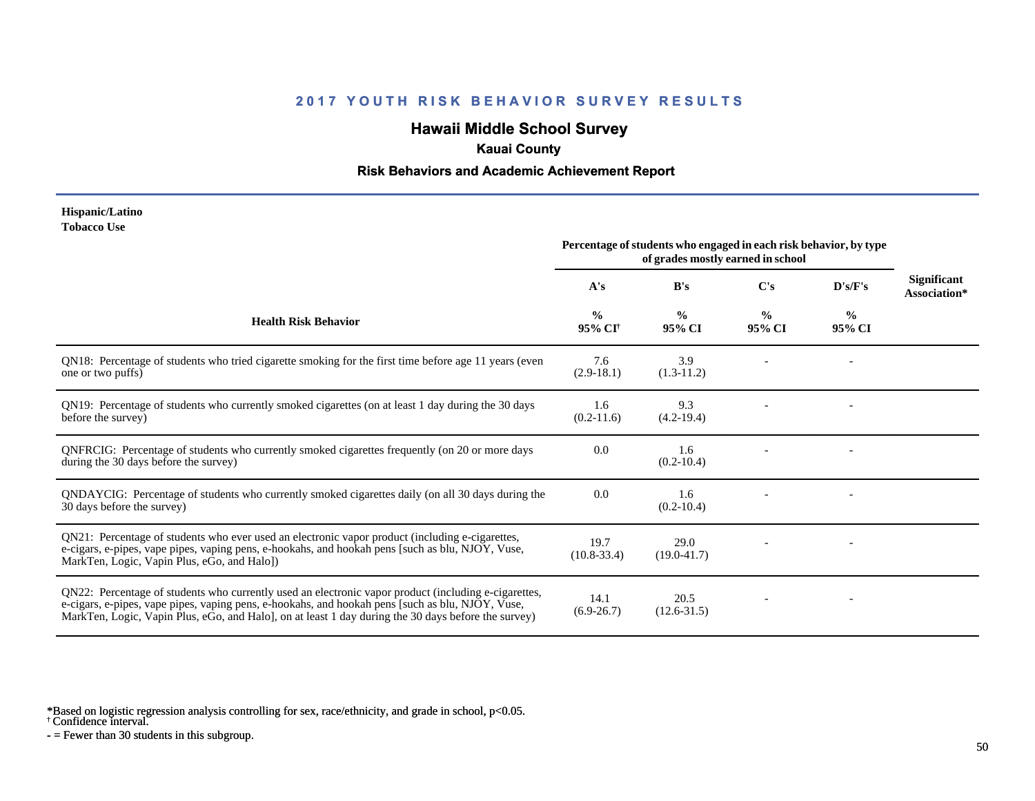# **Hawaii Middle School Survey**

### **Kauai County**

#### **Risk Behaviors and Academic Achievement Report**

#### **Hispanic/Latino Tobacco Use**

|                                                                                                                                                                                                                                                                                                                 | Percentage of students who engaged in each risk behavior, by type<br>of grades mostly earned in school |                         |                         |                         |                                    |
|-----------------------------------------------------------------------------------------------------------------------------------------------------------------------------------------------------------------------------------------------------------------------------------------------------------------|--------------------------------------------------------------------------------------------------------|-------------------------|-------------------------|-------------------------|------------------------------------|
|                                                                                                                                                                                                                                                                                                                 | A's                                                                                                    | B's                     | $\bf C's$               | D's/F's                 | <b>Significant</b><br>Association* |
| <b>Health Risk Behavior</b>                                                                                                                                                                                                                                                                                     | $\frac{0}{0}$<br>95% CI†                                                                               | $\frac{0}{0}$<br>95% CI | $\frac{0}{0}$<br>95% CI | $\frac{0}{0}$<br>95% CI |                                    |
| QN18: Percentage of students who tried cigarette smoking for the first time before age 11 years (even<br>one or two puffs)                                                                                                                                                                                      | 7.6<br>$(2.9-18.1)$                                                                                    | 3.9<br>$(1.3-11.2)$     |                         |                         |                                    |
| QN19: Percentage of students who currently smoked cigarettes (on at least 1 day during the 30 days<br>before the survey)                                                                                                                                                                                        | 1.6<br>$(0.2-11.6)$                                                                                    | 9.3<br>$(4.2-19.4)$     |                         |                         |                                    |
| QNFRCIG: Percentage of students who currently smoked cigarettes frequently (on 20 or more days<br>during the 30 days before the survey)                                                                                                                                                                         | 0.0                                                                                                    | 1.6<br>$(0.2 - 10.4)$   |                         |                         |                                    |
| QNDAYCIG: Percentage of students who currently smoked cigarettes daily (on all 30 days during the<br>30 days before the survey)                                                                                                                                                                                 | 0.0                                                                                                    | 1.6<br>$(0.2-10.4)$     |                         |                         |                                    |
| QN21: Percentage of students who ever used an electronic vapor product (including e-cigarettes,<br>e-cigars, e-pipes, vape pipes, vaping pens, e-hookahs, and hookah pens [such as blu, NJOY, Vuse,<br>MarkTen, Logic, Vapin Plus, eGo, and Halo])                                                              | 19.7<br>$(10.8 - 33.4)$                                                                                | 29.0<br>$(19.0 - 41.7)$ |                         |                         |                                    |
| QN22: Percentage of students who currently used an electronic vapor product (including e-cigarettes,<br>e-cigars, e-pipes, vape pipes, vaping pens, e-hookahs, and hookah pens [such as blu, NJOY, Vuse,<br>MarkTen, Logic, Vapin Plus, eGo, and Halo], on at least 1 day during the 30 days before the survey) | 14.1<br>$(6.9-26.7)$                                                                                   | 20.5<br>$(12.6 - 31.5)$ |                         |                         |                                    |

\*Based on logistic regression analysis controlling for sex, race/ethnicity, and grade in school, p<0.05.

† Confidence interval.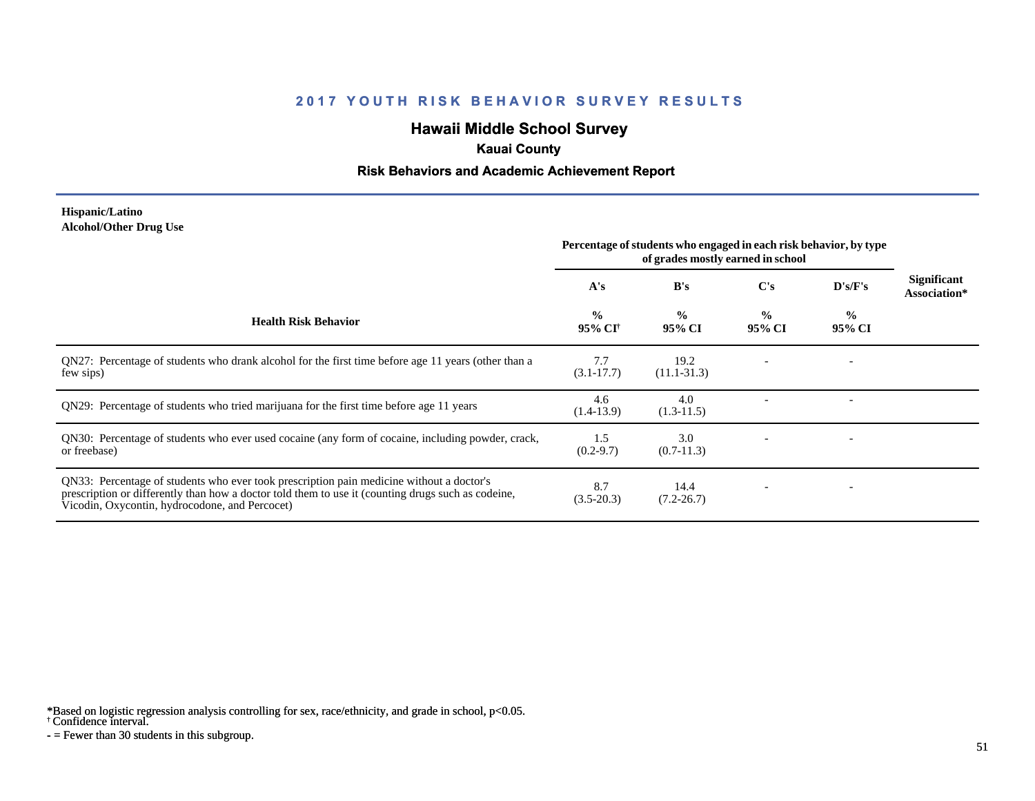# **Hawaii Middle School Survey**

### **Kauai County**

#### **Risk Behaviors and Academic Achievement Report**

#### **Hispanic/Latino Alcohol/Other Drug Use**

|                                                                                                                                                                                                                                                  | Percentage of students who engaged in each risk behavior, by type<br>of grades mostly earned in school |                         |                         |                         |                             |
|--------------------------------------------------------------------------------------------------------------------------------------------------------------------------------------------------------------------------------------------------|--------------------------------------------------------------------------------------------------------|-------------------------|-------------------------|-------------------------|-----------------------------|
|                                                                                                                                                                                                                                                  | A's                                                                                                    | B's                     | $\bf C's$               | $\bf{D's/F's}$          | Significant<br>Association* |
| <b>Health Risk Behavior</b>                                                                                                                                                                                                                      | $\frac{0}{0}$<br>95% CI <sup>†</sup>                                                                   | $\frac{0}{0}$<br>95% CI | $\frac{0}{0}$<br>95% CI | $\frac{0}{0}$<br>95% CI |                             |
| QN27: Percentage of students who drank alcohol for the first time before age 11 years (other than a<br>few sips)                                                                                                                                 | 7.7<br>$(3.1 - 17.7)$                                                                                  | 19.2<br>$(11.1 - 31.3)$ |                         |                         |                             |
| QN29: Percentage of students who tried marijuana for the first time before age 11 years                                                                                                                                                          | 4.6<br>$(1.4-13.9)$                                                                                    | 4.0<br>$(1.3-11.5)$     |                         |                         |                             |
| QN30: Percentage of students who ever used cocaine (any form of cocaine, including powder, crack,<br>or freebase)                                                                                                                                | 1.5<br>$(0.2 - 9.7)$                                                                                   | 3.0<br>$(0.7-11.3)$     |                         |                         |                             |
| QN33: Percentage of students who ever took prescription pain medicine without a doctor's<br>prescription or differently than how a doctor told them to use it (counting drugs such as codeine,<br>Vicodin, Oxycontin, hydrocodone, and Percocet) | 8.7<br>$(3.5 - 20.3)$                                                                                  | 14.4<br>$(7.2 - 26.7)$  |                         |                         |                             |

\*Based on logistic regression analysis controlling for sex, race/ethnicity, and grade in school, p<0.05.

† Confidence interval.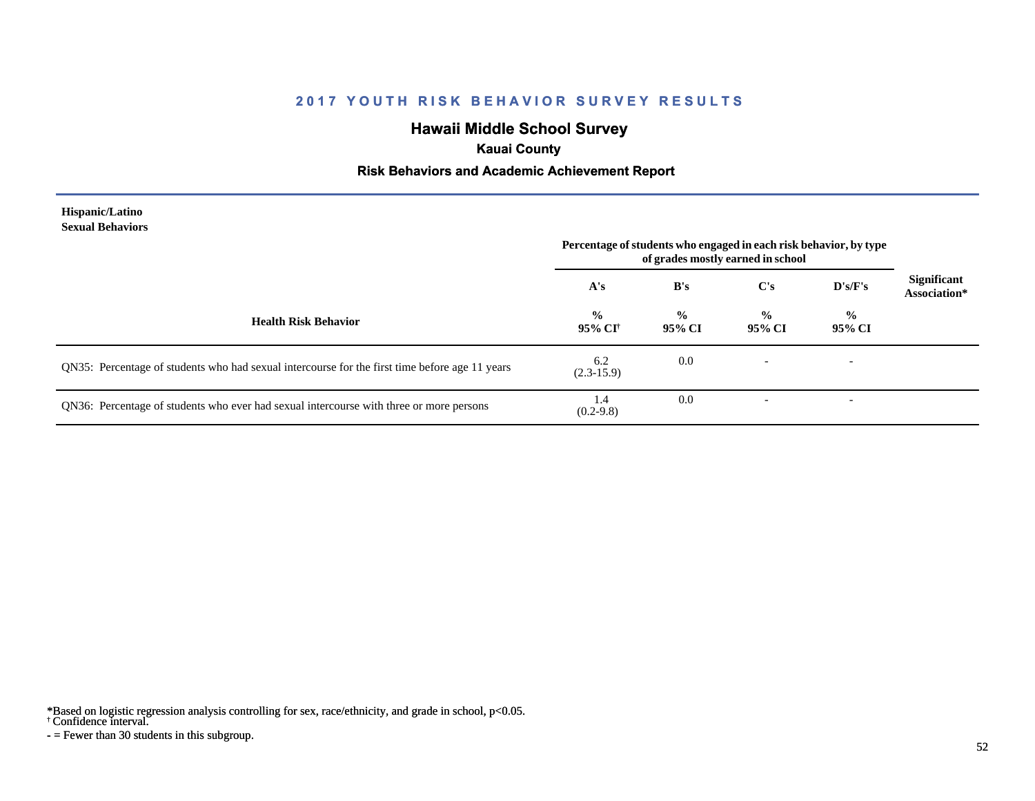# **Hawaii Middle School Survey**

# **Kauai County**

### **Risk Behaviors and Academic Achievement Report**

| Hispanic/Latino         |
|-------------------------|
| <b>Sexual Behaviors</b> |

|                                                                                                | Percentage of students who engaged in each risk behavior, by type<br>of grades mostly earned in school |                         |                          |                          |                                    |
|------------------------------------------------------------------------------------------------|--------------------------------------------------------------------------------------------------------|-------------------------|--------------------------|--------------------------|------------------------------------|
|                                                                                                | A's                                                                                                    | B's                     | C's                      | D's/F's                  | <b>Significant</b><br>Association* |
| <b>Health Risk Behavior</b>                                                                    | $\frac{0}{0}$<br>95% CI†                                                                               | $\frac{0}{0}$<br>95% CI | $\frac{0}{0}$<br>95% CI  | $\frac{0}{0}$<br>95% CI  |                                    |
| QN35: Percentage of students who had sexual intercourse for the first time before age 11 years | 6.2<br>$(2.3-15.9)$                                                                                    | 0.0                     |                          | $\overline{\phantom{0}}$ |                                    |
| QN36: Percentage of students who ever had sexual intercourse with three or more persons        | 1.4<br>$(0.2 - 9.8)$                                                                                   | 0.0                     | $\overline{\phantom{0}}$ | $\overline{\phantom{a}}$ |                                    |

\*Based on logistic regression analysis controlling for sex, race/ethnicity, and grade in school, p<0.05.

† Confidence interval.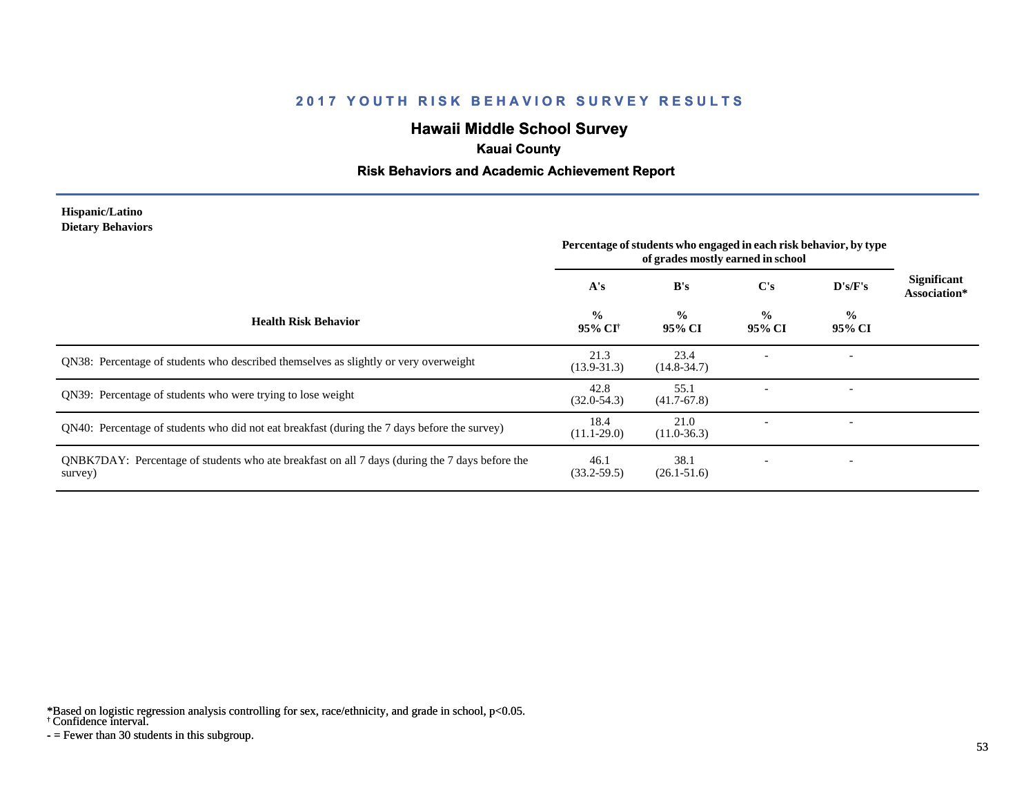# **Hawaii Middle School Survey**

# **Kauai County**

#### **Risk Behaviors and Academic Achievement Report**

#### **Hispanic/Latino Dietary Behaviors**

|                                                                                                           | Percentage of students who engaged in each risk behavior, by type<br>of grades mostly earned in school |                         |                          |                          |                                    |
|-----------------------------------------------------------------------------------------------------------|--------------------------------------------------------------------------------------------------------|-------------------------|--------------------------|--------------------------|------------------------------------|
|                                                                                                           | A's                                                                                                    | B's                     | $\bf C's$                | D's/F's                  | <b>Significant</b><br>Association* |
| <b>Health Risk Behavior</b>                                                                               | $\frac{0}{0}$<br>95% CI <sup>+</sup>                                                                   | $\frac{0}{0}$<br>95% CI | $\frac{0}{0}$<br>95% CI  | $\frac{0}{0}$<br>95% CI  |                                    |
| QN38: Percentage of students who described themselves as slightly or very overweight                      | 21.3<br>$(13.9 - 31.3)$                                                                                | 23.4<br>$(14.8 - 34.7)$ |                          | $\overline{\phantom{0}}$ |                                    |
| QN39: Percentage of students who were trying to lose weight                                               | 42.8<br>$(32.0 - 54.3)$                                                                                | 55.1<br>$(41.7-67.8)$   |                          |                          |                                    |
| QN40: Percentage of students who did not eat breakfast (during the 7 days before the survey)              | 18.4<br>$(11.1 - 29.0)$                                                                                | 21.0<br>$(11.0-36.3)$   |                          |                          |                                    |
| QNBK7DAY: Percentage of students who ate breakfast on all 7 days (during the 7 days before the<br>survey) | 46.1<br>$(33.2 - 59.5)$                                                                                | 38.1<br>$(26.1 - 51.6)$ | $\overline{\phantom{0}}$ | $\overline{\phantom{a}}$ |                                    |

\*Based on logistic regression analysis controlling for sex, race/ethnicity, and grade in school, p<0.05.

† Confidence interval.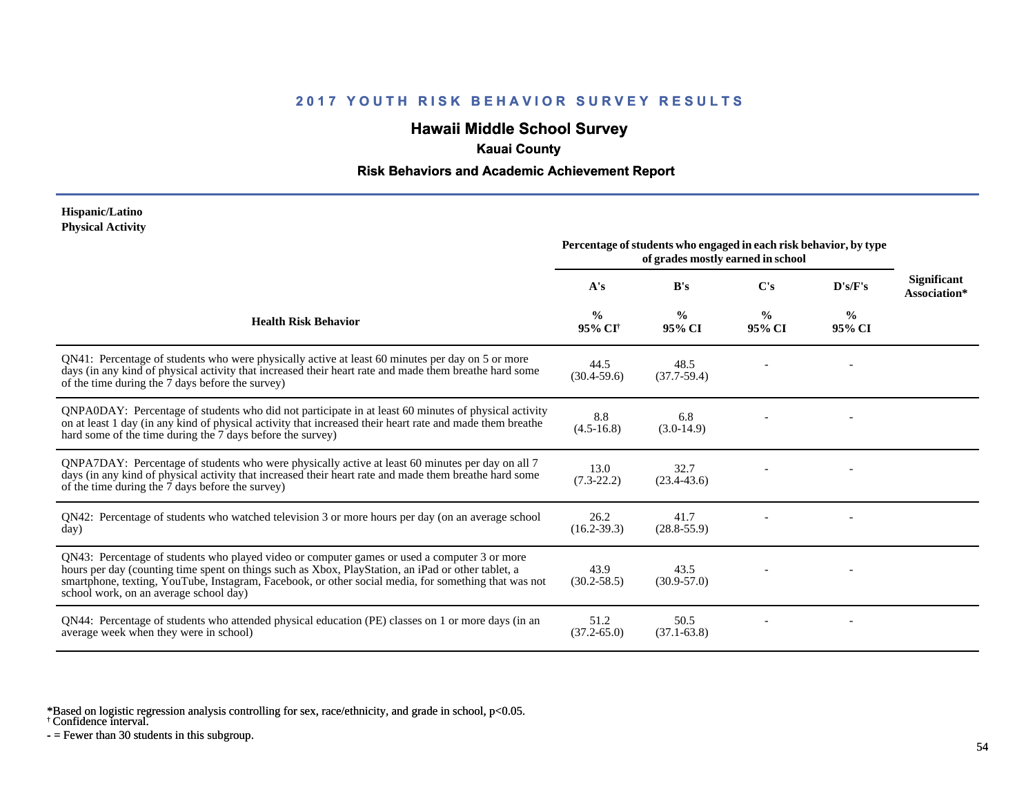# **Hawaii Middle School Survey**

### **Kauai County**

#### **Risk Behaviors and Academic Achievement Report**

#### **Hispanic/Latino Physical Activity**

|                                                                                                                                                                                                                                                                                                                                                      | Percentage of students who engaged in each risk behavior, by type<br>of grades mostly earned in school |                         |                         |                         |                                    |
|------------------------------------------------------------------------------------------------------------------------------------------------------------------------------------------------------------------------------------------------------------------------------------------------------------------------------------------------------|--------------------------------------------------------------------------------------------------------|-------------------------|-------------------------|-------------------------|------------------------------------|
|                                                                                                                                                                                                                                                                                                                                                      | A's                                                                                                    | B's                     | $\bf C's$               | D's/F's                 | <b>Significant</b><br>Association* |
| <b>Health Risk Behavior</b>                                                                                                                                                                                                                                                                                                                          | $\frac{0}{0}$<br>95% CI <sup>+</sup>                                                                   | $\frac{0}{0}$<br>95% CI | $\frac{0}{0}$<br>95% CI | $\frac{0}{0}$<br>95% CI |                                    |
| QN41: Percentage of students who were physically active at least 60 minutes per day on 5 or more<br>days (in any kind of physical activity that increased their heart rate and made them breathe hard some<br>of the time during the 7 days before the survey)                                                                                       | 44.5<br>$(30.4 - 59.6)$                                                                                | 48.5<br>$(37.7-59.4)$   |                         |                         |                                    |
| QNPA0DAY: Percentage of students who did not participate in at least 60 minutes of physical activity<br>on at least 1 day (in any kind of physical activity that increased their heart rate and made them breather<br>hard some of the time during the 7 days before the survey)                                                                     | 8.8<br>$(4.5 - 16.8)$                                                                                  | 6.8<br>$(3.0-14.9)$     |                         |                         |                                    |
| QNPA7DAY: Percentage of students who were physically active at least 60 minutes per day on all 7<br>days (in any kind of physical activity that increased their heart rate and made them breathe hard some<br>of the time during the 7 days before the survey)                                                                                       | 13.0<br>$(7.3-22.2)$                                                                                   | 32.7<br>$(23.4 - 43.6)$ |                         |                         |                                    |
| QN42: Percentage of students who watched television 3 or more hours per day (on an average school<br>day)                                                                                                                                                                                                                                            | 26.2<br>$(16.2 - 39.3)$                                                                                | 41.7<br>$(28.8 - 55.9)$ |                         |                         |                                    |
| QN43: Percentage of students who played video or computer games or used a computer 3 or more<br>hours per day (counting time spent on things such as Xbox, PlayStation, an iPad or other tablet, a<br>smartphone, texting, YouTube, Instagram, Facebook, or other social media, for something that was not<br>school work, on an average school day) | 43.9<br>$(30.2 - 58.5)$                                                                                | 43.5<br>$(30.9 - 57.0)$ |                         |                         |                                    |
| QN44: Percentage of students who attended physical education (PE) classes on 1 or more days (in an<br>average week when they were in school)                                                                                                                                                                                                         | 51.2<br>$(37.2 - 65.0)$                                                                                | 50.5<br>$(37.1 - 63.8)$ |                         |                         |                                    |

\*Based on logistic regression analysis controlling for sex, race/ethnicity, and grade in school, p<0.05.

† Confidence interval.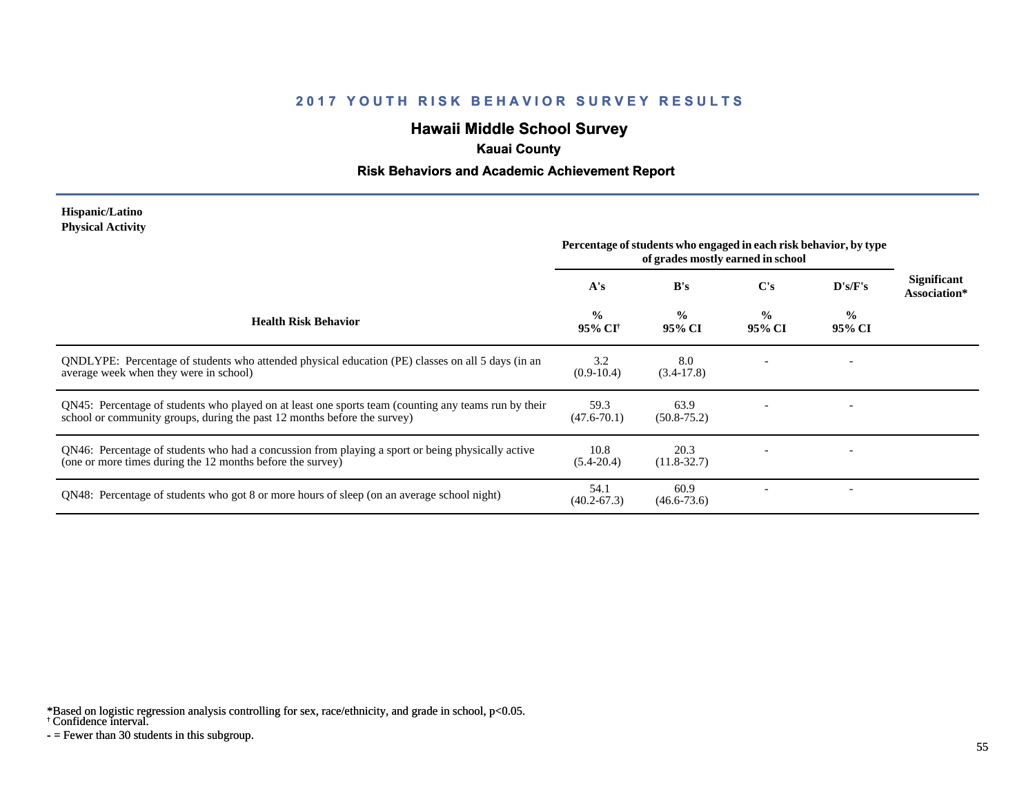# **Hawaii Middle School Survey**

# **Kauai County**

#### **Risk Behaviors and Academic Achievement Report**

#### **Hispanic/Latino Physical Activity**

|                                                                                                                                                                                  | Percentage of students who engaged in each risk behavior, by type<br>of grades mostly earned in school |                         |                         |                          |                                    |
|----------------------------------------------------------------------------------------------------------------------------------------------------------------------------------|--------------------------------------------------------------------------------------------------------|-------------------------|-------------------------|--------------------------|------------------------------------|
|                                                                                                                                                                                  | A's                                                                                                    | B's                     | C's                     | $\bf{D's/F's}$           | <b>Significant</b><br>Association* |
| <b>Health Risk Behavior</b>                                                                                                                                                      | $\frac{0}{0}$<br>95% CI <sup>†</sup>                                                                   | $\frac{0}{0}$<br>95% CI | $\frac{0}{0}$<br>95% CI | $\frac{0}{0}$<br>95% CI  |                                    |
| QNDLYPE: Percentage of students who attended physical education (PE) classes on all 5 days (in an<br>average week when they were in school)                                      | 3.2<br>$(0.9-10.4)$                                                                                    | 8.0<br>$(3.4-17.8)$     |                         |                          |                                    |
| QN45: Percentage of students who played on at least one sports team (counting any teams run by their<br>school or community groups, during the past 12 months before the survey) | 59.3<br>$(47.6 - 70.1)$                                                                                | 63.9<br>$(50.8 - 75.2)$ |                         |                          |                                    |
| QN46: Percentage of students who had a concussion from playing a sport or being physically active<br>(one or more times during the 12 months before the survey)                  | 10.8<br>$(5.4 - 20.4)$                                                                                 | 20.3<br>$(11.8 - 32.7)$ |                         |                          |                                    |
| QN48: Percentage of students who got 8 or more hours of sleep (on an average school night)                                                                                       | 54.1<br>$(40.2 - 67.3)$                                                                                | 60.9<br>$(46.6 - 73.6)$ |                         | $\overline{\phantom{a}}$ |                                    |

\*Based on logistic regression analysis controlling for sex, race/ethnicity, and grade in school, p<0.05.

† Confidence interval.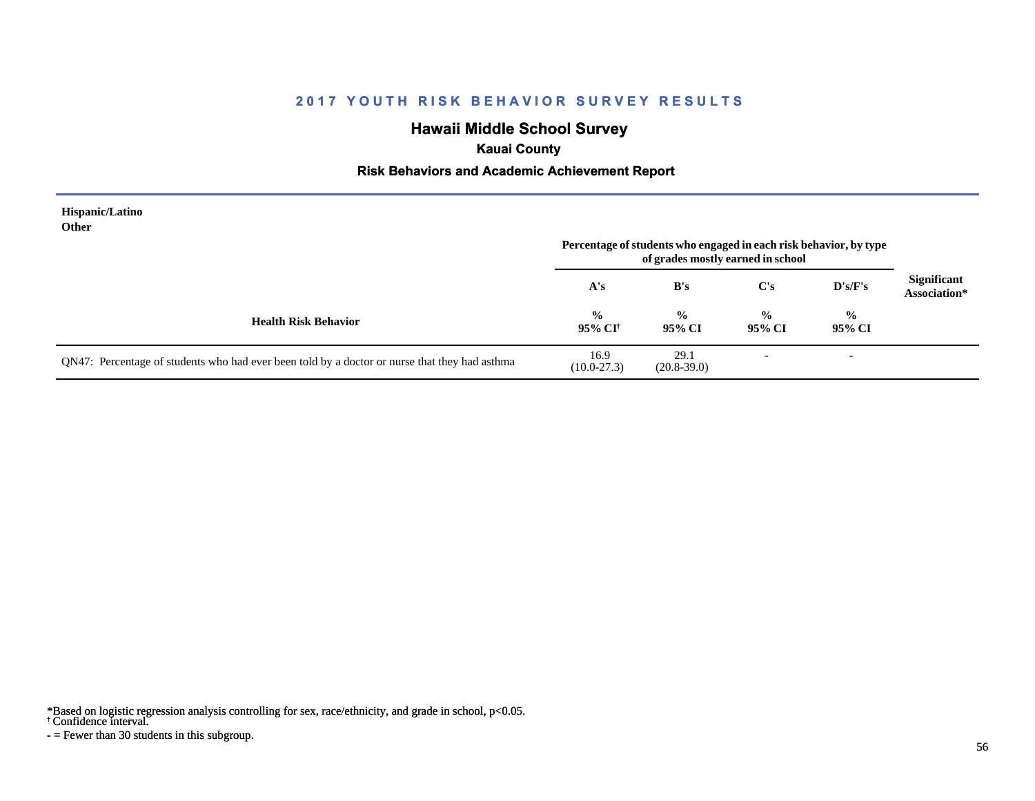# **Hawaii Middle School Survey**

# **Kauai County**

#### **Risk Behaviors and Academic Achievement Report**

| Hispanic/Latino<br>Other                                                                      | Percentage of students who engaged in each risk behavior, by type<br>of grades mostly earned in school |                         |                          |                          |                                    |
|-----------------------------------------------------------------------------------------------|--------------------------------------------------------------------------------------------------------|-------------------------|--------------------------|--------------------------|------------------------------------|
|                                                                                               | A's                                                                                                    | B's                     | $\bf C's$                | $\bf{D's/F's}$           | <b>Significant</b><br>Association* |
| <b>Health Risk Behavior</b>                                                                   | $\frac{0}{0}$<br>95% CI†                                                                               | $\frac{0}{0}$<br>95% CI | $\frac{0}{0}$<br>95% CI  | $\frac{0}{0}$<br>95% CI  |                                    |
| QN47: Percentage of students who had ever been told by a doctor or nurse that they had asthma | 16.9<br>$(10.0 - 27.3)$                                                                                | 29.1<br>$(20.8 - 39.0)$ | $\overline{\phantom{a}}$ | $\overline{\phantom{a}}$ |                                    |

\*Based on logistic regression analysis controlling for sex, race/ethnicity, and grade in school, p<0.05.

† Confidence interval.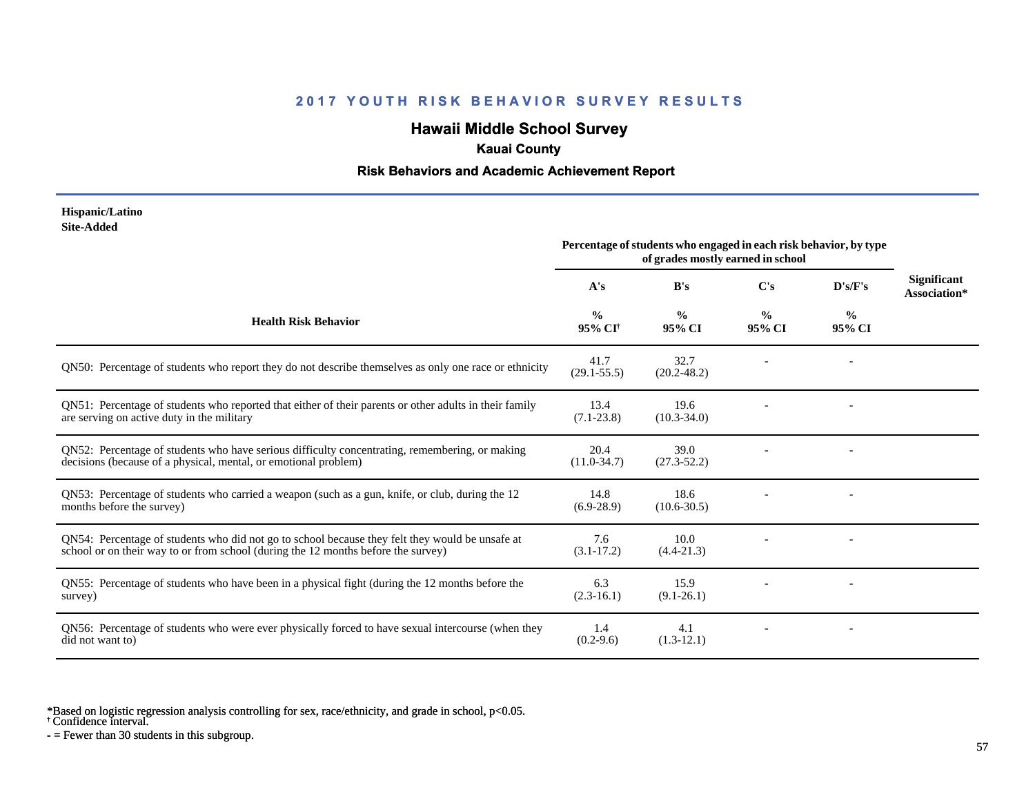# **Hawaii Middle School Survey**

### **Kauai County**

#### **Risk Behaviors and Academic Achievement Report**

#### **Hispanic/Latino Site-Added**

|                                                                                                                                                                                      | Percentage of students who engaged in each risk behavior, by type<br>of grades mostly earned in school |                         |                         |                |                                    |
|--------------------------------------------------------------------------------------------------------------------------------------------------------------------------------------|--------------------------------------------------------------------------------------------------------|-------------------------|-------------------------|----------------|------------------------------------|
|                                                                                                                                                                                      | A's                                                                                                    | B's                     | $\bf C's$               | D's/F's        | <b>Significant</b><br>Association* |
| <b>Health Risk Behavior</b>                                                                                                                                                          | $\frac{0}{0}$<br>95% CI†                                                                               | $\frac{6}{9}$<br>95% CI | $\frac{0}{0}$<br>95% CI | $\%$<br>95% CI |                                    |
| QN50: Percentage of students who report they do not describe themselves as only one race or ethnicity                                                                                | 41.7<br>$(29.1 - 55.5)$                                                                                | 32.7<br>$(20.2 - 48.2)$ |                         |                |                                    |
| QN51: Percentage of students who reported that either of their parents or other adults in their family<br>are serving on active duty in the military                                 | 13.4<br>$(7.1 - 23.8)$                                                                                 | 19.6<br>$(10.3 - 34.0)$ |                         |                |                                    |
| QN52: Percentage of students who have serious difficulty concentrating, remembering, or making<br>decisions (because of a physical, mental, or emotional problem)                    | 20.4<br>$(11.0-34.7)$                                                                                  | 39.0<br>$(27.3 - 52.2)$ |                         |                |                                    |
| QN53: Percentage of students who carried a weapon (such as a gun, knife, or club, during the 12<br>months before the survey)                                                         | 14.8<br>$(6.9-28.9)$                                                                                   | 18.6<br>$(10.6 - 30.5)$ |                         |                |                                    |
| QN54: Percentage of students who did not go to school because they felt they would be unsafe at<br>school or on their way to or from school (during the 12 months before the survey) | 7.6<br>$(3.1 - 17.2)$                                                                                  | 10.0<br>$(4.4 - 21.3)$  |                         |                |                                    |
| QN55: Percentage of students who have been in a physical fight (during the 12 months before the<br>survey)                                                                           | 6.3<br>$(2.3-16.1)$                                                                                    | 15.9<br>$(9.1 - 26.1)$  |                         |                |                                    |
| QN56: Percentage of students who were ever physically forced to have sexual intercourse (when they<br>did not want to)                                                               | 1.4<br>$(0.2-9.6)$                                                                                     | 4.1<br>$(1.3-12.1)$     |                         |                |                                    |

\*Based on logistic regression analysis controlling for sex, race/ethnicity, and grade in school, p<0.05.

<sup>†</sup> Confidence interval.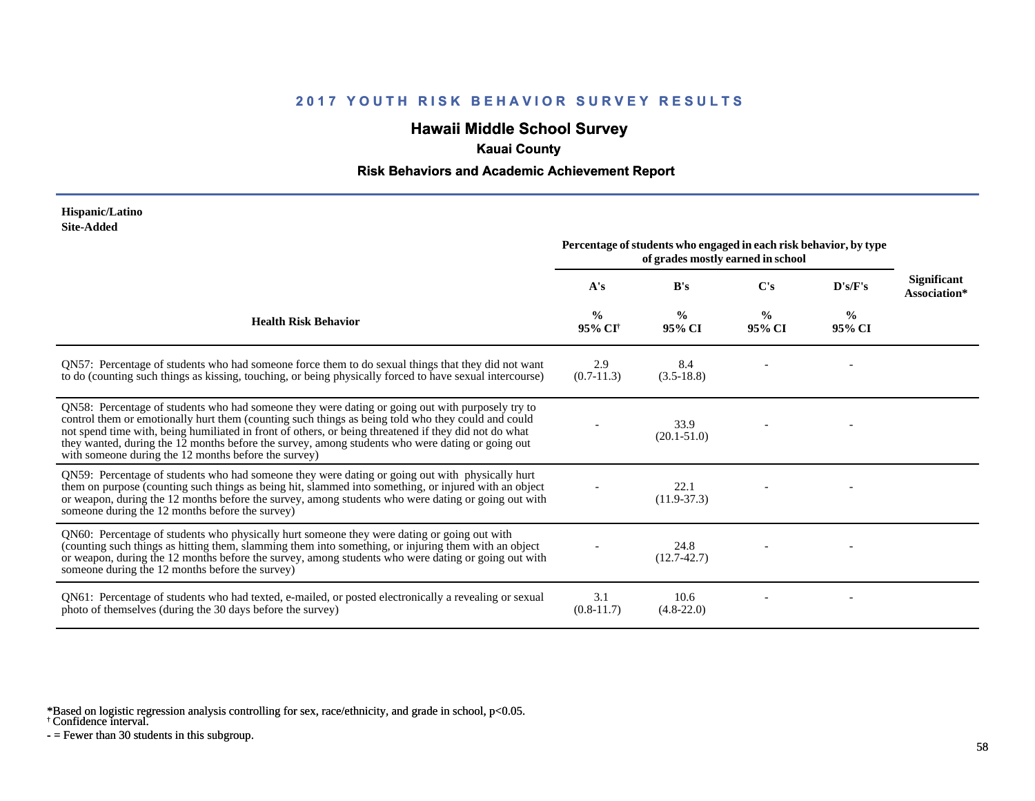# **Hawaii Middle School Survey**

### **Kauai County**

#### **Risk Behaviors and Academic Achievement Report**

#### **Hispanic/Latino Site-Added**

|                                                                                                                                                                                                                                                                                                                                                                                                                                                                             | Percentage of students who engaged in each risk behavior, by type<br>of grades mostly earned in school |                         |                         |                         |                             |
|-----------------------------------------------------------------------------------------------------------------------------------------------------------------------------------------------------------------------------------------------------------------------------------------------------------------------------------------------------------------------------------------------------------------------------------------------------------------------------|--------------------------------------------------------------------------------------------------------|-------------------------|-------------------------|-------------------------|-----------------------------|
|                                                                                                                                                                                                                                                                                                                                                                                                                                                                             | A's                                                                                                    | B's                     | $\bf C's$               | D's/F's                 | Significant<br>Association* |
| <b>Health Risk Behavior</b>                                                                                                                                                                                                                                                                                                                                                                                                                                                 | $\frac{0}{0}$<br>95% CI <sup>†</sup>                                                                   | $\frac{0}{0}$<br>95% CI | $\frac{0}{0}$<br>95% CI | $\frac{0}{0}$<br>95% CI |                             |
| QN57: Percentage of students who had someone force them to do sexual things that they did not want<br>to do (counting such things as kissing, touching, or being physically forced to have sexual intercourse)                                                                                                                                                                                                                                                              | 2.9<br>$(0.7-11.3)$                                                                                    | 8.4<br>$(3.5-18.8)$     |                         |                         |                             |
| QN58: Percentage of students who had someone they were dating or going out with purposely try to<br>control them or emotionally hurt them (counting such things as being told who they could and could<br>not spend time with, being humiliated in front of others, or being threatened if they did not do what<br>they wanted, during the 12 months before the survey, among students who were dating or going out<br>with someone during the 12 months before the survey) |                                                                                                        | 33.9<br>$(20.1 - 51.0)$ |                         |                         |                             |
| QN59: Percentage of students who had someone they were dating or going out with physically hurt<br>them on purpose (counting such things as being hit, slammed into something, or injured with an object<br>or weapon, during the 12 months before the survey, among students who were dating or going out with<br>someone during the 12 months before the survey)                                                                                                          |                                                                                                        | 22.1<br>$(11.9-37.3)$   |                         |                         |                             |
| QN60: Percentage of students who physically hurt someone they were dating or going out with<br>(counting such things as hitting them, slamming them into something, or injuring them with an object<br>or weapon, during the 12 months before the survey, among students who were dating or going out with<br>someone during the 12 months before the survey)                                                                                                               |                                                                                                        | 24.8<br>$(12.7 - 42.7)$ |                         |                         |                             |
| QN61: Percentage of students who had texted, e-mailed, or posted electronically a revealing or sexual<br>photo of themselves (during the 30 days before the survey)                                                                                                                                                                                                                                                                                                         | 3.1<br>$(0.8-11.7)$                                                                                    | 10.6<br>$(4.8 - 22.0)$  |                         |                         |                             |

\*Based on logistic regression analysis controlling for sex, race/ethnicity, and grade in school, p<0.05.

† Confidence interval.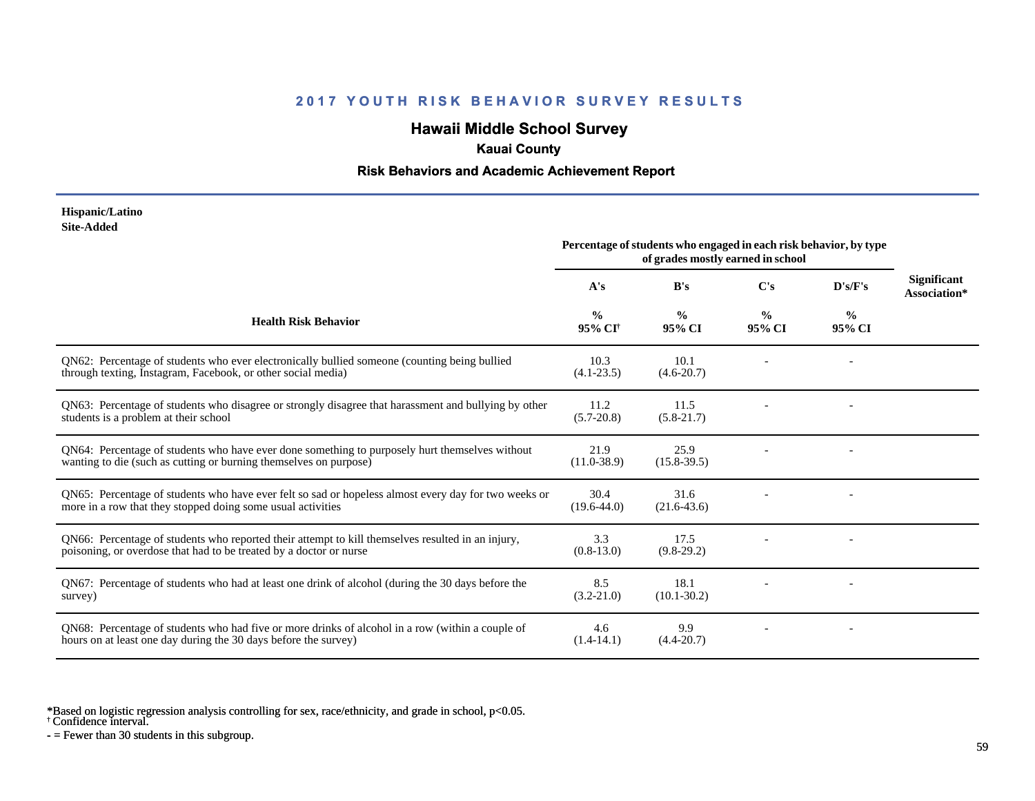# **Hawaii Middle School Survey**

### **Kauai County**

### **Risk Behaviors and Academic Achievement Report**

#### **Hispanic/Latino Site-Added**

|                                                                                                                                                                         | Percentage of students who engaged in each risk behavior, by type<br>of grades mostly earned in school |                         |                         |                |                                    |
|-------------------------------------------------------------------------------------------------------------------------------------------------------------------------|--------------------------------------------------------------------------------------------------------|-------------------------|-------------------------|----------------|------------------------------------|
|                                                                                                                                                                         | A's                                                                                                    | B's                     | C's                     | D's/F's        | <b>Significant</b><br>Association* |
| <b>Health Risk Behavior</b>                                                                                                                                             | $\frac{0}{0}$<br>95% CI <sup>†</sup>                                                                   | $\frac{0}{0}$<br>95% CI | $\frac{0}{0}$<br>95% CI | $\%$<br>95% CI |                                    |
| QN62: Percentage of students who ever electronically bullied someone (counting being bullied<br>through texting, Instagram, Facebook, or other social media)            | 10.3<br>$(4.1 - 23.5)$                                                                                 | 10.1<br>$(4.6 - 20.7)$  |                         |                |                                    |
| QN63: Percentage of students who disagree or strongly disagree that harassment and bullying by other<br>students is a problem at their school                           | 11.2<br>$(5.7 - 20.8)$                                                                                 | 11.5<br>$(5.8-21.7)$    |                         |                |                                    |
| QN64: Percentage of students who have ever done something to purposely hurt themselves without<br>wanting to die (such as cutting or burning themselves on purpose)     | 21.9<br>$(11.0 - 38.9)$                                                                                | 25.9<br>$(15.8 - 39.5)$ |                         |                |                                    |
| QN65: Percentage of students who have ever felt so sad or hopeless almost every day for two weeks or<br>more in a row that they stopped doing some usual activities     | 30.4<br>$(19.6 - 44.0)$                                                                                | 31.6<br>$(21.6 - 43.6)$ |                         |                |                                    |
| QN66: Percentage of students who reported their attempt to kill themselves resulted in an injury,<br>poisoning, or overdose that had to be treated by a doctor or nurse | 3.3<br>$(0.8-13.0)$                                                                                    | 17.5<br>$(9.8-29.2)$    |                         |                |                                    |
| QN67: Percentage of students who had at least one drink of alcohol (during the 30 days before the<br>survey)                                                            | 8.5<br>$(3.2 - 21.0)$                                                                                  | 18.1<br>$(10.1 - 30.2)$ |                         |                |                                    |
| QN68: Percentage of students who had five or more drinks of alcohol in a row (within a couple of<br>hours on at least one day during the 30 days before the survey)     | 4.6<br>$(1.4-14.1)$                                                                                    | 9.9<br>$(4.4 - 20.7)$   |                         |                |                                    |

\*Based on logistic regression analysis controlling for sex, race/ethnicity, and grade in school, p<0.05.

† Confidence interval.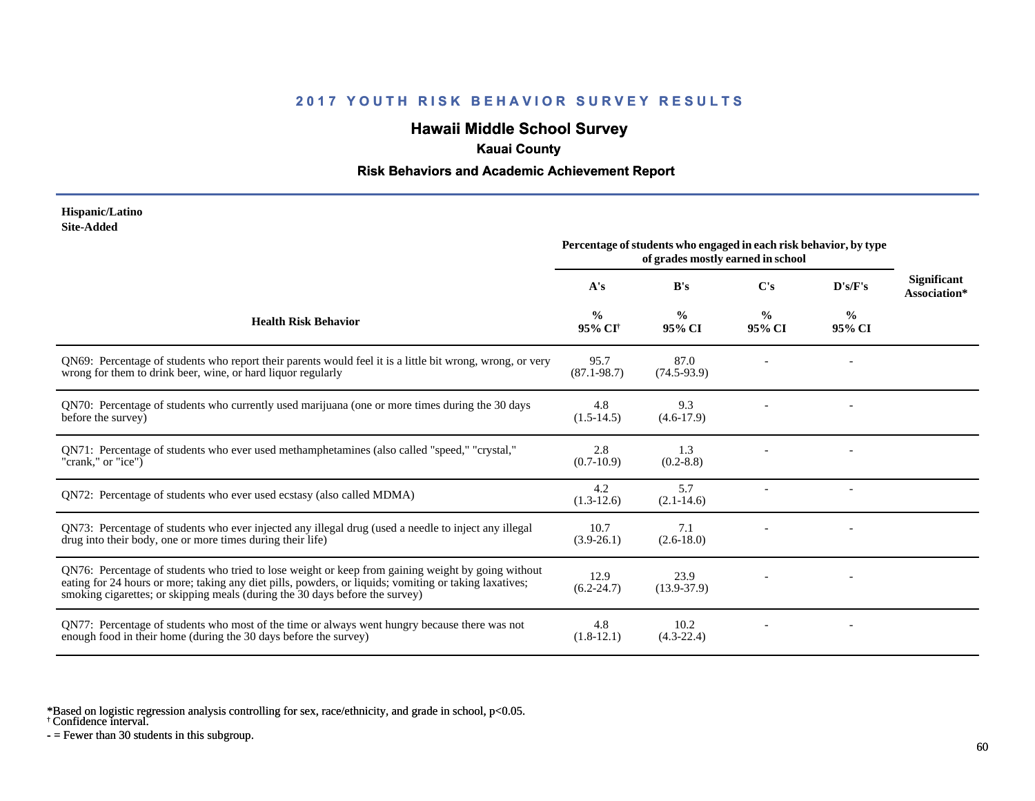# **Hawaii Middle School Survey**

### **Kauai County**

#### **Risk Behaviors and Academic Achievement Report**

#### **Hispanic/Latino Site-Added**

|                                                                                                                                                                                                                                                                                              | Percentage of students who engaged in each risk behavior, by type<br>of grades mostly earned in school |                         |                         |                |                                    |
|----------------------------------------------------------------------------------------------------------------------------------------------------------------------------------------------------------------------------------------------------------------------------------------------|--------------------------------------------------------------------------------------------------------|-------------------------|-------------------------|----------------|------------------------------------|
|                                                                                                                                                                                                                                                                                              | A's                                                                                                    | B's                     | C's                     | D's/F's        | <b>Significant</b><br>Association* |
| <b>Health Risk Behavior</b>                                                                                                                                                                                                                                                                  | $\frac{0}{0}$<br>95% CI <sup>†</sup>                                                                   | $\frac{0}{0}$<br>95% CI | $\frac{0}{0}$<br>95% CI | $\%$<br>95% CI |                                    |
| QN69: Percentage of students who report their parents would feel it is a little bit wrong, wrong, or very<br>wrong for them to drink beer, wine, or hard liquor regularly                                                                                                                    | 95.7<br>$(87.1 - 98.7)$                                                                                | 87.0<br>$(74.5-93.9)$   |                         |                |                                    |
| QN70: Percentage of students who currently used marijuana (one or more times during the 30 days<br>before the survey)                                                                                                                                                                        | 4.8<br>$(1.5-14.5)$                                                                                    | 9.3<br>$(4.6-17.9)$     |                         |                |                                    |
| QN71: Percentage of students who ever used methamphetamines (also called "speed," "crystal,"<br>"crank," or "ice")                                                                                                                                                                           | 2.8<br>$(0.7-10.9)$                                                                                    | 1.3<br>$(0.2 - 8.8)$    |                         |                |                                    |
| ON72: Percentage of students who ever used ecstasy (also called MDMA)                                                                                                                                                                                                                        | 4.2<br>$(1.3-12.6)$                                                                                    | 5.7<br>$(2.1 - 14.6)$   |                         |                |                                    |
| QN73: Percentage of students who ever injected any illegal drug (used a needle to inject any illegal<br>drug into their body, one or more times during their life)                                                                                                                           | 10.7<br>$(3.9-26.1)$                                                                                   | 7.1<br>$(2.6 - 18.0)$   |                         |                |                                    |
| QN76: Percentage of students who tried to lose weight or keep from gaining weight by going without<br>eating for 24 hours or more; taking any diet pills, powders, or liquids; vomiting or taking laxatives;<br>smoking cigarettes; or skipping meals (during the 30 days before the survey) | 12.9<br>$(6.2 - 24.7)$                                                                                 | 23.9<br>$(13.9 - 37.9)$ |                         |                |                                    |
| QN77: Percentage of students who most of the time or always went hungry because there was not<br>enough food in their home (during the 30 days before the survey)                                                                                                                            | 4.8<br>$(1.8-12.1)$                                                                                    | 10.2<br>$(4.3-22.4)$    |                         |                |                                    |

\*Based on logistic regression analysis controlling for sex, race/ethnicity, and grade in school, p<0.05.

† Confidence interval.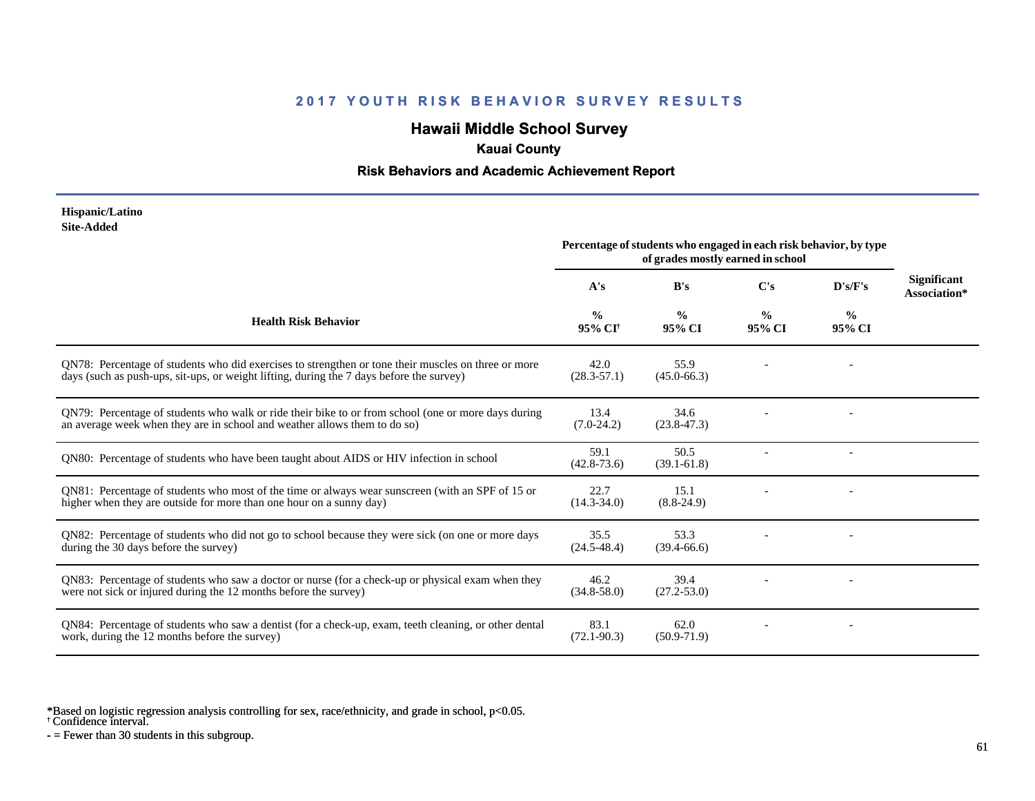# **Hawaii Middle School Survey**

### **Kauai County**

### **Risk Behaviors and Academic Achievement Report**

#### **Hispanic/Latino Site-Added**

|                                                                                                                                                                                                 | Percentage of students who engaged in each risk behavior, by type<br>of grades mostly earned in school |                         |                |                |                                    |
|-------------------------------------------------------------------------------------------------------------------------------------------------------------------------------------------------|--------------------------------------------------------------------------------------------------------|-------------------------|----------------|----------------|------------------------------------|
|                                                                                                                                                                                                 | A's                                                                                                    | B's                     | C's            | D's/F's        | <b>Significant</b><br>Association* |
| <b>Health Risk Behavior</b>                                                                                                                                                                     | $\frac{0}{0}$<br>95% CI <sup>+</sup>                                                                   | $\frac{0}{0}$<br>95% CI | $\%$<br>95% CI | $\%$<br>95% CI |                                    |
| QN78: Percentage of students who did exercises to strengthen or tone their muscles on three or more<br>days (such as push-ups, sit-ups, or weight lifting, during the 7 days before the survey) | 42.0<br>$(28.3 - 57.1)$                                                                                | 55.9<br>$(45.0 - 66.3)$ |                |                |                                    |
| QN79: Percentage of students who walk or ride their bike to or from school (one or more days during<br>an average week when they are in school and weather allows them to do so)                | 13.4<br>$(7.0-24.2)$                                                                                   | 34.6<br>$(23.8 - 47.3)$ |                |                |                                    |
| QN80: Percentage of students who have been taught about AIDS or HIV infection in school                                                                                                         | 59.1<br>$(42.8 - 73.6)$                                                                                | 50.5<br>$(39.1 - 61.8)$ |                |                |                                    |
| QN81: Percentage of students who most of the time or always wear sunscreen (with an SPF of 15 or<br>higher when they are outside for more than one hour on a sunny day)                         | 22.7<br>$(14.3 - 34.0)$                                                                                | 15.1<br>$(8.8-24.9)$    |                |                |                                    |
| QN82: Percentage of students who did not go to school because they were sick (on one or more days<br>during the 30 days before the survey)                                                      | 35.5<br>$(24.5 - 48.4)$                                                                                | 53.3<br>$(39.4 - 66.6)$ |                |                |                                    |
| QN83: Percentage of students who saw a doctor or nurse (for a check-up or physical exam when they<br>were not sick or injured during the 12 months before the survey)                           | 46.2<br>$(34.8 - 58.0)$                                                                                | 39.4<br>$(27.2 - 53.0)$ |                |                |                                    |
| QN84: Percentage of students who saw a dentist (for a check-up, exam, teeth cleaning, or other dental<br>work, during the 12 months before the survey)                                          | 83.1<br>$(72.1 - 90.3)$                                                                                | 62.0<br>$(50.9 - 71.9)$ |                |                |                                    |

\*Based on logistic regression analysis controlling for sex, race/ethnicity, and grade in school, p<0.05.

† Confidence interval.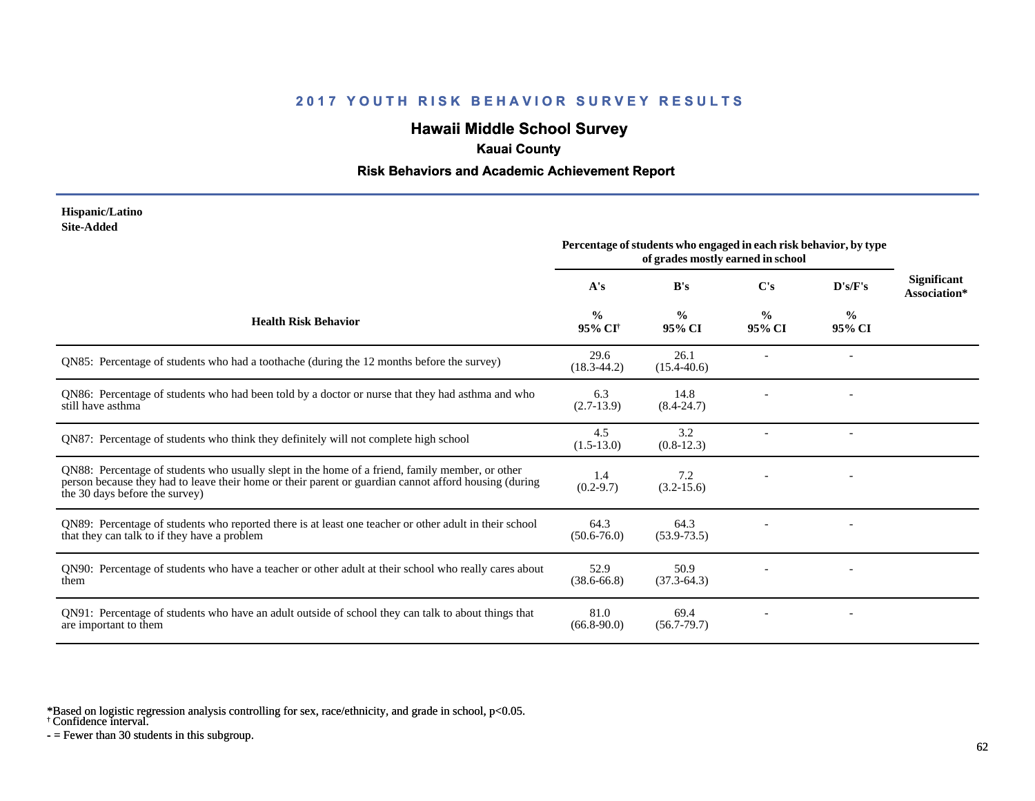# **Hawaii Middle School Survey**

### **Kauai County**

#### **Risk Behaviors and Academic Achievement Report**

#### **Hispanic/Latino Site-Added**

|                                                                                                                                                                                                                                            | Percentage of students who engaged in each risk behavior, by type<br>of grades mostly earned in school |                         |                         |                         |                                    |
|--------------------------------------------------------------------------------------------------------------------------------------------------------------------------------------------------------------------------------------------|--------------------------------------------------------------------------------------------------------|-------------------------|-------------------------|-------------------------|------------------------------------|
|                                                                                                                                                                                                                                            | A's                                                                                                    | B's                     | C's                     | D's/F's                 | <b>Significant</b><br>Association* |
| <b>Health Risk Behavior</b>                                                                                                                                                                                                                | $\frac{0}{0}$<br>95% CI <sup>†</sup>                                                                   | $\frac{0}{0}$<br>95% CI | $\frac{0}{0}$<br>95% CI | $\frac{0}{0}$<br>95% CI |                                    |
| QN85: Percentage of students who had a toothache (during the 12 months before the survey)                                                                                                                                                  | 29.6<br>$(18.3 - 44.2)$                                                                                | 26.1<br>$(15.4 - 40.6)$ |                         |                         |                                    |
| QN86: Percentage of students who had been told by a doctor or nurse that they had asthma and who<br>still have asthma                                                                                                                      | 6.3<br>$(2.7-13.9)$                                                                                    | 14.8<br>$(8.4 - 24.7)$  |                         |                         |                                    |
| QN87: Percentage of students who think they definitely will not complete high school                                                                                                                                                       | 4.5<br>$(1.5-13.0)$                                                                                    | 3.2<br>$(0.8-12.3)$     |                         |                         |                                    |
| QN88: Percentage of students who usually slept in the home of a friend, family member, or other<br>person because they had to leave their home or their parent or guardian cannot afford housing (during<br>the 30 days before the survey) | 1.4<br>$(0.2 - 9.7)$                                                                                   | 7.2<br>$(3.2 - 15.6)$   |                         |                         |                                    |
| QN89: Percentage of students who reported there is at least one teacher or other adult in their school<br>that they can talk to if they have a problem                                                                                     | 64.3<br>$(50.6 - 76.0)$                                                                                | 64.3<br>$(53.9 - 73.5)$ |                         |                         |                                    |
| QN90: Percentage of students who have a teacher or other adult at their school who really cares about<br>them                                                                                                                              | 52.9<br>$(38.6 - 66.8)$                                                                                | 50.9<br>$(37.3-64.3)$   |                         |                         |                                    |
| QN91: Percentage of students who have an adult outside of school they can talk to about things that<br>are important to them                                                                                                               | 81.0<br>$(66.8 - 90.0)$                                                                                | 69.4<br>$(56.7 - 79.7)$ |                         |                         |                                    |

\*Based on logistic regression analysis controlling for sex, race/ethnicity, and grade in school, p<0.05.

† Confidence interval.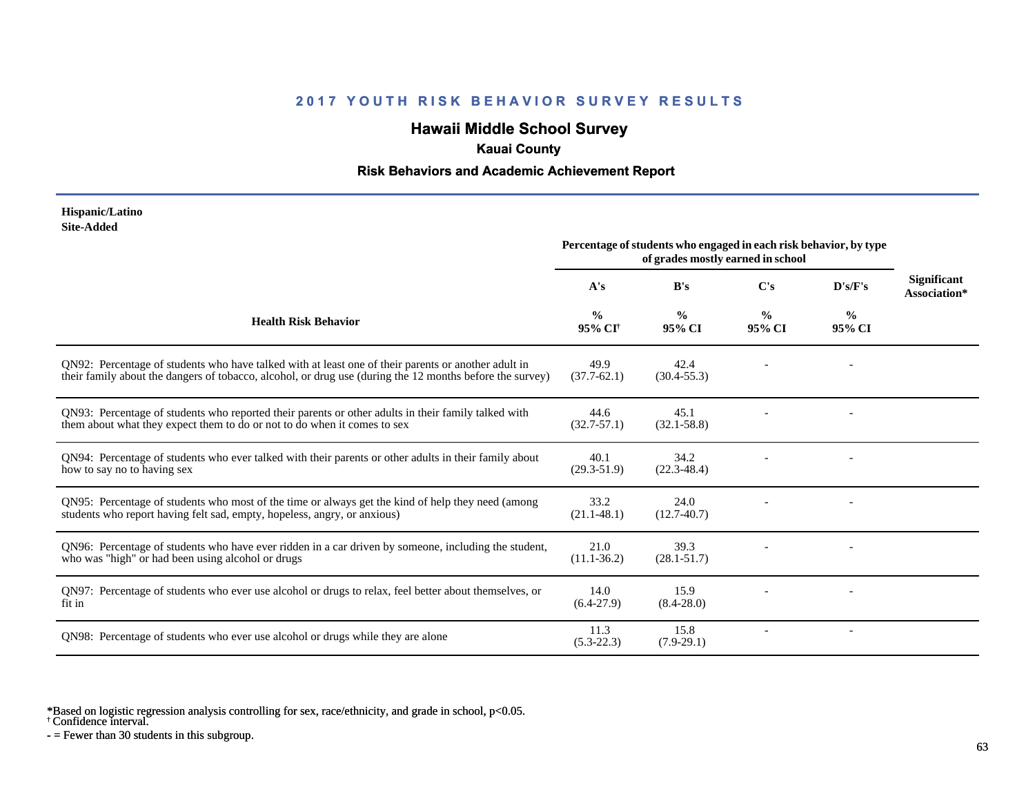# **Hawaii Middle School Survey**

### **Kauai County**

#### **Risk Behaviors and Academic Achievement Report**

#### **Hispanic/Latino Site-Added**

|                                                                                                                                                                                                                 | Percentage of students who engaged in each risk behavior, by type<br>of grades mostly earned in school |                         |                         |                |                                    |
|-----------------------------------------------------------------------------------------------------------------------------------------------------------------------------------------------------------------|--------------------------------------------------------------------------------------------------------|-------------------------|-------------------------|----------------|------------------------------------|
|                                                                                                                                                                                                                 | A's                                                                                                    | B's                     | C's                     | D's/F's        | <b>Significant</b><br>Association* |
| <b>Health Risk Behavior</b>                                                                                                                                                                                     | $\frac{0}{0}$<br>95% CI <sup>†</sup>                                                                   | $\frac{0}{0}$<br>95% CI | $\frac{0}{0}$<br>95% CI | $\%$<br>95% CI |                                    |
| QN92: Percentage of students who have talked with at least one of their parents or another adult in<br>their family about the dangers of tobacco, alcohol, or drug use (during the 12 months before the survey) | 49.9<br>$(37.7-62.1)$                                                                                  | 42.4<br>$(30.4 - 55.3)$ |                         |                |                                    |
| QN93: Percentage of students who reported their parents or other adults in their family talked with<br>them about what they expect them to do or not to do when it comes to sex                                 | 44.6<br>$(32.7 - 57.1)$                                                                                | 45.1<br>$(32.1 - 58.8)$ |                         |                |                                    |
| QN94: Percentage of students who ever talked with their parents or other adults in their family about<br>how to say no to having sex                                                                            | 40.1<br>$(29.3 - 51.9)$                                                                                | 34.2<br>$(22.3 - 48.4)$ |                         |                |                                    |
| QN95: Percentage of students who most of the time or always get the kind of help they need (among<br>students who report having felt sad, empty, hopeless, angry, or anxious)                                   | 33.2<br>$(21.1 - 48.1)$                                                                                | 24.0<br>$(12.7-40.7)$   |                         |                |                                    |
| QN96: Percentage of students who have ever ridden in a car driven by someone, including the student,<br>who was "high" or had been using alcohol or drugs                                                       | 21.0<br>$(11.1 - 36.2)$                                                                                | 39.3<br>$(28.1 - 51.7)$ |                         |                |                                    |
| QN97: Percentage of students who ever use alcohol or drugs to relax, feel better about themselves, or<br>fit in                                                                                                 | 14.0<br>$(6.4-27.9)$                                                                                   | 15.9<br>$(8.4 - 28.0)$  |                         |                |                                    |
| QN98: Percentage of students who ever use alcohol or drugs while they are alone                                                                                                                                 | 11.3<br>$(5.3-22.3)$                                                                                   | 15.8<br>$(7.9-29.1)$    |                         |                |                                    |

\*Based on logistic regression analysis controlling for sex, race/ethnicity, and grade in school, p<0.05.

† Confidence interval.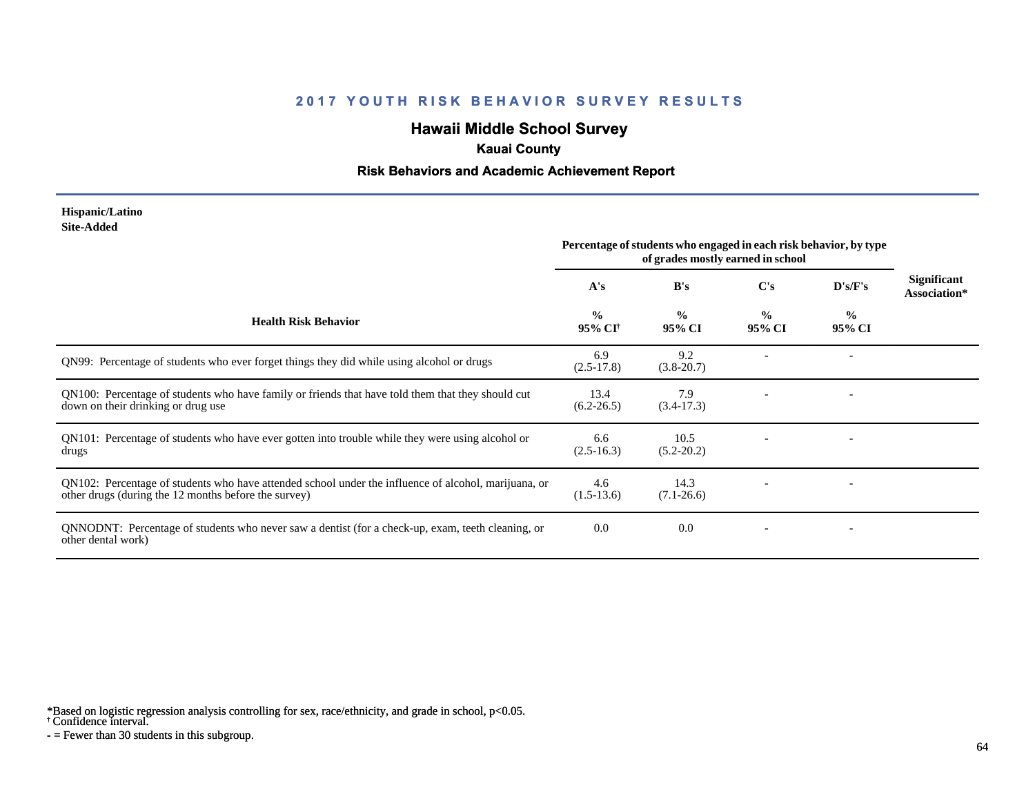# **Hawaii Middle School Survey**

### **Kauai County**

#### **Risk Behaviors and Academic Achievement Report**

#### **Hispanic/Latino Site-Added**

|                                                                                                                                                              | Percentage of students who engaged in each risk behavior, by type<br>of grades mostly earned in school |                         |                         |                          |                                    |
|--------------------------------------------------------------------------------------------------------------------------------------------------------------|--------------------------------------------------------------------------------------------------------|-------------------------|-------------------------|--------------------------|------------------------------------|
|                                                                                                                                                              | A's                                                                                                    | B's                     | C's                     | D's/F's                  | <b>Significant</b><br>Association* |
| <b>Health Risk Behavior</b>                                                                                                                                  | $\frac{0}{0}$<br>95% CI <sup>+</sup>                                                                   | $\frac{0}{0}$<br>95% CI | $\frac{0}{0}$<br>95% CI | $\frac{6}{9}$<br>95% CI  |                                    |
| QN99: Percentage of students who ever forget things they did while using alcohol or drugs                                                                    | 6.9<br>$(2.5-17.8)$                                                                                    | 9.2<br>$(3.8 - 20.7)$   |                         |                          |                                    |
| QN100: Percentage of students who have family or friends that have told them that they should cut<br>down on their drinking or drug use                      | 13.4<br>$(6.2 - 26.5)$                                                                                 | 7.9<br>$(3.4-17.3)$     |                         |                          |                                    |
| QN101: Percentage of students who have ever gotten into trouble while they were using alcohol or<br>drugs                                                    | 6.6<br>$(2.5-16.3)$                                                                                    | 10.5<br>$(5.2 - 20.2)$  |                         |                          |                                    |
| QN102: Percentage of students who have attended school under the influence of alcohol, marijuana, or<br>other drugs (during the 12 months before the survey) | 4.6<br>$(1.5-13.6)$                                                                                    | 14.3<br>$(7.1 - 26.6)$  |                         |                          |                                    |
| QNNODNT: Percentage of students who never saw a dentist (for a check-up, exam, teeth cleaning, or<br>other dental work)                                      | 0.0                                                                                                    | 0.0                     |                         | $\overline{\phantom{a}}$ |                                    |

\*Based on logistic regression analysis controlling for sex, race/ethnicity, and grade in school, p<0.05.

† Confidence interval.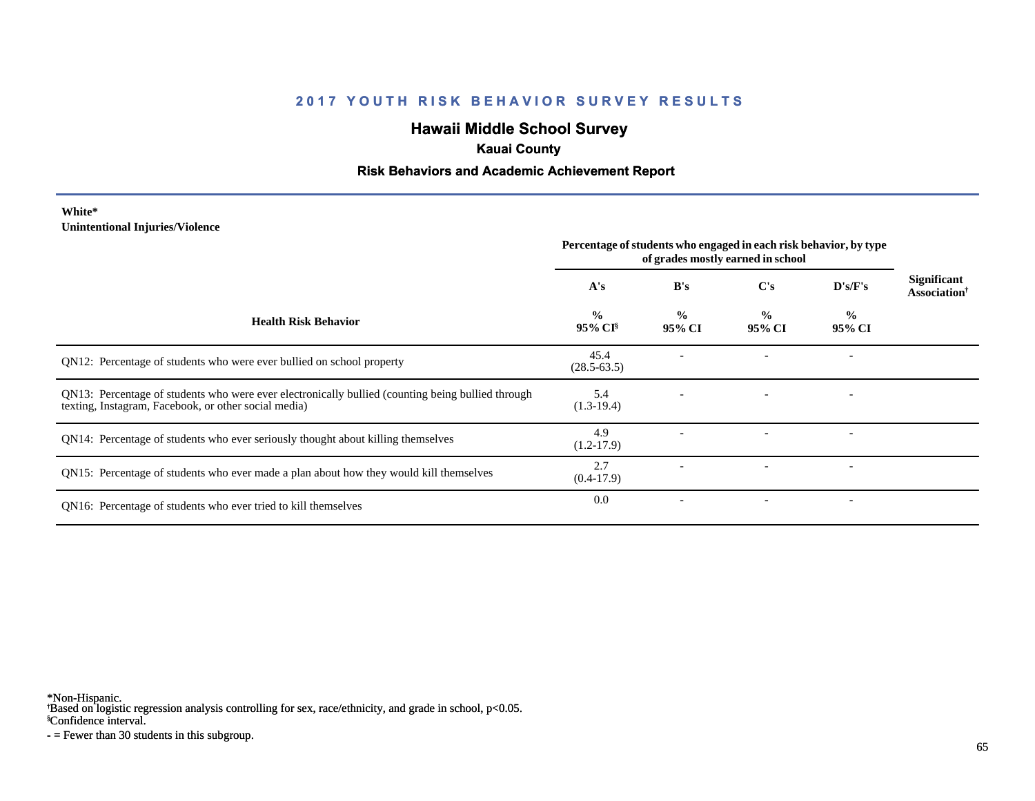# **Hawaii Middle School Survey**

### **Kauai County**

### **Risk Behaviors and Academic Achievement Report**

#### **White\* Unintentional Injuries/Violence**

|                                                                                                                                                           | Percentage of students who engaged in each risk behavior, by type<br>of grades mostly earned in school |                         |                         |                          |                                            |
|-----------------------------------------------------------------------------------------------------------------------------------------------------------|--------------------------------------------------------------------------------------------------------|-------------------------|-------------------------|--------------------------|--------------------------------------------|
|                                                                                                                                                           | A's                                                                                                    | B's                     | $\bf C's$               | D's/F's                  | <b>Significant</b><br><b>Association</b> † |
| <b>Health Risk Behavior</b>                                                                                                                               | $\frac{0}{0}$<br>$95\%$ CI <sup>§</sup>                                                                | $\frac{0}{0}$<br>95% CI | $\frac{0}{0}$<br>95% CI | $\frac{0}{0}$<br>95% CI  |                                            |
| QN12: Percentage of students who were ever bullied on school property                                                                                     | 45.4<br>$(28.5 - 63.5)$                                                                                |                         |                         |                          |                                            |
| QN13: Percentage of students who were ever electronically bullied (counting being bullied through<br>texting, Instagram, Facebook, or other social media) | 5.4<br>$(1.3-19.4)$                                                                                    |                         |                         |                          |                                            |
| QN14: Percentage of students who ever seriously thought about killing themselves                                                                          | 4.9<br>$(1.2-17.9)$                                                                                    |                         |                         | $\overline{\phantom{0}}$ |                                            |
| QN15: Percentage of students who ever made a plan about how they would kill themselves                                                                    | 2.7<br>$(0.4-17.9)$                                                                                    |                         |                         |                          |                                            |
| QN16: Percentage of students who ever tried to kill themselves                                                                                            | 0.0                                                                                                    |                         |                         | $\overline{\phantom{a}}$ |                                            |

\*Non-Hispanic.

† Based on logistic regression analysis controlling for sex, race/ethnicity, and grade in school, p<0.05.

§Confidence interval.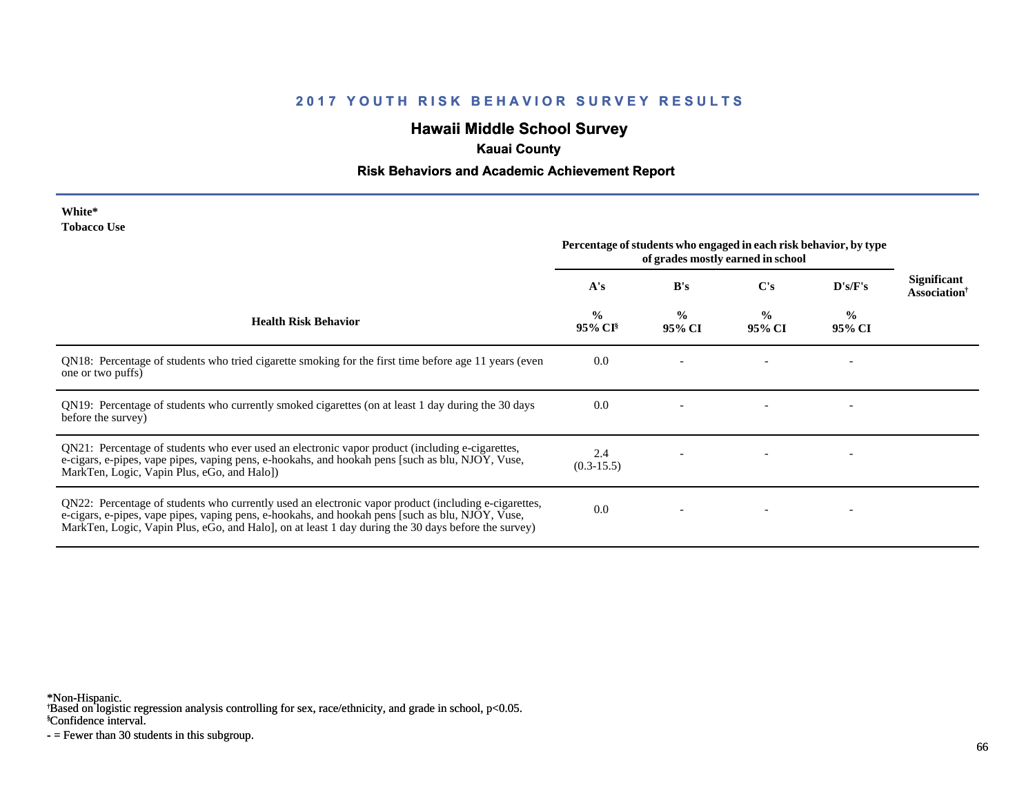# **Hawaii Middle School Survey**

# **Kauai County**

### **Risk Behaviors and Academic Achievement Report**

| White*      |  |
|-------------|--|
| Tobacco Use |  |

| TODACCO OSC                                                                                                                                                                                                                                                                                                     | Percentage of students who engaged in each risk behavior, by type<br>of grades mostly earned in school |                         |                         |                          |                                                |
|-----------------------------------------------------------------------------------------------------------------------------------------------------------------------------------------------------------------------------------------------------------------------------------------------------------------|--------------------------------------------------------------------------------------------------------|-------------------------|-------------------------|--------------------------|------------------------------------------------|
|                                                                                                                                                                                                                                                                                                                 | A's                                                                                                    | B's                     | C's                     | D's/F's                  | <b>Significant</b><br>Association <sup>†</sup> |
| <b>Health Risk Behavior</b>                                                                                                                                                                                                                                                                                     | $\frac{0}{0}$<br>95% CI <sup>§</sup>                                                                   | $\frac{0}{0}$<br>95% CI | $\frac{0}{0}$<br>95% CI | $\frac{6}{6}$<br>95% CI  |                                                |
| QN18: Percentage of students who tried cigarette smoking for the first time before age 11 years (even<br>one or two puffs)                                                                                                                                                                                      | 0.0                                                                                                    |                         |                         |                          |                                                |
| QN19: Percentage of students who currently smoked cigarettes (on at least 1 day during the 30 days<br>before the survey)                                                                                                                                                                                        | 0.0                                                                                                    |                         |                         | $\overline{\phantom{a}}$ |                                                |
| QN21: Percentage of students who ever used an electronic vapor product (including e-cigarettes,<br>e-cigars, e-pipes, vape pipes, vaping pens, e-hookahs, and hookah pens [such as blu, NJOY, Vuse,<br>MarkTen, Logic, Vapin Plus, eGo, and Halo])                                                              | 2.4<br>$(0.3-15.5)$                                                                                    |                         |                         |                          |                                                |
| QN22: Percentage of students who currently used an electronic vapor product (including e-cigarettes,<br>e-cigars, e-pipes, vape pipes, vaping pens, e-hookahs, and hookah pens [such as blu, NJOY, Vuse,<br>MarkTen, Logic, Vapin Plus, eGo, and Halo], on at least 1 day during the 30 days before the survey) | 0.0                                                                                                    |                         |                         |                          |                                                |

\*Non-Hispanic.

† Based on logistic regression analysis controlling for sex, race/ethnicity, and grade in school, p<0.05.

§Confidence interval.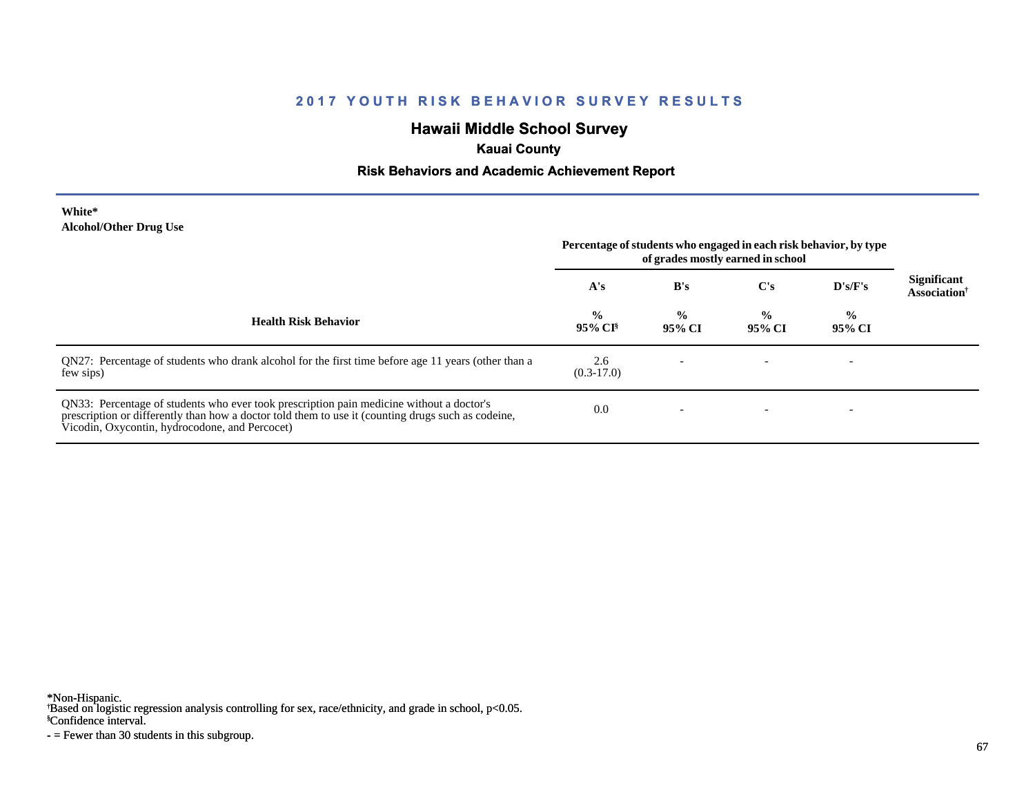# **Hawaii Middle School Survey**

# **Kauai County**

### **Risk Behaviors and Academic Achievement Report**

| White*                        |  |
|-------------------------------|--|
| <b>Alcohol/Other Drug Use</b> |  |

|                                                                                                                                                                                                                                                  | Percentage of students who engaged in each risk behavior, by type<br>of grades mostly earned in school |                         |                         |                          |                                                       |
|--------------------------------------------------------------------------------------------------------------------------------------------------------------------------------------------------------------------------------------------------|--------------------------------------------------------------------------------------------------------|-------------------------|-------------------------|--------------------------|-------------------------------------------------------|
|                                                                                                                                                                                                                                                  | A's                                                                                                    | B's                     | C's                     | D's/F's                  | <b>Significant</b><br><b>Association</b> <sup>†</sup> |
| <b>Health Risk Behavior</b>                                                                                                                                                                                                                      | $\frac{0}{0}$<br>$95\%$ CI <sup>§</sup>                                                                | $\frac{0}{0}$<br>95% CI | $\frac{0}{0}$<br>95% CI | $\frac{0}{0}$<br>95% CI  |                                                       |
| QN27: Percentage of students who drank alcohol for the first time before age 11 years (other than a<br>few sips)                                                                                                                                 | 2.6<br>$(0.3-17.0)$                                                                                    |                         |                         | $\overline{\phantom{0}}$ |                                                       |
| QN33: Percentage of students who ever took prescription pain medicine without a doctor's<br>prescription or differently than how a doctor told them to use it (counting drugs such as codeine,<br>Vicodin, Oxycontin, hydrocodone, and Percocet) | 0.0                                                                                                    |                         |                         |                          |                                                       |

\*Non-Hispanic.

† Based on logistic regression analysis controlling for sex, race/ethnicity, and grade in school, p<0.05.

§Confidence interval.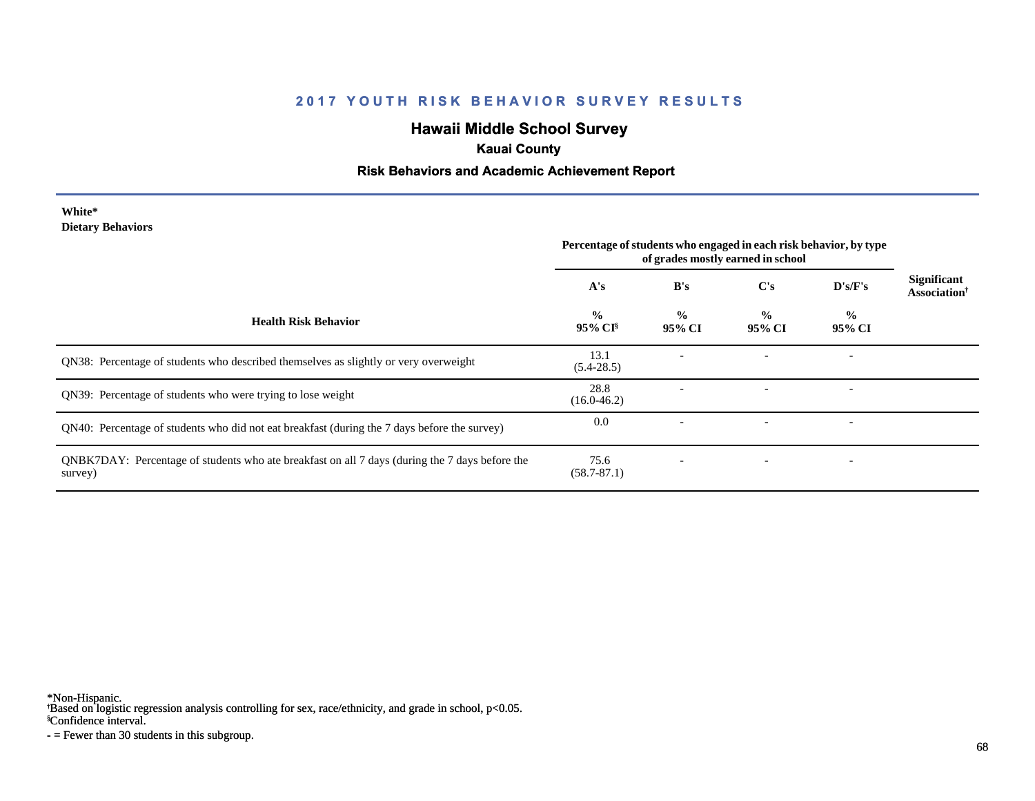# **Hawaii Middle School Survey**

### **Kauai County**

### **Risk Behaviors and Academic Achievement Report**

#### **White\* Dietary Behaviors**

|                                                                                                           | Percentage of students who engaged in each risk behavior, by type<br>of grades mostly earned in school |                          |                          |                          |                                                |
|-----------------------------------------------------------------------------------------------------------|--------------------------------------------------------------------------------------------------------|--------------------------|--------------------------|--------------------------|------------------------------------------------|
|                                                                                                           | A's                                                                                                    | B's                      | $\bf C's$                | D's/F's                  | <b>Significant</b><br>Association <sup>†</sup> |
| <b>Health Risk Behavior</b>                                                                               | $\frac{0}{0}$<br>95% CI <sup>§</sup>                                                                   | $\frac{0}{0}$<br>95% CI  | $\frac{6}{9}$<br>95% CI  | $\frac{0}{0}$<br>95% CI  |                                                |
| QN38: Percentage of students who described themselves as slightly or very overweight                      | 13.1<br>$(5.4-28.5)$                                                                                   |                          |                          | $\overline{\phantom{a}}$ |                                                |
| QN39: Percentage of students who were trying to lose weight                                               | 28.8<br>$(16.0 - 46.2)$                                                                                |                          |                          | $\overline{\phantom{a}}$ |                                                |
| QN40: Percentage of students who did not eat breakfast (during the 7 days before the survey)              | 0.0                                                                                                    |                          |                          | $\overline{\phantom{a}}$ |                                                |
| QNBK7DAY: Percentage of students who ate breakfast on all 7 days (during the 7 days before the<br>survey) | 75.6<br>$(58.7 - 87.1)$                                                                                | $\overline{\phantom{0}}$ | $\overline{\phantom{a}}$ | $\overline{\phantom{a}}$ |                                                |

\*Non-Hispanic.

† Based on logistic regression analysis controlling for sex, race/ethnicity, and grade in school, p<0.05.

§Confidence interval.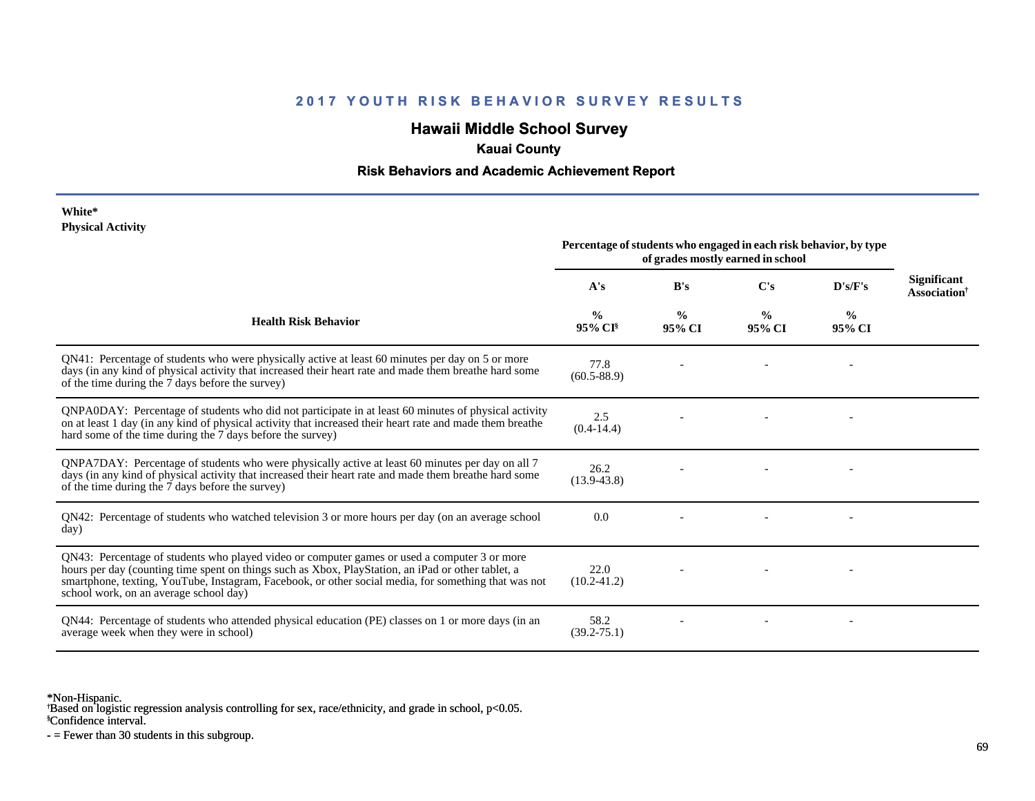# **Hawaii Middle School Survey**

### **Kauai County**

### **Risk Behaviors and Academic Achievement Report**

#### **White\* Physical Activity**

|                                                                                                                                                                                                                                                                                                                                                      | Percentage of students who engaged in each risk behavior, by type<br>of grades mostly earned in school |                         |                         |                         |                                                |
|------------------------------------------------------------------------------------------------------------------------------------------------------------------------------------------------------------------------------------------------------------------------------------------------------------------------------------------------------|--------------------------------------------------------------------------------------------------------|-------------------------|-------------------------|-------------------------|------------------------------------------------|
|                                                                                                                                                                                                                                                                                                                                                      | A's                                                                                                    | B's                     | C's                     | D's/F's                 | <b>Significant</b><br>Association <sup>†</sup> |
| <b>Health Risk Behavior</b>                                                                                                                                                                                                                                                                                                                          | $\frac{0}{0}$<br>$95\%$ CI <sup>§</sup>                                                                | $\frac{0}{0}$<br>95% CI | $\frac{0}{0}$<br>95% CI | $\frac{0}{0}$<br>95% CI |                                                |
| QN41: Percentage of students who were physically active at least 60 minutes per day on 5 or more<br>days (in any kind of physical activity that increased their heart rate and made them breathe hard some<br>of the time during the 7 days before the survey)                                                                                       | 77.8<br>$(60.5 - 88.9)$                                                                                |                         |                         |                         |                                                |
| QNPA0DAY: Percentage of students who did not participate in at least 60 minutes of physical activity<br>on at least 1 day (in any kind of physical activity that increased their heart rate and made them breathe<br>hard some of the time during the 7 days before the survey)                                                                      | 2.5<br>$(0.4-14.4)$                                                                                    |                         |                         |                         |                                                |
| QNPA7DAY: Percentage of students who were physically active at least 60 minutes per day on all 7<br>days (in any kind of physical activity that increased their heart rate and made them breathe hard some<br>of the time during the 7 days before the survey)                                                                                       | 26.2<br>$(13.9 - 43.8)$                                                                                |                         |                         |                         |                                                |
| QN42: Percentage of students who watched television 3 or more hours per day (on an average school<br>day)                                                                                                                                                                                                                                            | 0.0                                                                                                    |                         |                         |                         |                                                |
| QN43: Percentage of students who played video or computer games or used a computer 3 or more<br>hours per day (counting time spent on things such as Xbox, PlayStation, an iPad or other tablet, a<br>smartphone, texting, YouTube, Instagram, Facebook, or other social media, for something that was not<br>school work, on an average school day) | 22.0<br>$(10.2 - 41.2)$                                                                                |                         |                         |                         |                                                |
| QN44: Percentage of students who attended physical education (PE) classes on 1 or more days (in an<br>average week when they were in school)                                                                                                                                                                                                         | 58.2<br>$(39.2 - 75.1)$                                                                                |                         |                         |                         |                                                |

\*Non-Hispanic.

† Based on logistic regression analysis controlling for sex, race/ethnicity, and grade in school, p<0.05.

§Confidence interval.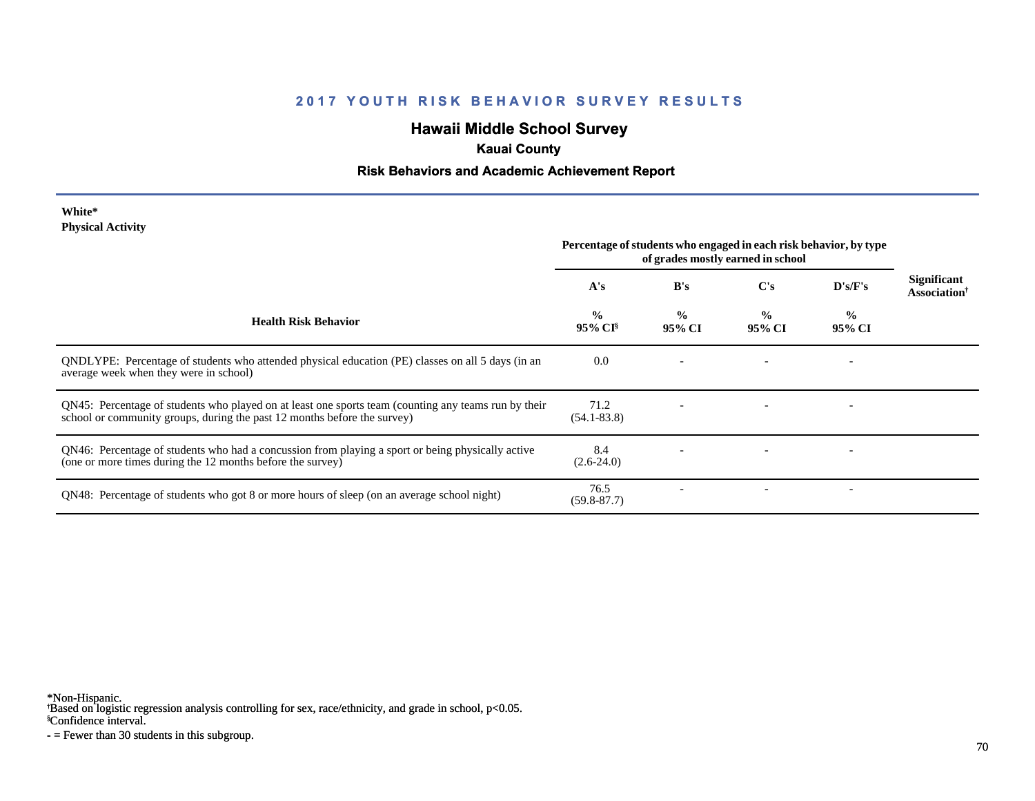# **Hawaii Middle School Survey**

# **Kauai County**

### **Risk Behaviors and Academic Achievement Report**

| White*                   |  |
|--------------------------|--|
| <b>Physical Activity</b> |  |

|                                                                                                                                                                                  | Percentage of students who engaged in each risk behavior, by type<br>of grades mostly earned in school |                         |                         |                          |                                                       |
|----------------------------------------------------------------------------------------------------------------------------------------------------------------------------------|--------------------------------------------------------------------------------------------------------|-------------------------|-------------------------|--------------------------|-------------------------------------------------------|
|                                                                                                                                                                                  | A's                                                                                                    | B's                     | $\bf C's$               | D's/F's                  | <b>Significant</b><br><b>Association</b> <sup>†</sup> |
| <b>Health Risk Behavior</b>                                                                                                                                                      | $\frac{0}{0}$<br>95% CI <sup>§</sup>                                                                   | $\frac{0}{0}$<br>95% CI | $\frac{0}{0}$<br>95% CI | $\frac{6}{10}$<br>95% CI |                                                       |
| QNDLYPE: Percentage of students who attended physical education (PE) classes on all 5 days (in an<br>average week when they were in school)                                      | 0.0                                                                                                    |                         |                         | $\overline{\phantom{0}}$ |                                                       |
| QN45: Percentage of students who played on at least one sports team (counting any teams run by their<br>school or community groups, during the past 12 months before the survey) | 71.2<br>$(54.1 - 83.8)$                                                                                |                         |                         | $\overline{\phantom{a}}$ |                                                       |
| QN46: Percentage of students who had a concussion from playing a sport or being physically active<br>(one or more times during the 12 months before the survey)                  | 8.4<br>$(2.6-24.0)$                                                                                    |                         |                         |                          |                                                       |
| QN48: Percentage of students who got 8 or more hours of sleep (on an average school night)                                                                                       | 76.5<br>$(59.8 - 87.7)$                                                                                |                         |                         |                          |                                                       |

\*Non-Hispanic.

† Based on logistic regression analysis controlling for sex, race/ethnicity, and grade in school, p<0.05.

§Confidence interval.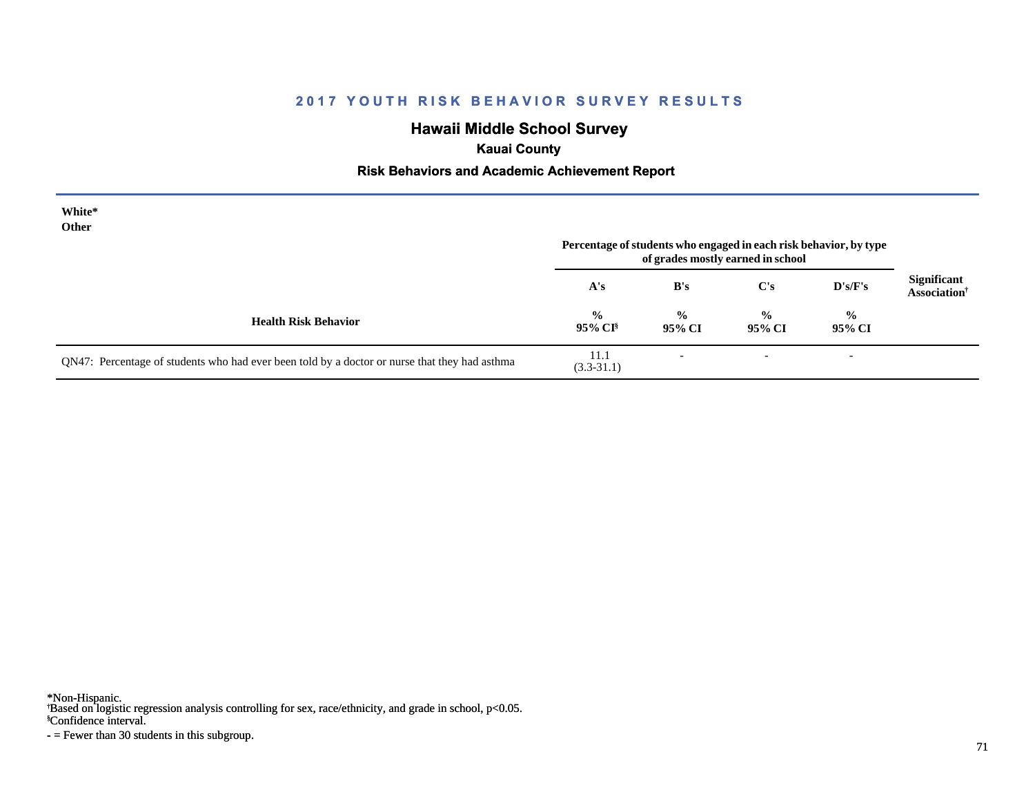# **Hawaii Middle School Survey**

# **Kauai County**

### **Risk Behaviors and Academic Achievement Report**

| White*<br>Other                                                                               | Percentage of students who engaged in each risk behavior, by type<br>of grades mostly earned in school |                          |                          |                          |                                    |
|-----------------------------------------------------------------------------------------------|--------------------------------------------------------------------------------------------------------|--------------------------|--------------------------|--------------------------|------------------------------------|
|                                                                                               | A's                                                                                                    | B's                      | $\bf C's$                | $\bf{D's/F's}$           | <b>Significant</b><br>Association† |
| <b>Health Risk Behavior</b>                                                                   | $\frac{0}{0}$<br>95% CI <sup>§</sup>                                                                   | $\frac{0}{0}$<br>95% CI  | $\frac{0}{0}$<br>95% CI  | $\frac{6}{6}$<br>95% CI  |                                    |
| QN47: Percentage of students who had ever been told by a doctor or nurse that they had asthma | 11.1<br>$(3.3-31.1)$                                                                                   | $\overline{\phantom{a}}$ | $\overline{\phantom{a}}$ | $\overline{\phantom{a}}$ |                                    |

\*Non-Hispanic.

† Based on logistic regression analysis controlling for sex, race/ethnicity, and grade in school, p<0.05.

§Confidence interval.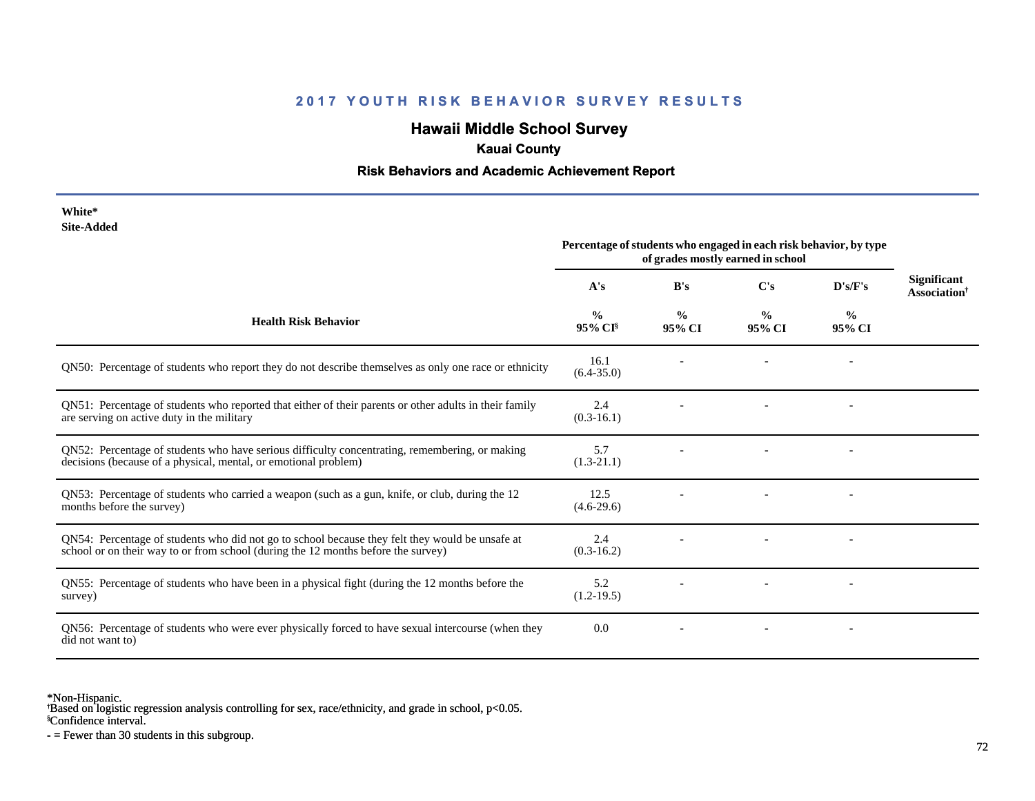# **Hawaii Middle School Survey**

### **Kauai County**

#### **Risk Behaviors and Academic Achievement Report**

| White*                                                                                                                                                                               |                                                                                                        |                         |                         |                         |                                                |
|--------------------------------------------------------------------------------------------------------------------------------------------------------------------------------------|--------------------------------------------------------------------------------------------------------|-------------------------|-------------------------|-------------------------|------------------------------------------------|
| <b>Site-Added</b>                                                                                                                                                                    | Percentage of students who engaged in each risk behavior, by type<br>of grades mostly earned in school |                         |                         |                         |                                                |
|                                                                                                                                                                                      | A's                                                                                                    | B's                     | C's                     | D's/F's                 | <b>Significant</b><br>Association <sup>†</sup> |
| <b>Health Risk Behavior</b>                                                                                                                                                          | $\frac{0}{0}$<br>95% CI                                                                                | $\frac{0}{0}$<br>95% CI | $\frac{0}{0}$<br>95% CI | $\frac{0}{0}$<br>95% CI |                                                |
| QN50: Percentage of students who report they do not describe themselves as only one race or ethnicity                                                                                | 16.1<br>$(6.4 - 35.0)$                                                                                 |                         |                         |                         |                                                |
| QN51: Percentage of students who reported that either of their parents or other adults in their family<br>are serving on active duty in the military                                 | 2.4<br>$(0.3-16.1)$                                                                                    |                         |                         |                         |                                                |
| QN52: Percentage of students who have serious difficulty concentrating, remembering, or making<br>decisions (because of a physical, mental, or emotional problem)                    | 5.7<br>$(1.3-21.1)$                                                                                    |                         |                         |                         |                                                |
| QN53: Percentage of students who carried a weapon (such as a gun, knife, or club, during the 12<br>months before the survey)                                                         | 12.5<br>$(4.6-29.6)$                                                                                   |                         |                         |                         |                                                |
| QN54: Percentage of students who did not go to school because they felt they would be unsafe at<br>school or on their way to or from school (during the 12 months before the survey) | 2.4<br>$(0.3-16.2)$                                                                                    |                         |                         |                         |                                                |
| QN55: Percentage of students who have been in a physical fight (during the 12 months before the<br>survey)                                                                           | 5.2<br>$(1.2-19.5)$                                                                                    |                         |                         |                         |                                                |
| QN56: Percentage of students who were ever physically forced to have sexual intercourse (when they<br>did not want to)                                                               | 0.0                                                                                                    |                         |                         |                         |                                                |

\*Non-Hispanic.

† Based on logistic regression analysis controlling for sex, race/ethnicity, and grade in school, p<0.05.

§Confidence interval.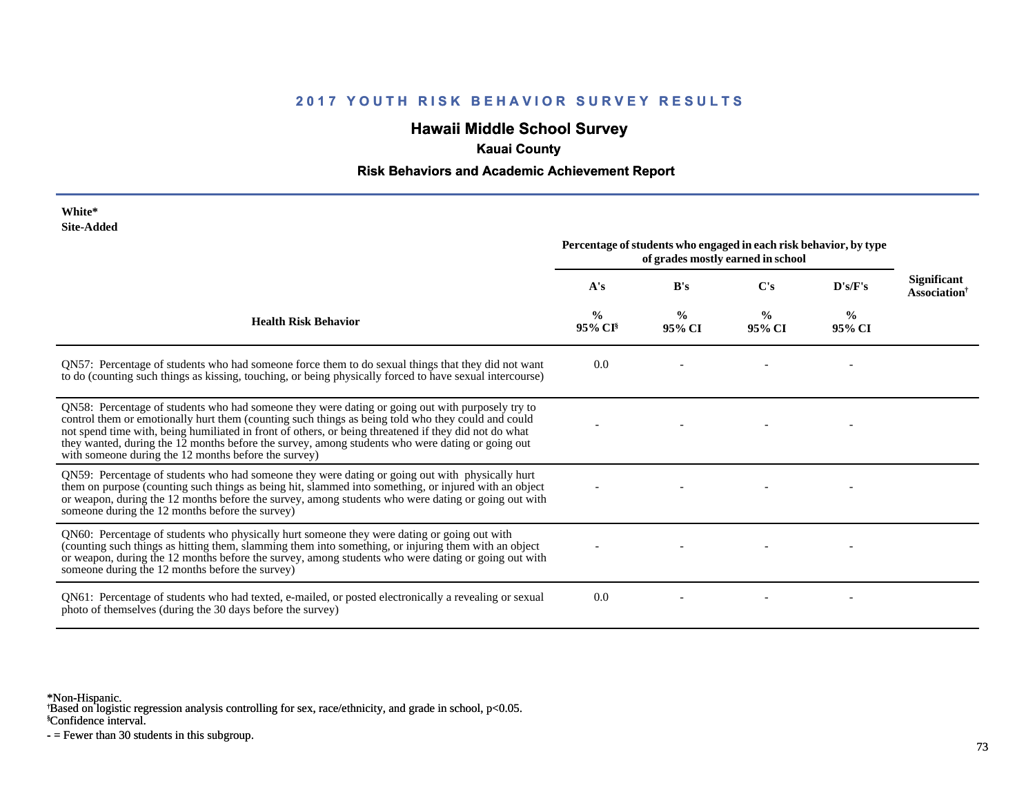## **Hawaii Middle School Survey**

## **Kauai County**

#### **Risk Behaviors and Academic Achievement Report**

| White*     |
|------------|
| Site-Added |

| Site-Added                                                                                                                                                                                                                                                                                                                                                                                                                                                                  | Percentage of students who engaged in each risk behavior, by type<br>of grades mostly earned in school |                         |                         |                         |                                                       |
|-----------------------------------------------------------------------------------------------------------------------------------------------------------------------------------------------------------------------------------------------------------------------------------------------------------------------------------------------------------------------------------------------------------------------------------------------------------------------------|--------------------------------------------------------------------------------------------------------|-------------------------|-------------------------|-------------------------|-------------------------------------------------------|
|                                                                                                                                                                                                                                                                                                                                                                                                                                                                             | A's                                                                                                    | B's                     | C's                     | D's/F's                 | <b>Significant</b><br><b>Association</b> <sup>†</sup> |
| <b>Health Risk Behavior</b>                                                                                                                                                                                                                                                                                                                                                                                                                                                 | $\frac{0}{0}$<br>$95\%$ CI <sup>§</sup>                                                                | $\frac{0}{0}$<br>95% CI | $\frac{0}{0}$<br>95% CI | $\frac{6}{9}$<br>95% CI |                                                       |
| QN57: Percentage of students who had someone force them to do sexual things that they did not want<br>to do (counting such things as kissing, touching, or being physically forced to have sexual intercourse)                                                                                                                                                                                                                                                              | 0.0                                                                                                    |                         |                         |                         |                                                       |
| QN58: Percentage of students who had someone they were dating or going out with purposely try to<br>control them or emotionally hurt them (counting such things as being told who they could and could<br>not spend time with, being humiliated in front of others, or being threatened if they did not do what<br>they wanted, during the 12 months before the survey, among students who were dating or going out<br>with someone during the 12 months before the survey) |                                                                                                        |                         |                         |                         |                                                       |
| QN59: Percentage of students who had someone they were dating or going out with physically hurt<br>them on purpose (counting such things as being hit, slammed into something, or injured with an object<br>or weapon, during the 12 months before the survey, among students who were dating or going out with<br>someone during the 12 months before the survey)                                                                                                          |                                                                                                        |                         |                         |                         |                                                       |
| QN60: Percentage of students who physically hurt someone they were dating or going out with<br>(counting such things as hitting them, slamming them into something, or injuring them with an object<br>or weapon, during the 12 months before the survey, among students who were dating or going out with<br>someone during the 12 months before the survey)                                                                                                               |                                                                                                        |                         |                         |                         |                                                       |
| QN61: Percentage of students who had texted, e-mailed, or posted electronically a revealing or sexual<br>photo of themselves (during the 30 days before the survey)                                                                                                                                                                                                                                                                                                         | 0.0                                                                                                    |                         |                         |                         |                                                       |

\*Non-Hispanic.

† Based on logistic regression analysis controlling for sex, race/ethnicity, and grade in school, p<0.05.

§Confidence interval.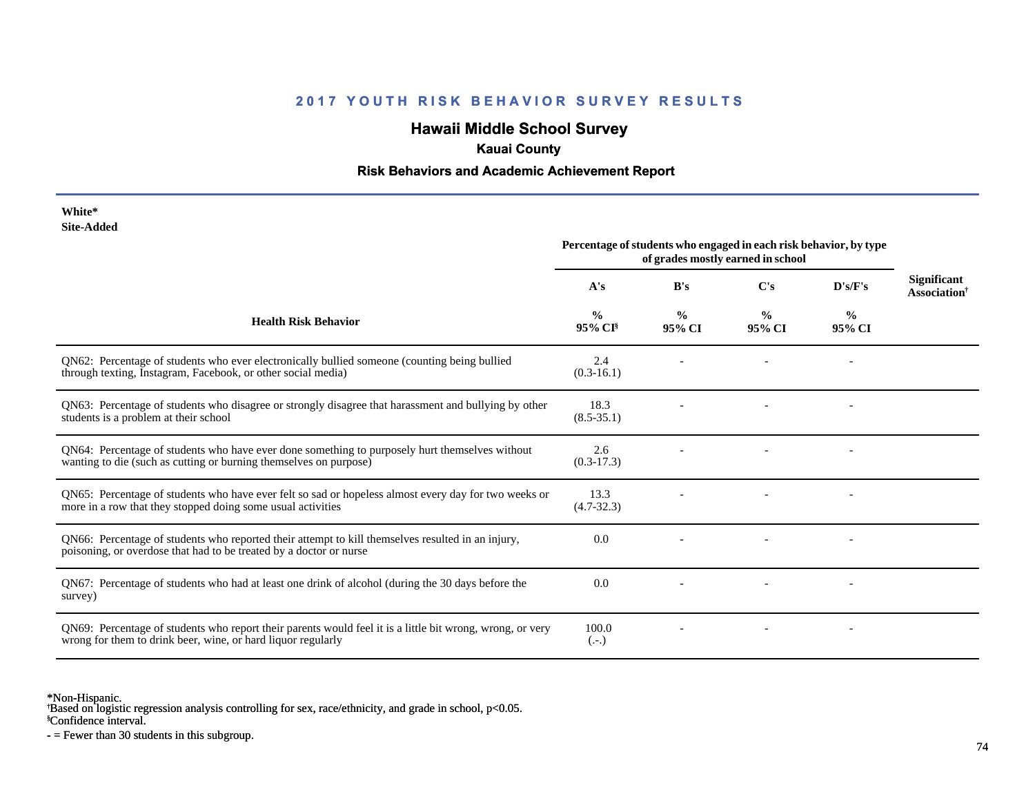## **Hawaii Middle School Survey**

## **Kauai County**

#### **Risk Behaviors and Academic Achievement Report**

| White*     |
|------------|
| Site-Added |

| one-Augu                                                                                                                                                                  | Percentage of students who engaged in each risk behavior, by type<br>of grades mostly earned in school |                         |                         |                          |                                                       |
|---------------------------------------------------------------------------------------------------------------------------------------------------------------------------|--------------------------------------------------------------------------------------------------------|-------------------------|-------------------------|--------------------------|-------------------------------------------------------|
|                                                                                                                                                                           | A's                                                                                                    | B's                     | C's                     | D's/F's                  | <b>Significant</b><br><b>Association</b> <sup>†</sup> |
| <b>Health Risk Behavior</b>                                                                                                                                               | $\frac{0}{0}$<br>$95\%$ CI <sup>§</sup>                                                                | $\frac{0}{0}$<br>95% CI | $\frac{0}{0}$<br>95% CI | $\frac{0}{0}$<br>95% CI  |                                                       |
| QN62: Percentage of students who ever electronically bullied someone (counting being bullied<br>through texting, Instagram, Facebook, or other social media)              | 2.4<br>$(0.3-16.1)$                                                                                    |                         |                         |                          |                                                       |
| QN63: Percentage of students who disagree or strongly disagree that harassment and bullying by other<br>students is a problem at their school                             | 18.3<br>$(8.5-35.1)$                                                                                   |                         |                         |                          |                                                       |
| QN64: Percentage of students who have ever done something to purposely hurt themselves without<br>wanting to die (such as cutting or burning themselves on purpose)       | 2.6<br>$(0.3-17.3)$                                                                                    |                         |                         | $\overline{\phantom{a}}$ |                                                       |
| QN65: Percentage of students who have ever felt so sad or hopeless almost every day for two weeks or<br>more in a row that they stopped doing some usual activities       | 13.3<br>$(4.7-32.3)$                                                                                   |                         |                         |                          |                                                       |
| QN66: Percentage of students who reported their attempt to kill themselves resulted in an injury,<br>poisoning, or overdose that had to be treated by a doctor or nurse   | 0.0                                                                                                    |                         |                         |                          |                                                       |
| QN67: Percentage of students who had at least one drink of alcohol (during the 30 days before the<br>survey)                                                              | 0.0                                                                                                    |                         |                         |                          |                                                       |
| QN69: Percentage of students who report their parents would feel it is a little bit wrong, wrong, or very<br>wrong for them to drink beer, wine, or hard liquor regularly | 100.0<br>$(.-.)$                                                                                       |                         |                         |                          |                                                       |

\*Non-Hispanic.

† Based on logistic regression analysis controlling for sex, race/ethnicity, and grade in school, p<0.05.

§Confidence interval.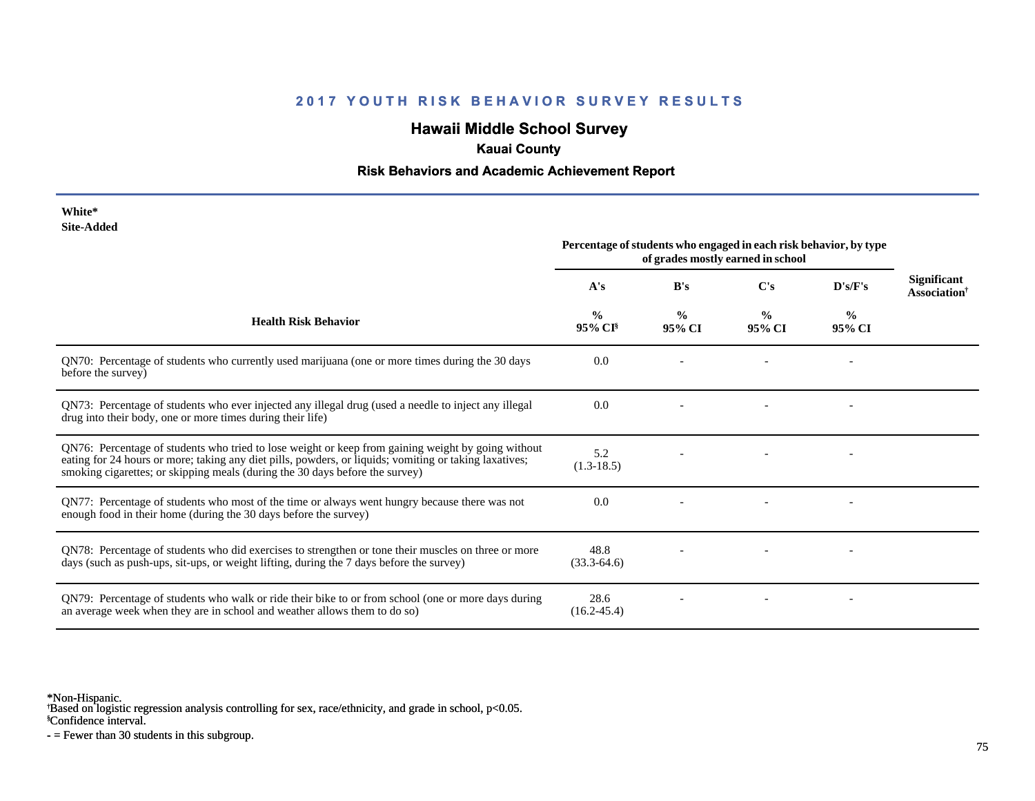## **Hawaii Middle School Survey**

### **Kauai County**

#### **Risk Behaviors and Academic Achievement Report**

| White*     |
|------------|
| Site-Added |

| Site-Added                                                                                                                                                                                                                                                                                   | Percentage of students who engaged in each risk behavior, by type<br>of grades mostly earned in school |                         |                         |                         |                                                       |
|----------------------------------------------------------------------------------------------------------------------------------------------------------------------------------------------------------------------------------------------------------------------------------------------|--------------------------------------------------------------------------------------------------------|-------------------------|-------------------------|-------------------------|-------------------------------------------------------|
|                                                                                                                                                                                                                                                                                              | A's                                                                                                    | B's                     | C's                     | D's/F's                 | <b>Significant</b><br><b>Association</b> <sup>†</sup> |
| <b>Health Risk Behavior</b>                                                                                                                                                                                                                                                                  | $\frac{0}{0}$<br>$95\%$ CI <sup>§</sup>                                                                | $\frac{0}{0}$<br>95% CI | $\frac{0}{0}$<br>95% CI | $\frac{0}{0}$<br>95% CI |                                                       |
| QN70: Percentage of students who currently used marijuana (one or more times during the 30 days<br>before the survey)                                                                                                                                                                        | 0.0                                                                                                    |                         |                         |                         |                                                       |
| QN73: Percentage of students who ever injected any illegal drug (used a needle to inject any illegal<br>drug into their body, one or more times during their life)                                                                                                                           | 0.0                                                                                                    |                         |                         |                         |                                                       |
| QN76: Percentage of students who tried to lose weight or keep from gaining weight by going without<br>eating for 24 hours or more; taking any diet pills, powders, or liquids; vomiting or taking laxatives;<br>smoking cigarettes; or skipping meals (during the 30 days before the survey) | 5.2<br>$(1.3-18.5)$                                                                                    |                         |                         |                         |                                                       |
| QN77: Percentage of students who most of the time or always went hungry because there was not<br>enough food in their home (during the 30 days before the survey)                                                                                                                            | 0.0                                                                                                    |                         |                         |                         |                                                       |
| QN78: Percentage of students who did exercises to strengthen or tone their muscles on three or more<br>days (such as push-ups, sit-ups, or weight lifting, during the 7 days before the survey)                                                                                              | 48.8<br>$(33.3-64.6)$                                                                                  |                         |                         |                         |                                                       |
| QN79: Percentage of students who walk or ride their bike to or from school (one or more days during<br>an average week when they are in school and weather allows them to do so)                                                                                                             | 28.6<br>$(16.2 - 45.4)$                                                                                |                         |                         |                         |                                                       |

\*Non-Hispanic.

† Based on logistic regression analysis controlling for sex, race/ethnicity, and grade in school, p<0.05.

§Confidence interval.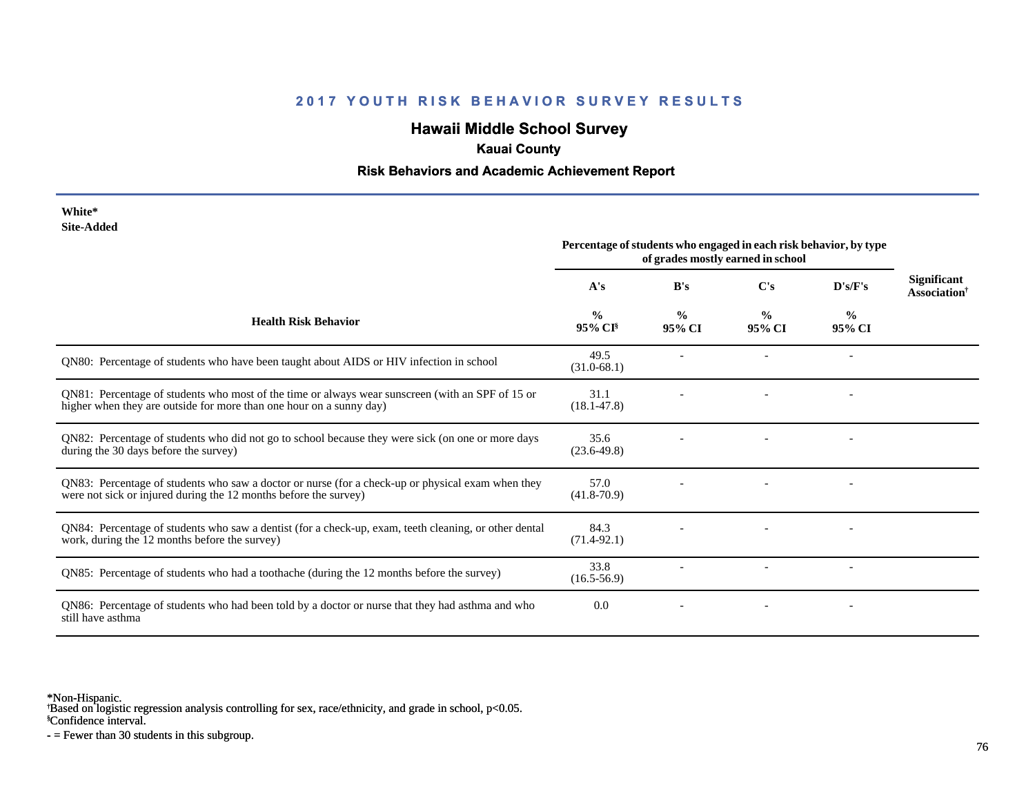## **Hawaii Middle School Survey**

#### **Kauai County**

#### **Risk Behaviors and Academic Achievement Report**

**White\* Site-Added**

|                                                                                                                                                                         | Percentage of students who engaged in each risk behavior, by type<br>of grades mostly earned in school |                         |                         |                         |                                                       |
|-------------------------------------------------------------------------------------------------------------------------------------------------------------------------|--------------------------------------------------------------------------------------------------------|-------------------------|-------------------------|-------------------------|-------------------------------------------------------|
|                                                                                                                                                                         | A's                                                                                                    | B's                     | C's                     | D's/F's                 | <b>Significant</b><br><b>Association</b> <sup>†</sup> |
| <b>Health Risk Behavior</b>                                                                                                                                             | $\frac{0}{0}$<br>95% CI <sup>§</sup>                                                                   | $\frac{0}{0}$<br>95% CI | $\frac{0}{0}$<br>95% CI | $\frac{0}{0}$<br>95% CI |                                                       |
| QN80: Percentage of students who have been taught about AIDS or HIV infection in school                                                                                 | 49.5<br>$(31.0-68.1)$                                                                                  |                         |                         |                         |                                                       |
| QN81: Percentage of students who most of the time or always wear sunscreen (with an SPF of 15 or<br>higher when they are outside for more than one hour on a sunny day) | 31.1<br>$(18.1 - 47.8)$                                                                                |                         |                         |                         |                                                       |
| QN82: Percentage of students who did not go to school because they were sick (on one or more days<br>during the 30 days before the survey)                              | 35.6<br>$(23.6 - 49.8)$                                                                                |                         |                         |                         |                                                       |
| QN83: Percentage of students who saw a doctor or nurse (for a check-up or physical exam when they<br>were not sick or injured during the 12 months before the survey)   | 57.0<br>$(41.8 - 70.9)$                                                                                |                         |                         |                         |                                                       |
| QN84: Percentage of students who saw a dentist (for a check-up, exam, teeth cleaning, or other dental<br>work, during the 12 months before the survey)                  | 84.3<br>$(71.4-92.1)$                                                                                  |                         |                         |                         |                                                       |
| QN85: Percentage of students who had a toothache (during the 12 months before the survey)                                                                               | 33.8<br>$(16.5 - 56.9)$                                                                                |                         |                         |                         |                                                       |
| QN86: Percentage of students who had been told by a doctor or nurse that they had asthma and who<br>still have asthma                                                   | 0.0                                                                                                    |                         |                         |                         |                                                       |

\*Non-Hispanic.

† Based on logistic regression analysis controlling for sex, race/ethnicity, and grade in school, p<0.05.

§Confidence interval.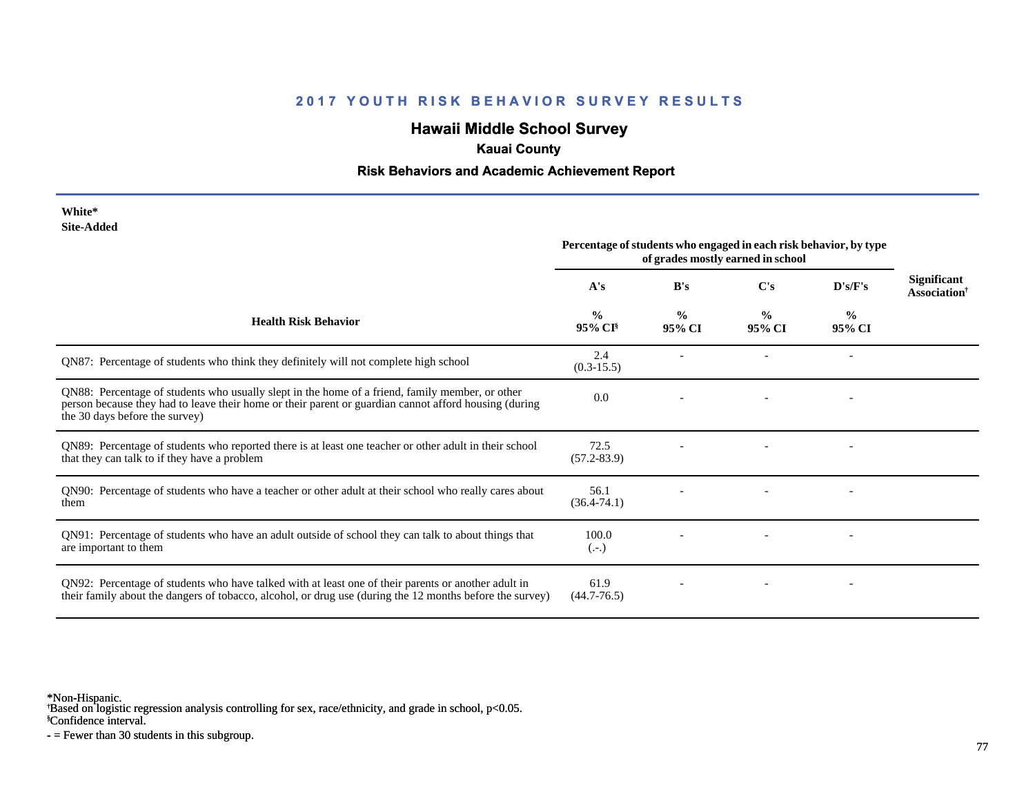## **Hawaii Middle School Survey**

## **Kauai County**

#### **Risk Behaviors and Academic Achievement Report**

| White*     |
|------------|
| Site-Added |

|                                                                                                                                                                                                                                            | Percentage of students who engaged in each risk behavior, by type<br>of grades mostly earned in school |                         |                         |                         |                                                |
|--------------------------------------------------------------------------------------------------------------------------------------------------------------------------------------------------------------------------------------------|--------------------------------------------------------------------------------------------------------|-------------------------|-------------------------|-------------------------|------------------------------------------------|
|                                                                                                                                                                                                                                            | A's                                                                                                    | B's                     | C's                     | D's/F's                 | <b>Significant</b><br>Association <sup>†</sup> |
| <b>Health Risk Behavior</b>                                                                                                                                                                                                                | $\frac{0}{0}$<br>$95\%$ CI <sup>§</sup>                                                                | $\frac{0}{0}$<br>95% CI | $\frac{0}{0}$<br>95% CI | $\frac{0}{0}$<br>95% CI |                                                |
| QN87: Percentage of students who think they definitely will not complete high school                                                                                                                                                       | 2.4<br>$(0.3-15.5)$                                                                                    |                         |                         |                         |                                                |
| QN88: Percentage of students who usually slept in the home of a friend, family member, or other<br>person because they had to leave their home or their parent or guardian cannot afford housing (during<br>the 30 days before the survey) | 0.0                                                                                                    |                         |                         |                         |                                                |
| QN89: Percentage of students who reported there is at least one teacher or other adult in their school<br>that they can talk to if they have a problem                                                                                     | 72.5<br>$(57.2 - 83.9)$                                                                                |                         |                         |                         |                                                |
| QN90: Percentage of students who have a teacher or other adult at their school who really cares about<br>them                                                                                                                              | 56.1<br>$(36.4 - 74.1)$                                                                                |                         |                         |                         |                                                |
| QN91: Percentage of students who have an adult outside of school they can talk to about things that<br>are important to them                                                                                                               | 100.0<br>$(.-.)$                                                                                       |                         |                         |                         |                                                |
| QN92: Percentage of students who have talked with at least one of their parents or another adult in<br>their family about the dangers of tobacco, alcohol, or drug use (during the 12 months before the survey)                            | 61.9<br>$(44.7 - 76.5)$                                                                                |                         |                         |                         |                                                |

\*Non-Hispanic.

† Based on logistic regression analysis controlling for sex, race/ethnicity, and grade in school, p<0.05.

§Confidence interval.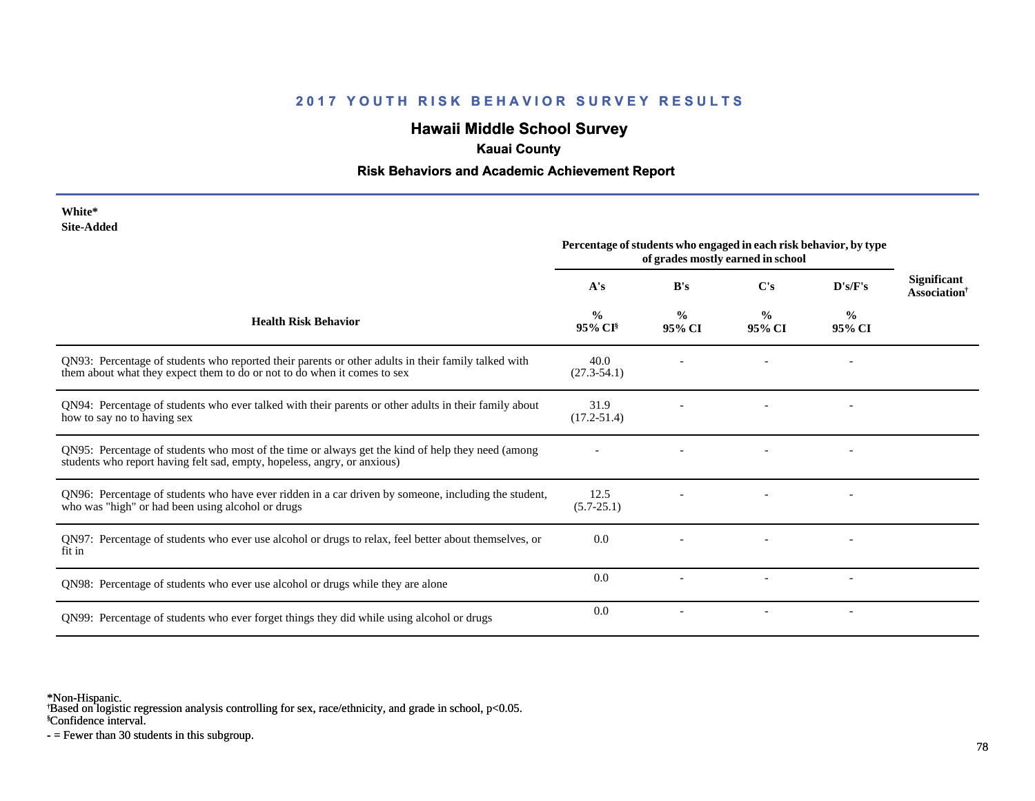## **Hawaii Middle School Survey**

## **Kauai County**

#### **Risk Behaviors and Academic Achievement Report**

| White*     |
|------------|
| Site-Added |

|                                                                                                                                                                                 | Percentage of students who engaged in each risk behavior, by type<br>of grades mostly earned in school |                         |                          |                          |                                                |
|---------------------------------------------------------------------------------------------------------------------------------------------------------------------------------|--------------------------------------------------------------------------------------------------------|-------------------------|--------------------------|--------------------------|------------------------------------------------|
|                                                                                                                                                                                 | A's                                                                                                    | B's                     | C's                      | D's/F's                  | <b>Significant</b><br>Association <sup>†</sup> |
| <b>Health Risk Behavior</b>                                                                                                                                                     | $\frac{0}{0}$<br>95% CI <sup>§</sup>                                                                   | $\frac{0}{0}$<br>95% CI | $\frac{0}{0}$<br>95% CI  | $\frac{0}{0}$<br>95% CI  |                                                |
| QN93: Percentage of students who reported their parents or other adults in their family talked with<br>them about what they expect them to do or not to do when it comes to sex | 40.0<br>$(27.3 - 54.1)$                                                                                |                         |                          |                          |                                                |
| QN94: Percentage of students who ever talked with their parents or other adults in their family about<br>how to say no to having sex                                            | 31.9<br>$(17.2 - 51.4)$                                                                                |                         |                          |                          |                                                |
| QN95: Percentage of students who most of the time or always get the kind of help they need (among<br>students who report having felt sad, empty, hopeless, angry, or anxious)   |                                                                                                        |                         |                          |                          |                                                |
| QN96: Percentage of students who have ever ridden in a car driven by someone, including the student,<br>who was "high" or had been using alcohol or drugs                       | 12.5<br>$(5.7-25.1)$                                                                                   |                         |                          |                          |                                                |
| QN97: Percentage of students who ever use alcohol or drugs to relax, feel better about themselves, or<br>fit in                                                                 | 0.0                                                                                                    |                         |                          |                          |                                                |
| QN98: Percentage of students who ever use alcohol or drugs while they are alone                                                                                                 | 0.0                                                                                                    |                         |                          |                          |                                                |
| QN99: Percentage of students who ever forget things they did while using alcohol or drugs                                                                                       | 0.0                                                                                                    |                         | $\overline{\phantom{a}}$ | $\overline{\phantom{a}}$ |                                                |

\*Non-Hispanic.

† Based on logistic regression analysis controlling for sex, race/ethnicity, and grade in school, p<0.05.

§Confidence interval.